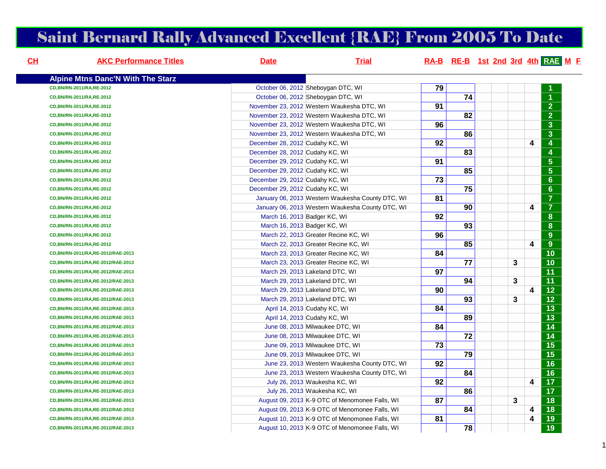# Saint Bernard Rally Advanced Excellent {RAE} From 2005 To Date

| $CH$ | <b>AKC Performance Titles</b>            | <b>Date</b>                     | <b>Trial</b>                                     |    |                 |   |                         | RA-B RE-B 1st 2nd 3rd 4th RAE M F |
|------|------------------------------------------|---------------------------------|--------------------------------------------------|----|-----------------|---|-------------------------|-----------------------------------|
|      | <b>Alpine Mtns Danc'N With The Starz</b> |                                 |                                                  |    |                 |   |                         |                                   |
|      | CD.BN/RN-2011/RA.RE-2012                 |                                 | October 06, 2012 Sheboygan DTC, WI               | 79 |                 |   |                         |                                   |
|      | CD, BN/RN-2011/RA, RE-2012               |                                 | October 06, 2012 Sheboygan DTC, WI               |    | 74              |   |                         |                                   |
|      | CD, BN/RN-2011/RA, RE-2012               |                                 | November 23, 2012 Western Waukesha DTC, WI       | 91 |                 |   |                         | $\overline{2}$                    |
|      | CD, BN/RN-2011/RA, RE-2012               |                                 | November 23, 2012 Western Waukesha DTC, WI       |    | 82              |   |                         | $\overline{2}$                    |
|      | CD, BN/RN-2011/RA, RE-2012               |                                 | November 23, 2012 Western Waukesha DTC, WI       | 96 |                 |   |                         | $\mathbf{3}$                      |
|      | CD, BN/RN-2011/RA, RE-2012               |                                 | November 23, 2012 Western Waukesha DTC, WI       |    | 86              |   |                         | $\overline{3}$                    |
|      | CD, BN/RN-2011/RA, RE-2012               | December 28, 2012 Cudahy KC, WI |                                                  | 92 |                 |   | $\overline{\mathbf{4}}$ | $\overline{\mathbf{4}}$           |
|      | CD, BN/RN-2011/RA, RE-2012               | December 28, 2012 Cudahy KC, WI |                                                  |    | 83              |   |                         | $\boldsymbol{4}$                  |
|      | CD, BN/RN-2011/RA, RE-2012               | December 29, 2012 Cudahy KC, WI |                                                  | 91 |                 |   |                         | $\overline{5}$                    |
|      | CD, BN/RN-2011/RA, RE-2012               | December 29, 2012 Cudahy KC, WI |                                                  |    | 85              |   |                         | $\overline{\mathbf{5}}$           |
|      | CD, BN/RN-2011/RA, RE-2012               | December 29, 2012 Cudahy KC, WI |                                                  | 73 |                 |   |                         | $6\phantom{a}$                    |
|      | CD, BN/RN-2011/RA, RE-2012               | December 29, 2012 Cudahy KC, WI |                                                  |    | 75              |   |                         | $6\phantom{a}$                    |
|      | CD, BN/RN-2011/RA, RE-2012               |                                 | January 06, 2013 Western Waukesha County DTC, WI | 81 |                 |   |                         | $\overline{7}$                    |
|      | CD, BN/RN-2011/RA, RE-2012               |                                 | January 06, 2013 Western Waukesha County DTC, WI |    | 90              |   | 4                       | $\overline{7}$                    |
|      | CD, BN/RN-2011/RA, RE-2012               | March 16, 2013 Badger KC, WI    |                                                  | 92 |                 |   |                         | $\boldsymbol{8}$                  |
|      | CD, BN/RN-2011/RA, RE-2012               | March 16, 2013 Badger KC, WI    |                                                  |    | 93              |   |                         | $\boldsymbol{8}$                  |
|      | CD, BN/RN-2011/RA, RE-2012               |                                 | March 22, 2013 Greater Recine KC, WI             | 96 |                 |   |                         | $\overline{9}$                    |
|      | CD, BN/RN-2011/RA, RE-2012               |                                 | March 22, 2013 Greater Recine KC, WI             |    | 85              |   | $\overline{\mathbf{4}}$ | 9                                 |
|      | CD, BN/RN-2011/RA, RE-2012/RAE-2013      |                                 | March 23, 2013 Greater Recine KC, WI             | 84 |                 |   |                         | $\overline{10}$                   |
|      | CD, BN/RN-2011/RA, RE-2012/RAE-2013      |                                 | March 23, 2013 Greater Recine KC, WI             |    | $\overline{77}$ | 3 |                         | $\overline{10}$                   |
|      | CD, BN/RN-2011/RA, RE-2012/RAE-2013      |                                 | March 29, 2013 Lakeland DTC, WI                  | 97 |                 |   |                         | 11                                |
|      | CD, BN/RN-2011/RA, RE-2012/RAE-2013      |                                 | March 29, 2013 Lakeland DTC, WI                  |    | 94              | 3 |                         | $\overline{11}$                   |
|      | CD, BN/RN-2011/RA, RE-2012/RAE-2013      |                                 | March 29, 2013 Lakeland DTC, WI                  | 90 |                 |   | $\overline{\mathbf{4}}$ | $\overline{12}$                   |
|      | CD, BN/RN-2011/RA, RE-2012/RAE-2013      |                                 | March 29, 2013 Lakeland DTC, WI                  |    | 93              | 3 |                         | $\overline{12}$                   |
|      | CD, BN/RN-2011/RA, RE-2012/RAE-2013      | April 14, 2013 Cudahy KC, WI    |                                                  | 84 |                 |   |                         | $\overline{13}$                   |
|      | CD, BN/RN-2011/RA, RE-2012/RAE-2013      | April 14, 2013 Cudahy KC, WI    |                                                  |    | 89              |   |                         | $\overline{13}$                   |
|      | CD, BN/RN-2011/RA, RE-2012/RAE-2013      |                                 | June 08, 2013 Milwaukee DTC, WI                  | 84 |                 |   |                         | $\overline{14}$                   |
|      | CD, BN/RN-2011/RA, RE-2012/RAE-2013      |                                 | June 08, 2013 Milwaukee DTC, WI                  |    | $\overline{72}$ |   |                         | $\overline{14}$                   |
|      | CD, BN/RN-2011/RA, RE-2012/RAE-2013      |                                 | June 09, 2013 Milwaukee DTC, WI                  | 73 |                 |   |                         | $\overline{15}$                   |
|      | CD, BN/RN-2011/RA, RE-2012/RAE-2013      |                                 | June 09, 2013 Milwaukee DTC, WI                  |    | 79              |   |                         | $\overline{15}$                   |
|      | CD, BN/RN-2011/RA, RE-2012/RAE-2013      |                                 | June 23, 2013 Western Waukesha County DTC, WI    | 92 |                 |   |                         | $\overline{16}$                   |
|      | CD, BN/RN-2011/RA, RE-2012/RAE-2013      |                                 | June 23, 2013 Western Waukesha County DTC, WI    |    | 84              |   |                         | $\overline{16}$                   |
|      | CD, BN/RN-2011/RA, RE-2012/RAE-2013      |                                 | July 26, 2013 Waukesha KC, WI                    | 92 |                 |   | $\overline{\mathbf{4}}$ | $\overline{17}$                   |
|      | CD, BN/RN-2011/RA, RE-2012/RAE-2013      |                                 | July 26, 2013 Waukesha KC, WI                    |    | 86              |   |                         | $\overline{17}$                   |
|      | CD, BN/RN-2011/RA, RE-2012/RAE-2013      |                                 | August 09, 2013 K-9 OTC of Menomonee Falls, WI   | 87 |                 | 3 |                         | $\overline{18}$                   |
|      | CD, BN/RN-2011/RA, RE-2012/RAE-2013      |                                 | August 09, 2013 K 9 OTC of Menomonee Falls, WI   |    | 84              |   | $\overline{\mathbf{4}}$ | $\overline{18}$                   |
|      | CD, BN/RN-2011/RA, RE-2012/RAE-2013      |                                 | August 10, 2013 K 9 OTC of Menomonee Falls, WI   | 81 |                 |   | 4                       | $\overline{19}$                   |
|      | CD, BN/RN-2011/RA, RE-2012/RAE-2013      |                                 | August 10, 2013 K-9 OTC of Menomonee Falls, WI   |    | $\overline{78}$ |   |                         | $\overline{19}$                   |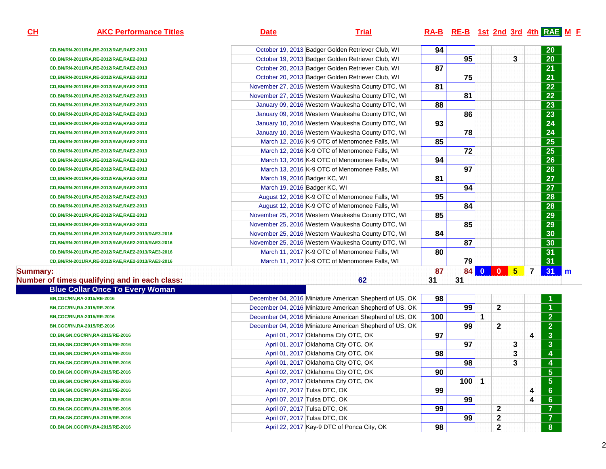**Summary:**

**Number of times qualifying and in each class:**

# **AKC Performance Titles Date Trial RA-B RE-B 1st 2nd 3rd 4th RAE <sup>M</sup> <sup>F</sup>**

| CD, BN/RN-2011/RA, RE-2012/RAE, RAE2-2013        | October 19, 2013 Badger Golden Retriever Club, WI | 94 |    |          |              |                |                         | 20 |     |
|--------------------------------------------------|---------------------------------------------------|----|----|----------|--------------|----------------|-------------------------|----|-----|
| CD, BN/RN-2011/RA, RE-2012/RAE, RAE2-2013        | October 19, 2013 Badger Golden Retriever Club. WI |    | 95 |          |              | 3              |                         | 20 |     |
| CD, BN/RN-2011/RA, RE-2012/RAE, RAE2-2013        | October 20, 2013 Badger Golden Retriever Club. WI | 87 |    |          |              |                |                         | 21 |     |
| CD, BN/RN-2011/RA, RE-2012/RAE, RAE2-2013        | October 20, 2013 Badger Golden Retriever Club, WI |    | 75 |          |              |                |                         | 21 |     |
| CD, BN/RN-2011/RA, RE-2012/RAE, RAE2-2013        | November 27, 2015 Western Waukesha County DTC, WI | 81 |    |          |              |                |                         | 22 |     |
| CD, BN/RN-2011/RA, RE-2012/RAE, RAE2-2013        | November 27, 2015 Western Waukesha County DTC, WI |    | 81 |          |              |                |                         | 22 |     |
| CD, BN/RN-2011/RA, RE-2012/RAE, RAE2-2013        | January 09, 2016 Western Waukesha County DTC, WI  | 88 |    |          |              |                |                         | 23 |     |
| CD, BN/RN-2011/RA, RE-2012/RAE, RAE2-2013        | January 09, 2016 Western Waukesha County DTC, WI  |    | 86 |          |              |                |                         | 23 |     |
| CD, BN/RN-2011/RA, RE-2012/RAE, RAE2-2013        | January 10, 2016 Western Waukesha County DTC, WI  | 93 |    |          |              |                |                         | 24 |     |
| CD, BN/RN-2011/RA, RE-2012/RAE, RAE2-2013        | January 10, 2016 Western Waukesha County DTC, WI  |    | 78 |          |              |                |                         | 24 |     |
| CD, BN/RN-2011/RA, RE-2012/RAE, RAE2-2013        | March 12, 2016 K-9 OTC of Menomonee Falls, WI     | 85 |    |          |              |                |                         | 25 |     |
| CD, BN/RN-2011/RA, RE-2012/RAE, RAE2-2013        | March 12, 2016 K-9 OTC of Menomonee Falls, WI     |    | 72 |          |              |                |                         | 25 |     |
| CD, BN/RN-2011/RA, RE-2012/RAE, RAE2-2013        | March 13, 2016 K-9 OTC of Menomonee Falls, WI     | 94 |    |          |              |                |                         | 26 |     |
| CD, BN/RN-2011/RA, RE-2012/RAE, RAE2-2013        | March 13, 2016 K-9 OTC of Menomonee Falls, WI     |    | 97 |          |              |                |                         | 26 |     |
| CD, BN/RN-2011/RA, RE-2012/RAE, RAE2-2013        | March 19, 2016 Badger KC, WI                      | 81 |    |          |              |                |                         | 27 |     |
| CD, BN/RN-2011/RA, RE-2012/RAE, RAE2-2013        | March 19, 2016 Badger KC, WI                      |    | 94 |          |              |                |                         | 27 |     |
| CD, BN/RN-2011/RA, RE-2012/RAE, RAE2-2013        | August 12, 2016 K-9 OTC of Menomonee Falls, WI    | 95 |    |          |              |                |                         | 28 |     |
| CD, BN/RN-2011/RA, RE-2012/RAE, RAE2-2013        | August 12, 2016 K-9 OTC of Menomonee Falls, WI    |    | 84 |          |              |                |                         | 28 |     |
| CD, BN/RN-2011/RA, RE-2012/RAE, RAE2-2013        | November 25, 2016 Western Waukesha County DTC, WI | 85 |    |          |              |                |                         | 29 |     |
| CD, BN/RN-2011/RA, RE-2012/RAE, RAE2-2013        | November 25, 2016 Western Waukesha County DTC, WI |    | 85 |          |              |                |                         | 29 |     |
| CD,BN/RN-2011/RA,RE-2012/RAE,RAE2-2013/RAE3-2016 | November 25, 2016 Western Waukesha County DTC, WI | 84 |    |          |              |                |                         | 30 |     |
| CD,BN/RN-2011/RA,RE-2012/RAE,RAE2-2013/RAE3-2016 | November 25, 2016 Western Waukesha County DTC, WI |    | 87 |          |              |                |                         | 30 |     |
| CD,BN/RN-2011/RA,RE-2012/RAE,RAE2-2013/RAE3-2016 | March 11, 2017 K-9 OTC of Menomonee Falls, WI     | 80 |    |          |              |                |                         | 31 |     |
| CD,BN/RN-2011/RA,RE-2012/RAE,RAE2-2013/RAE3-2016 | March 11, 2017 K-9 OTC of Menomonee Falls, WI     |    | 79 |          |              |                |                         | 31 |     |
|                                                  |                                                   | 87 | 84 | $\bf{0}$ | $\mathbf{0}$ | 5 <sup>5</sup> | $\overline{\mathbf{z}}$ | 31 | l m |
|                                                  |                                                   |    |    |          |              |                |                         |    |     |

<u>**62** 31 31 31</u>

| <b>Blue Collar Once To Every Woman</b> |                                                         |     |     |                |   |   |                          |
|----------------------------------------|---------------------------------------------------------|-----|-----|----------------|---|---|--------------------------|
| BN,CGC/RN,RA-2015/RE-2016              | December 04, 2016 Miniature American Shepherd of US, OK | 98  |     |                |   |   |                          |
| BN,CGC/RN,RA-2015/RE-2016              | December 04, 2016 Miniature American Shepherd of US, OK |     | 99  | $\mathbf{2}$   |   |   |                          |
| BN,CGC/RN,RA-2015/RE-2016              | December 04, 2016 Miniature American Shepherd of US, OK | 100 |     |                |   |   | $\overline{2}$           |
| BN,CGC/RN,RA-2015/RE-2016              | December 04, 2016 Miniature American Shepherd of US, OK |     | 99  | $\mathbf{2}$   |   |   | $\overline{2}$           |
| CD, BN, GN, CGC/RN, RA-2015/RE-2016    | April 01, 2017 Oklahoma City OTC, OK                    | 97  |     |                |   | 4 | $\mathbf{3}$             |
| CD, BN, GN, CGC/RN, RA-2015/RE-2016    | April 01, 2017 Oklahoma City OTC, OK                    |     | 97  |                | 3 |   | $\mathbf{3}$             |
| CD, BN, GN, CGC/RN, RA-2015/RE-2016    | April 01, 2017 Oklahoma City OTC, OK                    | 98  |     |                | 3 |   | 4                        |
| CD, BN, GN, CGC/RN, RA-2015/RE-2016    | April 01, 2017 Oklahoma City OTC, OK                    |     | 98  |                | 3 |   | 4                        |
| CD, BN, GN, CGC/RN, RA-2015/RE-2016    | April 02, 2017 Oklahoma City OTC, OK                    | 90  |     |                |   |   | $5\phantom{.0}$          |
| CD, BN, GN, CGC/RN, RA-2015/RE-2016    | April 02, 2017 Oklahoma City OTC, OK                    |     | 100 |                |   |   | $5\phantom{1}$           |
| CD, BN, GN, CGC/RN, RA-2015/RE-2016    | April 07, 2017 Tulsa DTC, OK                            | 99  |     |                |   | 4 | 6                        |
| CD, BN, GN, CGC/RN, RA-2015/RE-2016    | April 07, 2017 Tulsa DTC, OK                            |     | 99  |                |   | 4 | $6 \,$                   |
| CD, BN, GN, CGC/RN, RA-2015/RE-2016    | April 07, 2017 Tulsa DTC, OK                            | 99  |     | $\overline{2}$ |   |   | $\overline{z}$           |
| CD, BN, GN, CGC/RN, RA-2015/RE-2016    | April 07, 2017 Tulsa DTC, OK                            |     | 99  | $\mathbf{2}$   |   |   | $\overline{\phantom{a}}$ |
| CD, BN, GN, CGC/RN, RA-2015/RE-2016    | April 22, 2017 Kay-9 DTC of Ponca City, OK              | 98  |     | $\mathbf{2}$   |   |   | 8                        |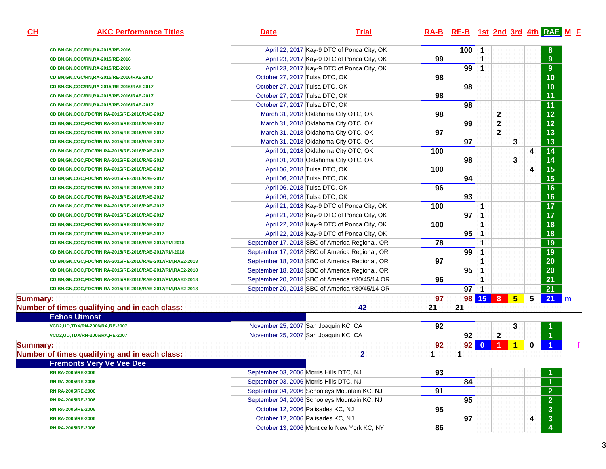**AKC Performance Titles Date Trial RA-B RE-B 1st 2nd 3rd 4th RAE <sup>M</sup> <sup>F</sup>**

**CH**

| CD, BN, GN, CGC/RN, RA-2015/RE-2016                             | April 22, 2017 Kay-9 DTC of Ponca City, OK     |                 | 100             | $\mathbf 1$ |              |                |           | 8                       |              |
|-----------------------------------------------------------------|------------------------------------------------|-----------------|-----------------|-------------|--------------|----------------|-----------|-------------------------|--------------|
| CD, BN, GN, CGC/RN, RA-2015/RE-2016                             | April 23, 2017 Kay-9 DTC of Ponca City, OK     | 99              |                 | 1           |              |                |           | $\overline{9}$          |              |
| CD, BN, GN, CGC/RN, RA-2015/RE-2016                             | April 23, 2017 Kay-9 DTC of Ponca City, OK     |                 | 99              | 1           |              |                |           | 9                       |              |
| CD, BN, GN, CGC/RN, RA-2015/RE-2016/RAE-2017                    | October 27, 2017 Tulsa DTC, OK                 | 98              |                 |             |              |                |           | $\overline{10}$         |              |
| CD,BN,GN,CGC/RN,RA-2015/RE-2016/RAE-2017                        | October 27, 2017 Tulsa DTC, OK                 |                 | 98              |             |              |                |           | $\overline{10}$         |              |
| CD,BN,GN,CGC/RN,RA-2015/RE-2016/RAE-2017                        | October 27, 2017 Tulsa DTC, OK                 | 98              |                 |             |              |                |           | $\overline{11}$         |              |
| CD,BN,GN,CGC/RN,RA-2015/RE-2016/RAE-2017                        | October 27, 2017 Tulsa DTC, OK                 |                 | 98              |             |              |                |           | $\overline{11}$         |              |
| CD,BN,GN,CGC,FDC/RN,RA-2015/RE-2016/RAE-2017                    | March 31, 2018 Oklahoma City OTC, OK           | 98              |                 |             | $\mathbf{2}$ |                |           | $\overline{12}$         |              |
| CD,BN,GN,CGC,FDC/RN,RA-2015/RE-2016/RAE-2017                    | March 31, 2018 Oklahoma City OTC, OK           |                 | 99              |             | $\mathbf{2}$ |                |           | $\overline{12}$         |              |
| CD, BN, GN, CGC, FDC/RN, RA-2015/RE-2016/RAE-2017               | March 31, 2018 Oklahoma City OTC, OK           | $\overline{97}$ |                 |             | $\mathbf{2}$ |                |           | $\overline{13}$         |              |
| CD,BN,GN,CGC,FDC/RN,RA-2015/RE-2016/RAE-2017                    | March 31, 2018 Oklahoma City OTC, OK           |                 | $\overline{97}$ |             |              | 3              |           | $\overline{13}$         |              |
| CD, BN, GN, CGC, FDC/RN, RA-2015/RE-2016/RAE-2017               | April 01, 2018 Oklahoma City OTC, OK           | 100             |                 |             |              |                | 4         | 14                      |              |
| CD,BN,GN,CGC,FDC/RN,RA-2015/RE-2016/RAE-2017                    | April 01, 2018 Oklahoma City OTC, OK           |                 | 98              |             |              | 3              |           | 14                      |              |
| CD,BN,GN,CGC,FDC/RN,RA-2015/RE-2016/RAE-2017                    | April 06, 2018 Tulsa DTC, OK                   | 100             |                 |             |              |                | 4         | $\overline{15}$         |              |
| CD,BN,GN,CGC,FDC/RN,RA-2015/RE-2016/RAE-2017                    | April 06, 2018 Tulsa DTC, OK                   |                 | 94              |             |              |                |           | $\overline{15}$         |              |
| CD,BN,GN,CGC,FDC/RN,RA-2015/RE-2016/RAE-2017                    | April 06, 2018 Tulsa DTC, OK                   | 96              |                 |             |              |                |           | $\overline{16}$         |              |
| CD,BN,GN,CGC,FDC/RN,RA-2015/RE-2016/RAE-2017                    | April 06, 2018 Tulsa DTC, OK                   |                 | 93              |             |              |                |           | $\overline{16}$         |              |
| CD,BN,GN,CGC,FDC/RN,RA-2015/RE-2016/RAE-2017                    | April 21, 2018 Kay-9 DTC of Ponca City, OK     | 100             |                 | 1           |              |                |           | $\overline{17}$         |              |
| CD,BN,GN,CGC,FDC/RN,RA-2015/RE-2016/RAE-2017                    | April 21, 2018 Kay-9 DTC of Ponca City, OK     |                 | 97              | $\mathbf 1$ |              |                |           | $\overline{17}$         |              |
| CD,BN,GN,CGC,FDC/RN,RA-2015/RE-2016/RAE-2017                    | April 22, 2018 Kay-9 DTC of Ponca City, OK     | 100             |                 | $\mathbf 1$ |              |                |           | $\overline{18}$         |              |
| CD, BN, GN, CGC, FDC/RN, RA-2015/RE-2016/RAE-2017               | April 22, 2018 Kay-9 DTC of Ponca City, OK     |                 | 95              | 1           |              |                |           | $\overline{18}$         |              |
| CD,BN,GN,CGC,FDC/RN,RA-2015/RE-2016/RAE-2017/RM-2018            | September 17, 2018 SBC of America Regional, OR | 78              |                 | 1           |              |                |           | $\overline{19}$         |              |
| CD,BN,GN,CGC,FDC/RN,RA-2015/RE-2016/RAE-2017/RM-2018            | September 17, 2018 SBC of America Regional, OR |                 | 99              | 1           |              |                |           | $\overline{19}$         |              |
| CD, BN, GN, CGC, FDC/RN, RA-2015/RE-2016/RAE-2017/RM, RAE2-2018 | September 18, 2018 SBC of America Regional, OR | 97              |                 | 1           |              |                |           | $\overline{20}$         |              |
| CD,BN,GN,CGC,FDC/RN,RA-2015/RE-2016/RAE-2017/RM,RAE2-2018       | September 18, 2018 SBC of America Regional, OR |                 | 95              | 1           |              |                |           | $\overline{20}$         |              |
| CD,BN,GN,CGC,FDC/RN,RA-2015/RE-2016/RAE-2017/RM,RAE2-2018       | September 20, 2018 SBC of America #80/45/14 OR | 96              |                 | 1           |              |                |           | $\overline{21}$         |              |
| CD,BN,GN,CGC,FDC/RN,RA-2015/RE-2016/RAE-2017/RM,RAE2-2018       | September 20, 2018 SBC of America #80/45/14 OR |                 | $\overline{97}$ | $\mathbf 1$ |              |                |           | $\overline{21}$         |              |
| <b>Summary:</b>                                                 |                                                | 97              |                 | 98 15 8     |              | $5\phantom{1}$ | 5         | 21                      | $\mathsf{m}$ |
| Number of times qualifying and in each class:                   | 42                                             | 21              | 21              |             |              |                |           |                         |              |
| <b>Echos Utmost</b>                                             |                                                |                 |                 |             |              |                |           |                         |              |
| VCD2, UD, TDX/RN-2006/RA, RE-2007                               | November 25, 2007 San Joaquin KC, CA           | 92              |                 |             |              | 3              |           |                         |              |
| VCD2, UD, TDX/RN-2006/RA, RE-2007                               | November 25, 2007 San Joaquin KC, CA           |                 | 92              |             | $\mathbf{2}$ |                |           |                         |              |
| <b>Summary:</b>                                                 |                                                | 92              |                 | 92 0 1 1    |              |                | $\pmb{0}$ |                         |              |
| Number of times qualifying and in each class:                   | $\overline{2}$                                 | 1               | 1               |             |              |                |           |                         |              |
| <b>Fremonts Very Ve Vee Dee</b>                                 |                                                |                 |                 |             |              |                |           |                         |              |
| RN,RA-2005/RE-2006                                              | September 03, 2006 Morris Hills DTC, NJ        | 93              |                 |             |              |                |           |                         |              |
| RN,RA-2005/RE-2006                                              | September 03, 2006 Morris Hills DTC, NJ        |                 | 84              |             |              |                |           |                         |              |
| RN, RA-2005/RE-2006                                             | September 04, 2006 Schooleys Mountain KC, NJ   | 91              |                 |             |              |                |           | $\overline{2}$          |              |
| RN,RA-2005/RE-2006                                              | September 04, 2006 Schooleys Mountain KC, NJ   |                 | $\overline{95}$ |             |              |                |           | $\overline{2}$          |              |
| RN, RA-2005/RE-2006                                             | October 12, 2006 Palisades KC, NJ              | 95              |                 |             |              |                |           | $\overline{3}$          |              |
| RN,RA-2005/RE-2006                                              | October 12, 2006 Palisades KC, NJ              |                 | 97              |             |              |                | 4         | $\overline{3}$          |              |
| RN,RA-2005/RE-2006                                              | October 13, 2006 Monticello New York KC, NY    | 86              |                 |             |              |                |           | $\overline{\mathbf{4}}$ |              |

3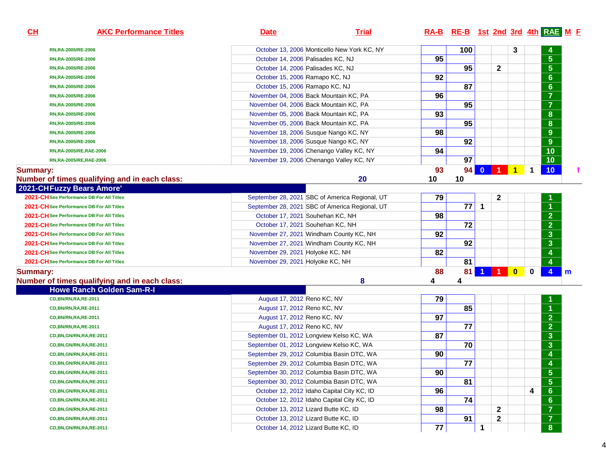| CL              | <b>AKC Performance Titles</b>                 | <b>Date</b>                                | <b>Trial</b>                                   |          | RA-B RE-B 1st 2nd 3rd 4th RAE M F |                      |                |              |             |                         |   |
|-----------------|-----------------------------------------------|--------------------------------------------|------------------------------------------------|----------|-----------------------------------|----------------------|----------------|--------------|-------------|-------------------------|---|
|                 | RN,RA-2005/RE-2006                            |                                            | October 13, 2006 Monticello New York KC, NY    |          | 100                               |                      |                | 3            |             |                         |   |
|                 | RN, RA-2005/RE-2006                           | October 14, 2006 Palisades KC, NJ          |                                                | 95       |                                   |                      |                |              |             | $\overline{5}$          |   |
|                 | RN, RA-2005/RE-2006                           | October 14, 2006 Palisades KC, NJ          |                                                |          | 95                                |                      | $\mathbf 2$    |              |             | $\overline{5}$          |   |
|                 | RN, RA-2005/RE-2006                           | October 15, 2006 Ramapo KC, NJ             |                                                | 92       |                                   |                      |                |              |             | 6                       |   |
|                 | RN, RA-2005/RE-2006                           | October 15, 2006 Ramapo KC, NJ             |                                                |          | 87                                |                      |                |              |             | 6                       |   |
|                 | RN, RA-2005/RE-2006                           | November 04, 2006 Back Mountain KC, PA     |                                                | 96       |                                   |                      |                |              |             | $\overline{\mathbf{7}}$ |   |
|                 | RN,RA-2005/RE-2006                            | November 04, 2006 Back Mountain KC, PA     |                                                |          | 95                                |                      |                |              |             | $\overline{7}$          |   |
|                 | RN, RA-2005/RE-2006                           | November 05, 2006 Back Mountain KC, PA     |                                                | 93       |                                   |                      |                |              |             | 8 <sup>1</sup>          |   |
|                 | RN, RA-2005/RE-2006                           | November 05, 2006 Back Mountain KC, PA     |                                                |          | 95                                |                      |                |              |             | $\overline{8}$          |   |
|                 | RN, RA-2005/RE-2006                           | November 18, 2006 Susque Nango KC, NY      |                                                | 98       |                                   |                      |                |              |             | $\overline{9}$          |   |
|                 | RN, RA-2005/RE-2006                           | November 18, 2006 Susque Nango KC, NY      |                                                |          | 92                                |                      |                |              |             | $\overline{9}$          |   |
|                 | RN,RA-2005/RE,RAE-2006                        | November 19, 2006 Chenango Valley KC, NY   |                                                | 94       |                                   |                      |                |              |             | $\overline{10}$         |   |
|                 | RN,RA-2005/RE,RAE-2006                        | November 19, 2006 Chenango Valley KC, NY   |                                                |          | 97                                |                      |                |              |             | $\overline{10}$         |   |
| <b>Summary:</b> | Number of times qualifying and in each class: |                                            | 20                                             | 93<br>10 | 94<br>10                          | $\mathbf{0}$         | $\blacksquare$ | $\mathbf{1}$ | 1           | 10                      |   |
|                 | 2021-CHFuzzy Bears Amore'                     |                                            |                                                |          |                                   |                      |                |              |             |                         |   |
|                 | 2021-CH See Performance DB For All Titles     |                                            | September 28, 2021 SBC of America Regional, UT | 79       |                                   |                      | $\mathbf{2}$   |              |             |                         |   |
|                 | 2021-CH See Performance DB For All Titles     |                                            | September 28, 2021 SBC of America Regional, UT |          | 77                                | $\mathbf 1$          |                |              |             |                         |   |
|                 | 2021-CH See Performance DB For All Titles     | October 17, 2021 Souhehan KC, NH           |                                                | 98       |                                   |                      |                |              |             | $\overline{2}$          |   |
|                 | 2021-CH See Performance DB For All Titles     | October 17, 2021 Souhehan KC, NH           |                                                |          | 72                                |                      |                |              |             | $\frac{1}{2}$           |   |
|                 | 2021-CH See Performance DB For All Titles     | November 27, 2021 Windham County KC, NH    |                                                | 92       |                                   |                      |                |              |             |                         |   |
|                 | 2021-CH See Performance DB For All Titles     | November 27, 2021 Windham County KC, NH    |                                                |          | 92                                |                      |                |              |             | $\frac{1}{3}$           |   |
|                 | 2021-CH See Performance DB For All Titles     | November 29, 2021 Holyoke KC, NH           |                                                | 82       |                                   |                      |                |              |             | $\overline{4}$          |   |
|                 | 2021-CH See Performance DB For All Titles     | November 29, 2021 Holyoke KC, NH           |                                                |          | 81                                |                      |                |              |             | $\overline{\mathbf{4}}$ |   |
| <b>Summary:</b> | Number of times qualifying and in each class: |                                            | 8                                              | 88<br>4  | 81<br>4                           | $\blacktriangleleft$ | <b>Altre</b>   | $\bullet$    | $\mathbf 0$ | $\overline{4}$          | m |
|                 | <b>Howe Ranch Golden Sam-R-I</b>              |                                            |                                                |          |                                   |                      |                |              |             |                         |   |
|                 | CD, BN/RN, RA, RE-2011                        | August 17, 2012 Reno KC, NV                |                                                | 79       |                                   |                      |                |              |             |                         |   |
|                 | <b>CD,BN/RN,RA,RE-2011</b>                    | August 17, 2012 Reno KC, NV                |                                                |          | 85                                |                      |                |              |             |                         |   |
|                 | CD, BN/RN, RA, RE-2011                        | August 17, 2012 Reno KC, NV                |                                                | 97       |                                   |                      |                |              |             | $\overline{2}$          |   |
|                 | CD, BN/RN, RA, RE-2011                        | August 17, 2012 Reno KC, NV                |                                                |          | 77                                |                      |                |              |             | $\overline{2}$          |   |
|                 | CD, BN, GN/RN, RA, RE-2011                    | September 01, 2012 Longview Kelso KC, WA   |                                                | 87       |                                   |                      |                |              |             | $\overline{\mathbf{3}}$ |   |
|                 | CD, BN, GN/RN, RA, RE-2011                    | September 01, 2012 Longview Kelso KC, WA   |                                                |          | 70                                |                      |                |              |             | $\overline{\mathbf{3}}$ |   |
|                 | CD, BN, GN/RN, RA, RE-2011                    | September 29, 2012 Columbia Basin DTC, WA  |                                                | 90       |                                   |                      |                |              |             | $\blacktriangleleft$    |   |
|                 | CD, BN, GN/RN, RA, RE-2011                    | September 29, 2012 Columbia Basin DTC, WA  |                                                |          | 77                                |                      |                |              |             | 4                       |   |
|                 | CD, BN, GN/RN, RA, RE-2011                    | September 30, 2012 Columbia Basin DTC, WA  |                                                | 90       |                                   |                      |                |              |             | $\overline{\mathbf{5}}$ |   |
|                 | CD, BN, GN/RN, RA, RE-2011                    | September 30, 2012 Columbia Basin DTC, WA  |                                                |          | 81                                |                      |                |              |             | $\overline{5}$          |   |
|                 | CD, BN, GN/RN, RA, RE-2011                    | October 12, 2012 Idaho Capital City KC, ID |                                                | 96       |                                   |                      |                |              | 4           | 6 <sup>1</sup>          |   |
|                 | CD, BN, GN/RN, RA, RE-2011                    | October 12, 2012 Idaho Capital City KC, ID |                                                |          | 74                                |                      |                |              |             | $\overline{6}$          |   |
|                 | CD, BN, GN/RN, RA, RE-2011                    | October 13, 2012 Lizard Butte KC, ID       |                                                | 98       |                                   |                      | $\mathbf{2}$   |              |             | $\overline{7}$          |   |
|                 | CD, BN, GN/RN, RA, RE-2011                    | October 13, 2012 Lizard Butte KC, ID       |                                                |          | 91                                |                      | $\mathbf 2$    |              |             | $\overline{7}$          |   |
|                 | CD, BN, GN/RN, RA, RE-2011                    | October 14, 2012 Lizard Butte KC, ID       |                                                | 77       |                                   | 1                    |                |              |             | 8 <sup>°</sup>          |   |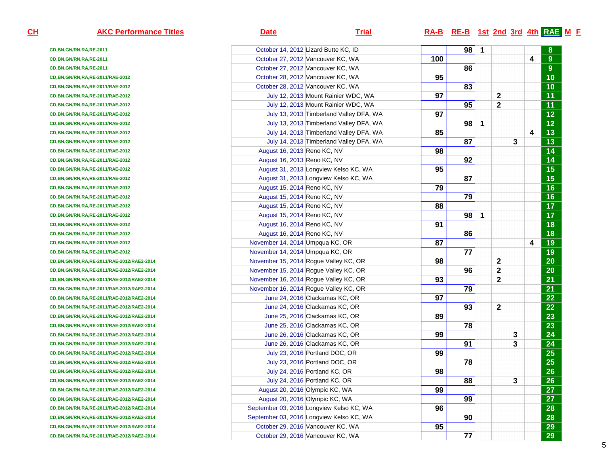| <b>AKC Performance Titles</b>                 | <u>Date</u>                     | <b>Trial</b>                             |     | $RA-B$ RE-B 1st 2nd 3rd 4th RAE M F |             |              |   |   |                 |
|-----------------------------------------------|---------------------------------|------------------------------------------|-----|-------------------------------------|-------------|--------------|---|---|-----------------|
| CD, BN, GN/RN, RA, RE-2011                    |                                 | October 14, 2012 Lizard Butte KC, ID     |     | 98                                  | $\mathbf 1$ |              |   |   |                 |
| CD, BN, GN/RN, RA, RE-2011                    |                                 | October 27, 2012 Vancouver KC, WA        | 100 |                                     |             |              |   | 4 | $9\,$           |
| CD, BN, GN/RN, RA, RE-2011                    |                                 | October 27, 2012 Vancouver KC, WA        |     | 86                                  |             |              |   |   | $9\,$           |
| CD, BN, GN/RN, RA, RE-2011/RAE-2012           |                                 | October 28, 2012 Vancouver KC, WA        | 95  |                                     |             |              |   |   | 10              |
| CD, BN, GN/RN, RA, RE-2011/RAE-2012           |                                 | October 28, 2012 Vancouver KC, WA        |     | 83                                  |             |              |   |   | 10              |
| CD, BN, GN/RN, RA, RE-2011/RAE-2012           |                                 | July 12, 2013 Mount Rainier WDC, WA      | 97  |                                     |             | 2            |   |   | 11              |
| CD, BN, GN/RN, RA, RE-2011/RAE-2012           |                                 | July 12, 2013 Mount Rainier WDC, WA      |     | 95                                  |             | 2            |   |   | 11              |
| CD, BN, GN/RN, RA, RE-2011/RAE-2012           |                                 | July 13, 2013 Timberland Valley DFA, WA  | 97  |                                     |             |              |   |   | $12$            |
| CD, BN, GN/RN, RA, RE-2011/RAE-2012           |                                 | July 13, 2013 Timberland Valley DFA, WA  |     | 98                                  | 1           |              |   |   | 12              |
| CD, BN, GN/RN, RA, RE-2011/RAE-2012           |                                 | July 14, 2013 Timberland Valley DFA, WA  | 85  |                                     |             |              |   | 4 | 13              |
| CD, BN, GN/RN, RA, RE-2011/RAE-2012           |                                 | July 14, 2013 Timberland Valley DFA, WA  |     | 87                                  |             |              | 3 |   | 13              |
| CD, BN, GN/RN, RA, RE-2011/RAE-2012           | August 16, 2013 Reno KC, NV     |                                          | 98  |                                     |             |              |   |   | 14              |
| CD, BN, GN/RN, RA, RE-2011/RAE-2012           | August 16, 2013 Reno KC, NV     |                                          |     | 92                                  |             |              |   |   | 14              |
| CD, BN, GN/RN, RA, RE-2011/RAE-2012           |                                 | August 31, 2013 Longview Kelso KC, WA    | 95  |                                     |             |              |   |   | $\overline{15}$ |
| CD, BN, GN/RN, RA, RE-2011/RAE-2012           |                                 | August 31, 2013 Longview Kelso KC, WA    |     | 87                                  |             |              |   |   | 15              |
| CD, BN, GN/RN, RA, RE-2011/RAE-2012           | August 15, 2014 Reno KC, NV     |                                          | 79  |                                     |             |              |   |   | 16              |
| CD, BN, GN/RN, RA, RE-2011/RAE-2012           | August 15, 2014 Reno KC, NV     |                                          |     | 79                                  |             |              |   |   | 16              |
| CD, BN, GN/RN, RA, RE-2011/RAE-2012           | August 15, 2014 Reno KC, NV     |                                          | 88  |                                     |             |              |   |   | 17              |
| CD, BN, GN/RN, RA, RE-2011/RAE-2012           | August 15, 2014 Reno KC, NV     |                                          |     | 98                                  | 1           |              |   |   | 17              |
| CD, BN, GN/RN, RA, RE-2011/RAE-2012           | August 16, 2014 Reno KC, NV     |                                          | 91  |                                     |             |              |   |   | 18              |
| CD, BN, GN/RN, RA, RE-2011/RAE-2012           | August 16, 2014 Reno KC, NV     |                                          |     | 86                                  |             |              |   |   | 18              |
| CD, BN, GN/RN, RA, RE-2011/RAE-2012           | November 14, 2014 Umpqua KC, OR |                                          | 87  |                                     |             |              |   | 4 | 19              |
| CD, BN, GN/RN, RA, RE-2011/RAE-2012           | November 14, 2014 Umpqua KC, OR |                                          |     | 77                                  |             |              |   |   | 19              |
| CD,BN,GN/RN,RA,RE-2011/RAE-2012/RAE2-2014     |                                 | November 15, 2014 Rogue Valley KC, OR    | 98  |                                     |             | 2            |   |   | 20              |
| CD,BN,GN/RN,RA,RE-2011/RAE-2012/RAE2-2014     |                                 | November 15, 2014 Rogue Valley KC, OR    |     | 96                                  |             | 2            |   |   | 20              |
| CD,BN,GN/RN,RA,RE-2011/RAE-2012/RAE2-2014     |                                 | November 16, 2014 Rogue Valley KC, OR    | 93  |                                     |             | $\mathbf{2}$ |   |   | 21              |
| CD,BN,GN/RN,RA,RE-2011/RAE-2012/RAE2-2014     |                                 | November 16, 2014 Rogue Valley KC, OR    |     | 79                                  |             |              |   |   | 21              |
| CD,BN,GN/RN,RA,RE-2011/RAE-2012/RAE2-2014     |                                 | June 24, 2016 Clackamas KC, OR           | 97  |                                     |             |              |   |   | 22              |
| CD,BN,GN/RN,RA,RE-2011/RAE-2012/RAE2-2014     |                                 | June 24, 2016 Clackamas KC, OR           |     | 93                                  |             | 2            |   |   | 22              |
| CD,BN,GN/RN,RA,RE-2011/RAE-2012/RAE2-2014     |                                 | June 25, 2016 Clackamas KC, OR           | 89  |                                     |             |              |   |   | 23              |
| CD,BN,GN/RN,RA,RE-2011/RAE-2012/RAE2-2014     |                                 | June 25, 2016 Clackamas KC, OR           |     | 78                                  |             |              |   |   | 23              |
| CD,BN,GN/RN,RA,RE-2011/RAE-2012/RAE2-2014     |                                 | June 26, 2016 Clackamas KC, OR           | 99  |                                     |             |              | 3 |   | 24              |
| CD,BN,GN/RN,RA,RE-2011/RAE-2012/RAE2-2014     |                                 | June 26, 2016 Clackamas KC, OR           |     | 91                                  |             |              | 3 |   | 24              |
| CD, BN, GN/RN, RA, RE-2011/RAE-2012/RAE2-2014 |                                 | July 23, 2016 Portland DOC, OR           | 99  |                                     |             |              |   |   | 25              |
| CD,BN,GN/RN,RA,RE-2011/RAE-2012/RAE2-2014     |                                 | July 23, 2016 Portland DOC, OR           |     | 78                                  |             |              |   |   | $\overline{25}$ |
| CD, BN, GN/RN, RA, RE-2011/RAE-2012/RAE2-2014 |                                 | July 24, 2016 Portland KC, OR            | 98  |                                     |             |              |   |   | $\overline{26}$ |
| CD,BN,GN/RN,RA,RE-2011/RAE-2012/RAE2-2014     |                                 | July 24, 2016 Portland KC, OR            |     | 88                                  |             |              | 3 |   | 26              |
| CD,BN,GN/RN,RA,RE-2011/RAE-2012/RAE2-2014     |                                 | August 20, 2016 Olympic KC, WA           | 99  |                                     |             |              |   |   | 27              |
| CD,BN,GN/RN,RA,RE-2011/RAE-2012/RAE2-2014     |                                 | August 20, 2016 Olympic KC, WA           |     | 99                                  |             |              |   |   | 27              |
| CD, BN, GN/RN, RA, RE-2011/RAE-2012/RAE2-2014 |                                 | September 03, 2016 Longview Kelso KC, WA | 96  |                                     |             |              |   |   | 28              |
| CD,BN,GN/RN,RA,RE-2011/RAE-2012/RAE2-2014     |                                 | September 03, 2016 Longview Kelso KC, WA |     | 90                                  |             |              |   |   | 28              |
| CD, BN, GN/RN, RA, RE-2011/RAE-2012/RAE2-2014 |                                 | October 29, 2016 Vancouver KC, WA        | 95  |                                     |             |              |   |   | 29              |
| CD,BN,GN/RN,RA,RE-2011/RAE-2012/RAE2-2014     |                                 | October 29, 2016 Vancouver KC, WA        |     | 77                                  |             |              |   |   | 29              |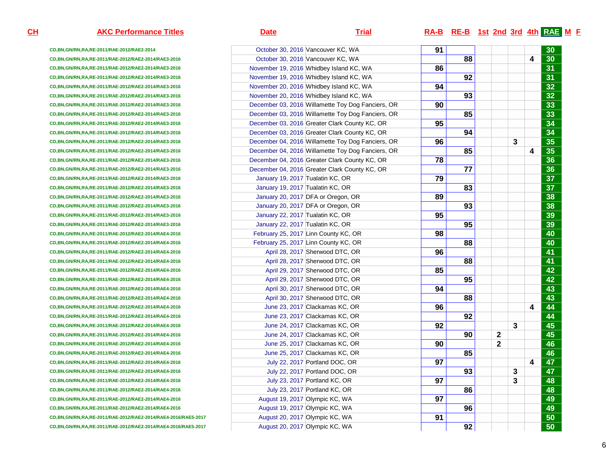| <b>AKC Performance Titles</b>                                 | <u>Date</u>                      | <u>Trial</u>                                      |    | $RA-B$ RE-B 1st 2nd 3rd 4th RAE M F |   |   |   |                 |
|---------------------------------------------------------------|----------------------------------|---------------------------------------------------|----|-------------------------------------|---|---|---|-----------------|
| CD, BN, GN/RN, RA, RE-2011/RAE-2012/RAE2-2014                 |                                  | October 30, 2016 Vancouver KC, WA                 | 91 |                                     |   |   |   | 30              |
| CD, BN, GN/RN, RA, RE-2011/RAE-2012/RAE2-2014/RAE3-2016       |                                  | October 30, 2016 Vancouver KC, WA                 |    | 88                                  |   |   | 4 | 30              |
| CD, BN, GN/RN, RA, RE-2011/RAE-2012/RAE2-2014/RAE3-2016       |                                  | November 19, 2016 Whidbey Island KC, WA           | 86 |                                     |   |   |   | 31              |
| CD,BN,GN/RN,RA,RE-2011/RAE-2012/RAE2-2014/RAE3-2016           |                                  | November 19, 2016 Whidbey Island KC, WA           |    | 92                                  |   |   |   | 31              |
| CD,BN,GN/RN,RA,RE-2011/RAE-2012/RAE2-2014/RAE3-2016           |                                  | November 20, 2016 Whidbey Island KC, WA           | 94 |                                     |   |   |   | 32              |
| CD,BN,GN/RN,RA,RE-2011/RAE-2012/RAE2-2014/RAE3-2016           |                                  | November 20, 2016 Whidbey Island KC, WA           |    | 93                                  |   |   |   | 32              |
| CD,BN,GN/RN,RA,RE-2011/RAE-2012/RAE2-2014/RAE3-2016           |                                  | December 03, 2016 Willamette Toy Dog Fanciers, OR | 90 |                                     |   |   |   | 33              |
| CD,BN,GN/RN,RA,RE-2011/RAE-2012/RAE2-2014/RAE3-2016           |                                  | December 03, 2016 Willamette Toy Dog Fanciers, OR |    | 85                                  |   |   |   | 33              |
| CD,BN,GN/RN,RA,RE-2011/RAE-2012/RAE2-2014/RAE3-2016           |                                  | December 03, 2016 Greater Clark County KC, OR     | 95 |                                     |   |   |   | 34              |
| CD,BN,GN/RN,RA,RE-2011/RAE-2012/RAE2-2014/RAE3-2016           |                                  | December 03, 2016 Greater Clark County KC, OR     |    | 94                                  |   |   |   | 34              |
| CD,BN,GN/RN,RA,RE-2011/RAE-2012/RAE2-2014/RAE3-2016           |                                  | December 04, 2016 Willamette Toy Dog Fanciers, OR | 96 |                                     |   | 3 |   | 35              |
| CD,BN,GN/RN,RA,RE-2011/RAE-2012/RAE2-2014/RAE3-2016           |                                  | December 04, 2016 Willamette Toy Dog Fanciers, OR |    | 85                                  |   |   | 4 | 35              |
| CD,BN,GN/RN,RA,RE-2011/RAE-2012/RAE2-2014/RAE3-2016           |                                  | December 04, 2016 Greater Clark County KC, OR     | 78 |                                     |   |   |   | 36              |
| CD,BN,GN/RN,RA,RE-2011/RAE-2012/RAE2-2014/RAE3-2016           |                                  | December 04, 2016 Greater Clark County KC, OR     |    | 77                                  |   |   |   | 36              |
| CD,BN,GN/RN,RA,RE-2011/RAE-2012/RAE2-2014/RAE3-2016           | January 19, 2017 Tualatin KC, OR |                                                   | 79 |                                     |   |   |   | 37              |
| CD,BN,GN/RN,RA,RE-2011/RAE-2012/RAE2-2014/RAE3-2016           | January 19, 2017 Tualatin KC, OR |                                                   |    | 83                                  |   |   |   | 37              |
| CD,BN,GN/RN,RA,RE-2011/RAE-2012/RAE2-2014/RAE3-2016           |                                  | January 20, 2017 DFA or Oregon, OR                | 89 |                                     |   |   |   | 38              |
| CD,BN,GN/RN,RA,RE-2011/RAE-2012/RAE2-2014/RAE3-2016           |                                  | January 20, 2017 DFA or Oregon, OR                |    | 93                                  |   |   |   | 38              |
| CD,BN,GN/RN,RA,RE-2011/RAE-2012/RAE2-2014/RAE3-2016           | January 22, 2017 Tualatin KC, OR |                                                   | 95 |                                     |   |   |   | 39              |
| CD,BN,GN/RN,RA,RE-2011/RAE-2012/RAE2-2014/RAE3-2016           | January 22, 2017 Tualatin KC, OR |                                                   |    | 95                                  |   |   |   | 39              |
| CD,BN,GN/RN,RA,RE-2011/RAE-2012/RAE2-2014/RAE4-2016           |                                  | February 25, 2017 Linn County KC, OR              | 98 |                                     |   |   |   | 40              |
| CD,BN,GN/RN,RA,RE-2011/RAE-2012/RAE2-2014/RAE4-2016           |                                  | February 25, 2017 Linn County KC, OR              |    | 88                                  |   |   |   | 40              |
| CD, BN, GN/RN, RA, RE-2011/RAE-2012/RAE2-2014/RAE4-2016       |                                  | April 28, 2017 Sherwood DTC, OR                   | 96 |                                     |   |   |   | 41              |
| CD, BN, GN/RN, RA, RE-2011/RAE-2012/RAE2-2014/RAE4-2016       |                                  | April 28, 2017 Sherwood DTC, OR                   |    | 88                                  |   |   |   | 41              |
| CD, BN, GN/RN, RA, RE-2011/RAE-2012/RAE2-2014/RAE4-2016       |                                  | April 29, 2017 Sherwood DTC, OR                   | 85 |                                     |   |   |   | $\overline{42}$ |
| CD, BN, GN/RN, RA, RE-2011/RAE-2012/RAE2-2014/RAE4-2016       |                                  | April 29, 2017 Sherwood DTC, OR                   |    | 95                                  |   |   |   | 42              |
| CD, BN, GN/RN, RA, RE-2011/RAE-2012/RAE2-2014/RAE4-2016       |                                  | April 30, 2017 Sherwood DTC, OR                   | 94 |                                     |   |   |   | 43              |
| CD, BN, GN/RN, RA, RE-2011/RAE-2012/RAE2-2014/RAE4-2016       |                                  | April 30, 2017 Sherwood DTC, OR                   |    | 88                                  |   |   |   | $\overline{43}$ |
| CD, BN, GN/RN, RA, RE-2011/RAE-2012/RAE2-2014/RAE4-2016       |                                  | June 23, 2017 Clackamas KC, OR                    | 96 |                                     |   |   | 4 | 44              |
| CD, BN, GN/RN, RA, RE-2011/RAE-2012/RAE2-2014/RAE4-2016       |                                  | June 23, 2017 Clackamas KC, OR                    |    | 92                                  |   |   |   | 44              |
| CD, BN, GN/RN, RA, RE-2011/RAE-2012/RAE2-2014/RAE4-2016       |                                  | June 24, 2017 Clackamas KC, OR                    | 92 |                                     |   | 3 |   | 45              |
| CD, BN, GN/RN, RA, RE-2011/RAE-2012/RAE2-2014/RAE4-2016       |                                  | June 24, 2017 Clackamas KC, OR                    |    | 90                                  | 2 |   |   | 45              |
| CD,BN,GN/RN,RA,RE-2011/RAE-2012/RAE2-2014/RAE4-2016           |                                  | June 25, 2017 Clackamas KC, OR                    | 90 |                                     | 2 |   |   | 46              |
| CD,BN,GN/RN,RA,RE-2011/RAE-2012/RAE2-2014/RAE4-2016           |                                  | June 25, 2017 Clackamas KC, OR                    |    | 85                                  |   |   |   | 46              |
| CD, BN, GN/RN, RA, RE-2011/RAE-2012/RAE2-2014/RAE4-2016       |                                  | July 22, 2017 Portland DOC, OR                    | 97 |                                     |   |   | 4 | 47              |
| CD, BN, GN/RN, RA, RE-2011/RAE-2012/RAE2-2014/RAE4-2016       |                                  | July 22, 2017 Portland DOC, OR                    |    | 93                                  |   | 3 |   | $\overline{47}$ |
| CD, BN, GN/RN, RA, RE-2011/RAE-2012/RAE2-2014/RAE4-2016       |                                  | July 23, 2017 Portland KC, OR                     | 97 |                                     |   | 3 |   | 48              |
| CD,BN,GN/RN,RA,RE-2011/RAE-2012/RAE2-2014/RAE4-2016           |                                  | July 23, 2017 Portland KC, OR                     |    | 86                                  |   |   |   | 48              |
| CD, BN, GN/RN, RA, RE-2011/RAE-2012/RAE2-2014/RAE4-2016       |                                  | August 19, 2017 Olympic KC, WA                    | 97 |                                     |   |   |   | 49              |
| CD, BN, GN/RN, RA, RE-2011/RAE-2012/RAE2-2014/RAE4-2016       |                                  | August 19, 2017 Olympic KC, WA                    |    | 96                                  |   |   |   | 49              |
| CD,BN,GN/RN,RA,RE-2011/RAE-2012/RAE2-2014/RAE4-2016/RAE5-2017 |                                  | August 20, 2017 Olympic KC, WA                    | 91 |                                     |   |   |   | 50              |
| CD,BN,GN/RN,RA,RE-2011/RAE-2012/RAE2-2014/RAE4-2016/RAE5-2017 |                                  | August 20, 2017 Olympic KC, WA                    |    | 92                                  |   |   |   | 50              |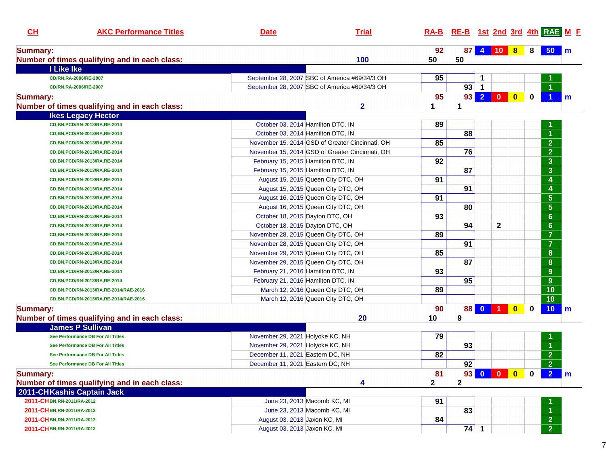| CL              | <b>AKC Performance Titles</b>                 | <b>Date</b>                      | <b>Trial</b>                                    |              |                 | RA-B RE-B 1st 2nd 3rd 4th RAE M F |                                                                    |             |                                      |              |
|-----------------|-----------------------------------------------|----------------------------------|-------------------------------------------------|--------------|-----------------|-----------------------------------|--------------------------------------------------------------------|-------------|--------------------------------------|--------------|
| <b>Summary:</b> |                                               |                                  |                                                 | 92           | 87              | 4 10 8                            |                                                                    | 8           | $50 \mid m$                          |              |
|                 | Number of times qualifying and in each class: |                                  | 100                                             | 50           | 50              |                                   |                                                                    |             |                                      |              |
|                 | I Like Ike                                    |                                  |                                                 |              |                 |                                   |                                                                    |             |                                      |              |
|                 | CD/RN,RA-2006/RE-2007                         |                                  | September 28, 2007 SBC of America #69/34/3 OH   | 95           |                 | 1                                 |                                                                    |             |                                      |              |
|                 | CD/RN,RA-2006/RE-2007                         |                                  | September 28, 2007 SBC of America #69/34/3 OH   |              | 93              | $\mathbf{1}$                      |                                                                    |             |                                      |              |
| <b>Summary:</b> |                                               |                                  |                                                 | 95           | 93 <sup>1</sup> |                                   |                                                                    | $\mathbf 0$ |                                      | m            |
|                 | Number of times qualifying and in each class: |                                  | $\overline{\mathbf{2}}$                         | 1            | 1               |                                   |                                                                    |             |                                      |              |
|                 | <b>Ikes Legacy Hector</b>                     |                                  |                                                 |              |                 |                                   |                                                                    |             |                                      |              |
|                 | CD, BN, PCD/RN-2013/RA, RE-2014               |                                  | October 03, 2014 Hamilton DTC, IN               | 89           |                 |                                   |                                                                    |             |                                      |              |
|                 | CD, BN, PCD/RN-2013/RA, RE-2014               |                                  | October 03, 2014 Hamilton DTC, IN               |              | 88              |                                   |                                                                    |             |                                      |              |
|                 | CD, BN, PCD/RN-2013/RA, RE-2014               |                                  | November 15, 2014 GSD of Greater Cincinnati, OH | 85           |                 |                                   |                                                                    |             | $\overline{2}$                       |              |
|                 | CD, BN, PCD/RN-2013/RA, RE-2014               |                                  | November 15, 2014 GSD of Greater Cincinnati, OH |              | 76              |                                   |                                                                    |             | $\overline{2}$                       |              |
|                 | CD, BN, PCD/RN-2013/RA, RE-2014               |                                  | February 15, 2015 Hamilton DTC, IN              | 92           |                 |                                   |                                                                    |             | $\overline{\mathbf{3}}$              |              |
|                 | CD, BN, PCD/RN-2013/RA, RE-2014               |                                  | February 15, 2015 Hamilton DTC, IN              |              | 87              |                                   |                                                                    |             | $\overline{\mathbf{3}}$              |              |
|                 | CD, BN, PCD/RN-2013/RA, RE-2014               |                                  | August 15, 2015 Queen City DTC, OH              | 91           |                 |                                   |                                                                    |             | $\overline{\mathbf{4}}$              |              |
|                 | CD, BN, PCD/RN-2013/RA, RE-2014               |                                  | August 15, 2015 Queen City DTC, OH              |              | 91              |                                   |                                                                    |             | 4                                    |              |
|                 | CD, BN, PCD/RN-2013/RA, RE-2014               |                                  | August 16, 2015 Queen City DTC, OH              | 91           |                 |                                   |                                                                    |             | $\overline{\overline{\mathbf{5}}}$   |              |
|                 | CD, BN, PCD/RN-2013/RA, RE-2014               |                                  | August 16, 2015 Queen City DTC, OH              |              | 80              |                                   |                                                                    |             | $\overline{\overline{\overline{5}}}$ |              |
|                 | CD, BN, PCD/RN-2013/RA, RE-2014               |                                  | October 18, 2015 Dayton DTC, OH                 | 93           |                 |                                   |                                                                    |             | $6\phantom{a}$                       |              |
|                 | CD, BN, PCD/RN-2013/RA, RE-2014               |                                  | October 18, 2015 Dayton DTC, OH                 |              | 94              | $\mathbf 2$                       |                                                                    |             | $\boldsymbol{6}$                     |              |
|                 | CD, BN, PCD/RN-2013/RA, RE-2014               |                                  | November 28, 2015 Queen City DTC, OH            | 89           |                 |                                   |                                                                    |             | $\overline{\mathbf{7}}$              |              |
|                 | CD, BN, PCD/RN-2013/RA, RE-2014               |                                  | November 28, 2015 Queen City DTC, OH            |              | 91              |                                   |                                                                    |             | $\overline{\mathbf{7}}$              |              |
|                 | CD, BN, PCD/RN-2013/RA, RE-2014               |                                  | November 29, 2015 Queen City DTC, OH            | 85           |                 |                                   |                                                                    |             | ${\bf 8}$                            |              |
|                 | CD, BN, PCD/RN-2013/RA, RE-2014               |                                  | November 29, 2015 Queen City DTC, OH            |              | 87              |                                   |                                                                    |             | ${\bf 8}$                            |              |
|                 | CD, BN, PCD/RN-2013/RA, RE-2014               |                                  | February 21, 2016 Hamilton DTC, IN              | 93           |                 |                                   |                                                                    |             | 9                                    |              |
|                 | CD, BN, PCD/RN-2013/RA, RE-2014               |                                  | February 21, 2016 Hamilton DTC, IN              |              | 95              |                                   |                                                                    |             | 9                                    |              |
|                 | CD, BN, PCD/RN-2013/RA, RE-2014/RAE-2016      |                                  | March 12, 2016 Queen City DTC, OH               | 89           |                 |                                   |                                                                    |             | 10                                   |              |
|                 | CD, BN, PCD/RN-2013/RA, RE-2014/RAE-2016      |                                  | March 12, 2016 Queen City DTC, OH               |              |                 |                                   |                                                                    |             | 10                                   |              |
| <b>Summary:</b> |                                               |                                  |                                                 | 90           | 88              | $0$ 1                             | $\overline{\mathbf{0}}$                                            | 0           | 10 <sub>1</sub>                      | $\mathsf{m}$ |
|                 | Number of times qualifying and in each class: |                                  | 20                                              | 10           | 9               |                                   |                                                                    |             |                                      |              |
|                 | <b>James P Sullivan</b>                       |                                  |                                                 |              |                 |                                   |                                                                    |             |                                      |              |
|                 | See Performance DB For All Titles             | November 29, 2021 Holyoke KC, NH |                                                 | 79           |                 |                                   |                                                                    |             |                                      |              |
|                 | See Performance DB For All Titles             | November 29, 2021 Holyoke KC, NH |                                                 |              | 93              |                                   |                                                                    |             | $\blacktriangleleft$                 |              |
|                 | See Performance DB For All Titles             | December 11, 2021 Eastern DC, NH |                                                 | 82           |                 |                                   |                                                                    |             | $\overline{2}$                       |              |
|                 | See Performance DB For All Titles             | December 11, 2021 Eastern DC, NH |                                                 |              | 92              |                                   |                                                                    |             | $\overline{2}$                       |              |
| <b>Summary:</b> |                                               |                                  |                                                 | 81           | 93              | $\overline{\mathbf{0}}$           | $\begin{array}{ c c c c c }\n\hline\n0 & 0 \\ \hline\n\end{array}$ | 0           | 2 <sup>1</sup>                       | $\mathbf{m}$ |
|                 | Number of times qualifying and in each class: |                                  | 4                                               | $\mathbf{2}$ | $\mathbf{2}$    |                                   |                                                                    |             |                                      |              |
|                 | 2011-CHKashis Captain Jack                    |                                  |                                                 |              |                 |                                   |                                                                    |             |                                      |              |
|                 | 2011-CHBN,RN-2011/RA-2012                     |                                  | June 23, 2013 Macomb KC, MI                     | 91           |                 |                                   |                                                                    |             |                                      |              |
|                 | 2011-CHBN,RN-2011/RA-2012                     |                                  | June 23, 2013 Macomb KC, MI                     |              | 83              |                                   |                                                                    |             | $\blacktriangleleft$                 |              |
|                 | 2011-CHBN,RN-2011/RA-2012                     | August 03, 2013 Jaxon KC, MI     |                                                 | 84           |                 |                                   |                                                                    |             | $\overline{2}$                       |              |
|                 |                                               | August 03, 2013 Jaxon KC, MI     |                                                 |              |                 |                                   |                                                                    |             |                                      |              |
|                 | 2011-CHBN,RN-2011/RA-2012                     |                                  |                                                 |              | $74$ 1          |                                   |                                                                    |             | 2 <sup>1</sup>                       |              |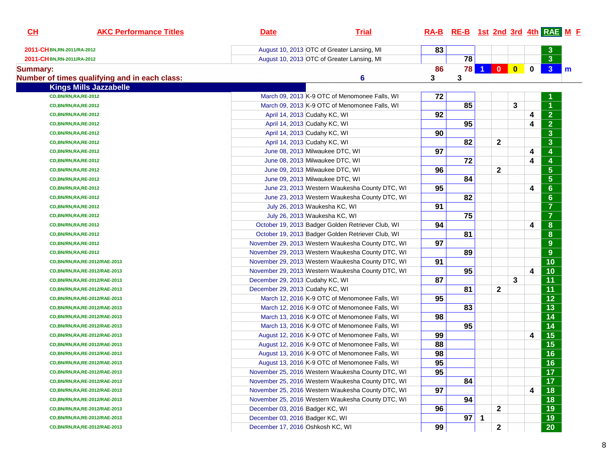| CL                          | <b>AKC Performance Titles</b>                 | <b>Date</b>                      | <b>Trial</b>                                      |    | RA-B RE-B 1st 2nd 3rd 4th RAE M E |              |                |   |                         |                                    |              |
|-----------------------------|-----------------------------------------------|----------------------------------|---------------------------------------------------|----|-----------------------------------|--------------|----------------|---|-------------------------|------------------------------------|--------------|
| 2011-CH BN, RN-2011/RA-2012 |                                               |                                  | August 10, 2013 OTC of Greater Lansing, MI        | 83 |                                   |              |                |   |                         |                                    |              |
| 2011-CHBN,RN-2011/RA-2012   |                                               |                                  | August 10, 2013 OTC of Greater Lansing, MI        |    | 78                                |              |                |   |                         | $\overline{\overline{\mathbf{3}}}$ |              |
| <b>Summary:</b>             |                                               |                                  |                                                   | 86 |                                   |              | 78 1 0 0       |   | $\mathbf 0$             | 3 <sup>7</sup>                     | $\mathsf{m}$ |
|                             | Number of times qualifying and in each class: |                                  | 6                                                 | 3  | 3                                 |              |                |   |                         |                                    |              |
|                             | <b>Kings Mills Jazzabelle</b>                 |                                  |                                                   |    |                                   |              |                |   |                         |                                    |              |
|                             | CD, BN/RN, RA, RE-2012                        |                                  | March 09, 2013 K-9 OTC of Menomonee Falls, WI     | 72 |                                   |              |                |   |                         |                                    |              |
|                             | CD, BN/RN, RA, RE-2012                        |                                  | March 09, 2013 K-9 OTC of Menomonee Falls, WI     |    | 85                                |              |                | 3 |                         | $\overline{1}$                     |              |
|                             | CD, BN/RN, RA, RE-2012                        | April 14, 2013 Cudahy KC, WI     |                                                   | 92 |                                   |              |                |   | 4                       | 2 <sup>7</sup>                     |              |
|                             | <b>CD, BN/RN, RA, RE-2012</b>                 | April 14, 2013 Cudahy KC, WI     |                                                   |    | 95                                |              |                |   | 4                       | $\overline{2}$                     |              |
|                             | <b>CD, BN/RN, RA, RE-2012</b>                 | April 14, 2013 Cudahy KC, WI     |                                                   | 90 |                                   |              |                |   |                         | 3 <sup>1</sup>                     |              |
|                             | <b>CD, BN/RN, RA, RE-2012</b>                 | April 14, 2013 Cudahy KC, WI     |                                                   |    | 82                                |              | $\mathbf{2}$   |   |                         | 3 <sup>1</sup>                     |              |
|                             | <b>CD, BN/RN, RA, RE-2012</b>                 | June 08, 2013 Milwaukee DTC, WI  |                                                   | 97 |                                   |              |                |   | 4                       | $\overline{\mathbf{4}}$            |              |
|                             | <b>CD, BN/RN, RA, RE-2012</b>                 | June 08, 2013 Milwaukee DTC, WI  |                                                   |    | 72                                |              |                |   | 4                       | $\overline{\mathbf{4}}$            |              |
|                             | <b>CD, BN/RN, RA, RE-2012</b>                 | June 09, 2013 Milwaukee DTC, WI  |                                                   | 96 |                                   |              | $\overline{2}$ |   |                         | 5 <sub>5</sub>                     |              |
|                             | <b>CD, BN/RN, RA, RE-2012</b>                 | June 09, 2013 Milwaukee DTC, WI  |                                                   |    | 84                                |              |                |   |                         | 5 <sub>1</sub>                     |              |
|                             | <b>CD, BN/RN, RA, RE-2012</b>                 |                                  | June 23, 2013 Western Waukesha County DTC, WI     | 95 |                                   |              |                |   | 4                       | 6 <sup>°</sup>                     |              |
|                             | <b>CD, BN/RN, RA, RE-2012</b>                 |                                  | June 23, 2013 Western Waukesha County DTC, WI     |    | 82                                |              |                |   |                         | 6 <sup>1</sup>                     |              |
|                             | <b>CD, BN/RN, RA, RE-2012</b>                 | July 26, 2013 Waukesha KC, WI    |                                                   | 91 |                                   |              |                |   |                         | $\overline{7}$                     |              |
|                             | <b>CD, BN/RN, RA, RE-2012</b>                 | July 26, 2013 Waukesha KC, WI    |                                                   |    | 75                                |              |                |   |                         | $\overline{7}$                     |              |
|                             | <b>CD, BN/RN, RA, RE-2012</b>                 |                                  | October 19, 2013 Badger Golden Retriever Club, WI | 94 |                                   |              |                |   | 4                       | 8                                  |              |
|                             | <b>CD, BN/RN, RA, RE-2012</b>                 |                                  | October 19, 2013 Badger Golden Retriever Club, WI |    | 81                                |              |                |   |                         | 8                                  |              |
|                             | <b>CD, BN/RN, RA, RE-2012</b>                 |                                  | November 29, 2013 Western Waukesha County DTC, WI | 97 |                                   |              |                |   |                         | 9 <sup>°</sup>                     |              |
|                             | <b>CD, BN/RN, RA, RE-2012</b>                 |                                  | November 29, 2013 Western Waukesha County DTC, WI |    | 89                                |              |                |   |                         | 9 <sup>°</sup>                     |              |
|                             | CD, BN/RN, RA, RE-2012/RAE-2013               |                                  | November 29, 2013 Western Waukesha County DTC, WI | 91 |                                   |              |                |   |                         | 10                                 |              |
|                             | CD, BN/RN, RA, RE-2012/RAE-2013               |                                  | November 29, 2013 Western Waukesha County DTC, WI |    | 95                                |              |                |   | $\overline{\mathbf{4}}$ | 10                                 |              |
|                             | CD, BN/RN, RA, RE-2012/RAE-2013               | December 29, 2013 Cudahy KC, WI  |                                                   | 87 |                                   |              |                | 3 |                         | 11                                 |              |
|                             | CD, BN/RN, RA, RE-2012/RAE-2013               | December 29, 2013 Cudahy KC, WI  |                                                   |    | 81                                |              | $\mathbf{2}$   |   |                         | 11                                 |              |
|                             | CD, BN/RN, RA, RE-2012/RAE-2013               |                                  | March 12, 2016 K-9 OTC of Menomonee Falls, WI     | 95 |                                   |              |                |   |                         | $\overline{12}$                    |              |
|                             | CD, BN/RN, RA, RE-2012/RAE-2013               |                                  | March 12, 2016 K-9 OTC of Menomonee Falls, WI     |    | 83                                |              |                |   |                         | 13                                 |              |
|                             | CD, BN/RN, RA, RE-2012/RAE-2013               |                                  | March 13, 2016 K-9 OTC of Menomonee Falls, WI     | 98 |                                   |              |                |   |                         | 14                                 |              |
|                             | CD, BN/RN, RA, RE-2012/RAE-2013               |                                  | March 13, 2016 K-9 OTC of Menomonee Falls, WI     |    | 95                                |              |                |   |                         | 14                                 |              |
|                             | CD, BN/RN, RA, RE-2012/RAE-2013               |                                  | August 12, 2016 K-9 OTC of Menomonee Falls, WI    | 99 |                                   |              |                |   | 4                       | $\overline{15}$                    |              |
|                             | CD, BN/RN, RA, RE-2012/RAE-2013               |                                  | August 12, 2016 K-9 OTC of Menomonee Falls, WI    | 88 |                                   |              |                |   |                         | 15                                 |              |
|                             | CD, BN/RN, RA, RE-2012/RAE-2013               |                                  | August 13, 2016 K-9 OTC of Menomonee Falls, WI    | 98 |                                   |              |                |   |                         | 16                                 |              |
|                             | CD, BN/RN, RA, RE-2012/RAE-2013               |                                  | August 13, 2016 K-9 OTC of Menomonee Falls, WI    | 95 |                                   |              |                |   |                         | $\overline{16}$                    |              |
|                             | CD, BN/RN, RA, RE-2012/RAE-2013               |                                  | November 25, 2016 Western Waukesha County DTC, WI | 95 |                                   |              |                |   |                         | 17 <sub>z</sub>                    |              |
|                             | CD, BN/RN, RA, RE-2012/RAE-2013               |                                  | November 25, 2016 Western Waukesha County DTC, WI |    | 84                                |              |                |   |                         | 17 <sub>2</sub>                    |              |
|                             | CD, BN/RN, RA, RE-2012/RAE-2013               |                                  | November 25, 2016 Western Waukesha County DTC, WI | 97 |                                   |              |                |   | 4                       | 18                                 |              |
|                             | CD, BN/RN, RA, RE-2012/RAE-2013               |                                  | November 25, 2016 Western Waukesha County DTC, WI |    | 94                                |              |                |   |                         | 18                                 |              |
|                             | CD, BN/RN, RA, RE-2012/RAE-2013               | December 03, 2016 Badger KC, WI  |                                                   | 96 |                                   |              | $\mathbf{2}$   |   |                         | 19                                 |              |
|                             | CD, BN/RN, RA, RE-2012/RAE-2013               | December 03, 2016 Badger KC, WI  |                                                   |    | $97 \vert$                        | $\mathbf{1}$ |                |   |                         | 19                                 |              |
|                             | CD, BN/RN, RA, RE-2012/RAE-2013               | December 17, 2016 Oshkosh KC, WI |                                                   | 99 |                                   |              | $\mathbf 2$    |   |                         | 20                                 |              |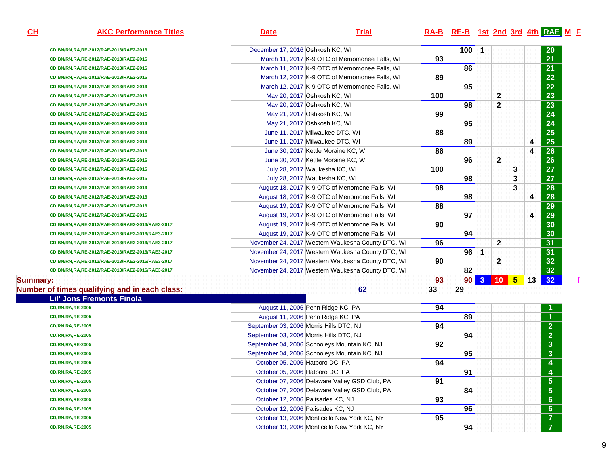**CD,BN/RN,RA,RE-2012/RAE-2013/RAE2-2016CD,BN/RN,RA,RE-2012/RAE-2013/RAE2-2016CD,BN/RN,RA,RE-2012/RAE-2013/RAE2-2016CD,BN/RN,RA,RE-2012/RAE-2013/RAE2-2016CD,BN/RN,RA,RE-2012/RAE-2013/RAE2-2016CD,BN/RN,RA,RE-2012/RAE-2013/RAE2-2016CD,BN/RN,RA,RE-2012/RAE-2013/RAE2-2016CD,BN/RN,RA,RE-2012/RAE-2013/RAE2-2016CD,BN/RN,RA,RE-2012/RAE-2013/RAE2-2016CD,BN/RN,RA,RE-2012/RAE-2013/RAE2-2016CD,BN/RN,RA,RE-2012/RAE-2013/RAE2-2016CD,BN/RN,RA,RE-2012/RAE-2013/RAE2-2016CD,BN/RN,RA,RE-2012/RAE-2013/RAE2-2016CD,BN/RN,RA,RE-2012/RAE-2013/RAE2-2016CD,BN/RN,RA,RE-2012/RAE-2013/RAE2-2016CD,BN/RN,RA,RE-2012/RAE-2013/RAE2-2016CD,BN/RN,RA,RE-2012/RAE-2013/RAE2-2016CD,BN/RN,RA,RE-2012/RAE-2013/RAE2-2016CD,BN/RN,RA,RE-2012/RAE-2013/RAE2-2016CD,BN/RN,RA,RE-2012/RAE-2013/RAE2-2016/RAE3-2017CD,BN/RN,RA,RE-2012/RAE-2013/RAE2-2016/RAE3-2017CD,BN/RN,RA,RE-2012/RAE-2013/RAE2-2016/RAE3-2017CD,BN/RN,RA,RE-2012/RAE-2013/RAE2-2016/RAE3-2017CD,BN/RN,RA,RE-2012/RAE-2013/RAE2-2016/RAE3-2017CD,BN/RN,RA,RE-2012/RAE-2013/RAE2-2016/RAE3-2017**

# **AKC Performance Titles Date Trial RA-B RE-B 1st 2nd 3rd 4th RAE <sup>M</sup> <sup>F</sup>**

| ıa and in each class:     |                                  | 62                                                | 33  | 29  |                      |                 |                 |    |                 |
|---------------------------|----------------------------------|---------------------------------------------------|-----|-----|----------------------|-----------------|-----------------|----|-----------------|
|                           |                                  |                                                   | 93  | 90  | $\mathbf{3}$         | 10 <sub>1</sub> | $5\phantom{.0}$ | 13 | 32 <sub>2</sub> |
| -2013/RAE2-2016/RAE3-2017 |                                  | November 24, 2017 Western Waukesha County DTC, WI |     | 82  |                      |                 |                 |    | 32 <sub>2</sub> |
| -2013/RAE2-2016/RAE3-2017 |                                  | November 24, 2017 Western Waukesha County DTC, WI | 90  |     |                      | $\mathbf{2}$    |                 |    | 32 <sub>2</sub> |
| -2013/RAE2-2016/RAE3-2017 |                                  | November 24, 2017 Western Waukesha County DTC, WI |     | 96  | $\blacktriangleleft$ |                 |                 |    | 31              |
| -2013/RAE2-2016/RAE3-2017 |                                  | November 24, 2017 Western Waukesha County DTC, WI | 96  |     |                      | $\mathbf{2}$    |                 |    | 31              |
| -2013/RAE2-2016/RAE3-2017 |                                  | August 19, 2017 K-9 OTC of Menomone Falls, WI     |     | 94  |                      |                 |                 |    | 30              |
| -2013/RAE2-2016/RAE3-2017 |                                  | August 19, 2017 K-9 OTC of Menomone Falls, WI     | 90  |     |                      |                 |                 |    | 30              |
| -2013/RAE2-2016           |                                  | August 19, 2017 K-9 OTC of Menomone Falls, WI     |     | 97  |                      |                 |                 | 4  | 29              |
| -2013/RAE2-2016           |                                  | August 19, 2017 K-9 OTC of Menomone Falls, WI     | 88  |     |                      |                 |                 |    | 29              |
| -2013/RAE2-2016           |                                  | August 18, 2017 K-9 OTC of Menomone Falls, WI     |     | 98  |                      |                 |                 | 4  | 28              |
| -2013/RAE2-2016           |                                  | August 18, 2017 K-9 OTC of Menomone Falls, WI     | 98  |     |                      |                 | 3               |    | 28              |
| -2013/RAE2-2016           |                                  | July 28, 2017 Waukesha KC, WI                     |     | 98  |                      |                 | 3               |    | 27              |
| -2013/RAE2-2016           |                                  | July 28, 2017 Waukesha KC, WI                     | 100 |     |                      |                 | 3               |    | 27              |
| -2013/RAE2-2016           |                                  | June 30, 2017 Kettle Moraine KC, WI               |     | 96  |                      | $\mathbf{2}$    |                 |    | 26              |
| -2013/RAE2-2016           |                                  | June 30, 2017 Kettle Moraine KC, WI               | 86  |     |                      |                 |                 | 4  | 26              |
| -2013/RAE2-2016           |                                  | June 11, 2017 Milwaukee DTC, WI                   |     | 89  |                      |                 |                 | 4  | 25              |
| -2013/RAE2-2016           |                                  | June 11, 2017 Milwaukee DTC, WI                   | 88  |     |                      |                 |                 |    | 25              |
| -2013/RAE2-2016           |                                  | May 21, 2017 Oshkosh KC, WI                       |     | 95  |                      |                 |                 |    | 24              |
| -2013/RAE2-2016           |                                  | May 21, 2017 Oshkosh KC, WI                       | 99  |     |                      |                 |                 |    | 24              |
| -2013/RAE2-2016           |                                  | May 20, 2017 Oshkosh KC, WI                       |     | 98  |                      | $\mathbf{2}$    |                 |    | 23              |
| -2013/RAE2-2016           |                                  | May 20, 2017 Oshkosh KC, WI                       | 100 |     |                      | 2               |                 |    | 23              |
| -2013/RAE2-2016           |                                  | March 12, 2017 K-9 OTC of Memomonee Falls, WI     |     | 95  |                      |                 |                 |    | 22 <sub>2</sub> |
| -2013/RAE2-2016           |                                  | March 12, 2017 K-9 OTC of Memomonee Falls, WI     | 89  |     |                      |                 |                 |    | 22 <sub>2</sub> |
| -2013/RAE2-2016           |                                  | March 11, 2017 K-9 OTC of Memomonee Falls, WI     |     | 86  |                      |                 |                 |    | 21              |
| -2013/RAE2-2016           |                                  | March 11, 2017 K-9 OTC of Memomonee Falls, WI     | 93  |     |                      |                 |                 |    | 21              |
| -2013/RAE2-2016           | December 17, 2016 Oshkosh KC, WI |                                                   |     | 100 | -1                   |                 |                 |    | 20              |

### **Summary:**

### **Number of times qualifying and in each class:**

| ber of times qualifying and in each class: |                                 | 62                                            | 33 | 29 |                      |
|--------------------------------------------|---------------------------------|-----------------------------------------------|----|----|----------------------|
| <b>Lil' Jons Fremonts Finola</b>           |                                 |                                               |    |    |                      |
| <b>CD/RN, RA, RE-2005</b>                  |                                 | August 11, 2006 Penn Ridge KC, PA             | 94 |    | $\mathbf 1$          |
| <b>CD/RN,RA,RE-2005</b>                    |                                 | August 11, 2006 Penn Ridge KC, PA             |    | 89 | $\blacktriangleleft$ |
| <b>CD/RN,RA,RE-2005</b>                    |                                 | September 03, 2006 Morris Hills DTC, NJ       | 94 |    | 2 <sup>7</sup>       |
| <b>CD/RN,RA,RE-2005</b>                    |                                 | September 03, 2006 Morris Hills DTC, NJ       |    | 94 | 2 <sup>1</sup>       |
| <b>CD/RN,RA,RE-2005</b>                    |                                 | September 04, 2006 Schooleys Mountain KC, NJ  | 92 |    | 3 <sup>2</sup>       |
| <b>CD/RN,RA,RE-2005</b>                    |                                 | September 04, 2006 Schooleys Mountain KC, NJ  |    | 95 | 3 <sup>°</sup>       |
| <b>CD/RN,RA,RE-2005</b>                    | October 05, 2006 Hatboro DC, PA |                                               | 94 |    | $\overline{4}$       |
| <b>CD/RN,RA,RE-2005</b>                    | October 05, 2006 Hatboro DC, PA |                                               |    | 91 | <b>A</b>             |
| <b>CD/RN,RA,RE-2005</b>                    |                                 | October 07, 2006 Delaware Valley GSD Club, PA | 91 |    | 5 <sup>1</sup>       |
| <b>CD/RN,RA,RE-2005</b>                    |                                 | October 07, 2006 Delaware Valley GSD Club, PA |    | 84 | 5 <sup>1</sup>       |
| <b>CD/RN,RA,RE-2005</b>                    |                                 | October 12, 2006 Palisades KC, NJ             | 93 |    | 6 <sup>1</sup>       |
| <b>CD/RN,RA,RE-2005</b>                    |                                 | October 12, 2006 Palisades KC, NJ             |    | 96 | 6 <sup>1</sup>       |
| <b>CD/RN,RA,RE-2005</b>                    |                                 | October 13, 2006 Monticello New York KC, NY   | 95 |    | $\overline{7}$       |
| <b>CD/RN, RA, RE-2005</b>                  |                                 | October 13, 2006 Monticello New York KC, NY   |    | 94 | 7 <sup>7</sup>       |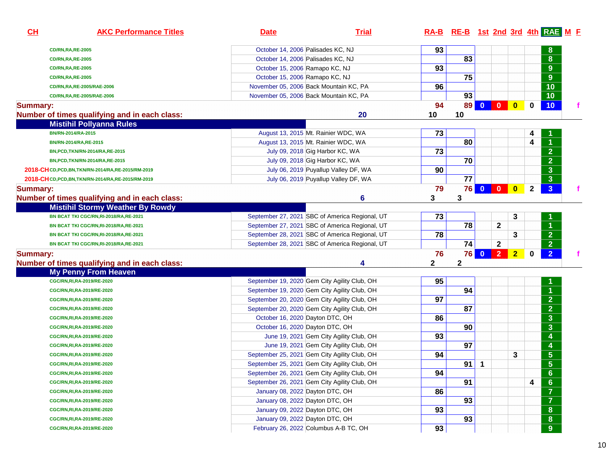| October 14, 2006 Palisades KC, NJ<br>93<br>8<br><b>CD/RN,RA,RE-2005</b><br>83<br>8<br>October 14, 2006 Palisades KC, NJ<br><b>CD/RN,RA,RE-2005</b><br>93<br>9<br>October 15, 2006 Ramapo KC, NJ<br><b>CD/RN,RA,RE-2005</b><br>75<br>9<br>October 15, 2006 Ramapo KC, NJ<br><b>CD/RN,RA,RE-2005</b><br>10<br>96<br>November 05, 2006 Back Mountain KC, PA<br>CD/RN,RA,RE-2005/RAE-2006<br>93<br>10<br>November 05, 2006 Back Mountain KC, PA<br>CD/RN, RA, RE-2005/RAE-2006<br>94<br>89<br>$\bullet$<br><b>Summary:</b><br>$\bf{0}$<br>10 <sub>1</sub><br>10<br>Number of times qualifying and in each class:<br>20<br>10<br><b>Mistihil Pollyanna Rules</b><br>73<br>BN/RN-2014/RA-2015<br>August 13, 2015 Mt. Rainier WDC, WA<br>4<br>80<br>4<br>$\blacktriangleleft$<br>August 13, 2015 Mt. Rainier WDC, WA<br>BN/RN-2014/RA,RE-2015<br>$\overline{2}$<br>73<br>July 09, 2018 Gig Harbor KC, WA<br>BN, PCD, TKN/RN-2014/RA, RE-2015<br>70<br>$\overline{2}$<br>July 09, 2018 Gig Harbor KC, WA<br>BN, PCD, TKN/RN-2014/RA, RE-2015<br>90<br>$\mathbf{3}$<br>July 06, 2019 Puyallup Valley DF, WA<br>2018-CH CD, PCD, BN, TKN/RN-2014/RA, RE-2015/RM-2019<br>77<br>$\mathbf{3}$<br>July 06, 2019 Puyallup Valley DF, WA<br>2018-CHCD, PCD, BN, TKN/RN-2014/RA, RE-2015/RM-2019<br>$\bullet$<br>$\mathbf{3}$<br>79<br><b>76</b><br>$\mathbf{2}$<br><b>Summary:</b><br>3<br>Number of times qualifying and in each class:<br>6<br>3<br><b>Mistihil Stormy Weather By Rowdy</b><br>73<br>September 27, 2021 SBC of America Regional, UT<br>3<br>BN BCAT TKI CGC/RN,RI-2018/RA,RE-2021<br>$\overline{78}$<br>$\mathbf{2}$<br>$\blacktriangleleft$<br>September 27, 2021 SBC of America Regional, UT<br>BN BCAT TKI CGC/RN,RI-2018/RA,RE-2021<br>$\overline{2}$<br>78<br>September 28, 2021 SBC of America Regional, UT<br>3<br>BN BCAT TKI CGC/RN,RI-2018/RA,RE-2021<br>$\overline{2}$<br>74<br>$\mathbf{2}$<br>September 28, 2021 SBC of America Regional, UT<br>BN BCAT TKI CGC/RN,RI-2018/RA,RE-2021<br><b>76 0 2 2</b><br>2 <sup>7</sup><br>$\overline{2}$<br>76<br>$\mathbf 0$<br><b>Summary:</b><br>$\mathbf 2$<br>Number of times qualifying and in each class:<br>2<br>4<br><b>My Penny From Heaven</b><br>95<br>CGC/RN,RI,RA-2019/RE-2020<br>September 19, 2020 Gem City Agility Club, OH<br>94<br>$\blacktriangleleft$<br>September 19, 2020 Gem City Agility Club, OH<br>CGC/RN,RI,RA-2019/RE-2020<br>$\overline{2}$<br>97<br>September 20, 2020 Gem City Agility Club, OH<br>CGC/RN,RI,RA-2019/RE-2020<br>$\overline{2}$<br>87<br>September 20, 2020 Gem City Agility Club, OH<br>CGC/RN,RI,RA-2019/RE-2020<br>$\overline{\mathbf{3}}$<br>86<br>October 16, 2020 Dayton DTC, OH<br>CGC/RN,RI,RA-2019/RE-2020<br>$\overline{\mathbf{3}}$<br>90<br>October 16, 2020 Dayton DTC, OH<br>CGC/RN,RI,RA-2019/RE-2020<br>$\overline{\mathbf{4}}$<br>93<br>June 19, 2021 Gem City Agility Club, OH<br>CGC/RN, RI, RA-2019/RE-2020<br>$\overline{\mathbf{4}}$<br>97<br>June 19, 2021 Gem City Agility Club, OH<br>CGC/RN,RI,RA-2019/RE-2020<br>$\overline{\overline{\mathbf{5}}}$<br>94<br>September 25, 2021 Gem City Agility Club, OH<br>3<br>CGC/RN, RI, RA-2019/RE-2020<br>$\overline{5}$<br>91<br>$\mathbf{1}$<br>September 25, 2021 Gem City Agility Club, OH<br>CGC/RN, RI, RA-2019/RE-2020<br>94<br>$6\phantom{1}$<br>September 26, 2021 Gem City Agility Club, OH<br>CGC/RN, RI, RA-2019/RE-2020<br>$\boldsymbol{6}$<br>91<br>September 26, 2021 Gem City Agility Club, OH<br>4<br>CGC/RN, RI, RA-2019/RE-2020<br>$\overline{\mathbf{7}}$<br>86<br>January 08, 2022 Dayton DTC, OH<br>CGC/RN, RI, RA-2019/RE-2020<br>$\overline{7}$<br>93<br>January 08, 2022 Dayton DTC, OH<br>CGC/RN,RI,RA-2019/RE-2020<br>${\bf 8}$<br>January 09, 2022 Dayton DTC, OH<br>93<br>CGC/RN,RI,RA-2019/RE-2020<br>${\bf 8}$<br>93<br>January 09, 2022 Dayton DTC, OH<br>CGC/RN,RI,RA-2019/RE-2020<br>9<br>February 26, 2022 Columbus A-B TC, OH<br>93<br>CGC/RN, RI, RA-2019/RE-2020 | CL | <b>AKC Performance Titles</b> | <b>Date</b> | <b>Trial</b> |  |  |  | RA-B RE-B 1st 2nd 3rd 4th RAE M F |  |
|----------------------------------------------------------------------------------------------------------------------------------------------------------------------------------------------------------------------------------------------------------------------------------------------------------------------------------------------------------------------------------------------------------------------------------------------------------------------------------------------------------------------------------------------------------------------------------------------------------------------------------------------------------------------------------------------------------------------------------------------------------------------------------------------------------------------------------------------------------------------------------------------------------------------------------------------------------------------------------------------------------------------------------------------------------------------------------------------------------------------------------------------------------------------------------------------------------------------------------------------------------------------------------------------------------------------------------------------------------------------------------------------------------------------------------------------------------------------------------------------------------------------------------------------------------------------------------------------------------------------------------------------------------------------------------------------------------------------------------------------------------------------------------------------------------------------------------------------------------------------------------------------------------------------------------------------------------------------------------------------------------------------------------------------------------------------------------------------------------------------------------------------------------------------------------------------------------------------------------------------------------------------------------------------------------------------------------------------------------------------------------------------------------------------------------------------------------------------------------------------------------------------------------------------------------------------------------------------------------------------------------------------------------------------------------------------------------------------------------------------------------------------------------------------------------------------------------------------------------------------------------------------------------------------------------------------------------------------------------------------------------------------------------------------------------------------------------------------------------------------------------------------------------------------------------------------------------------------------------------------------------------------------------------------------------------------------------------------------------------------------------------------------------------------------------------------------------------------------------------------------------------------------------------------------------------------------------------------------------------------------------------------------------------------------------------------------------------------------------------------------------------------------------------------------------------------------------------------------------------------------------------------------------------------------------------------------------------------------|----|-------------------------------|-------------|--------------|--|--|--|-----------------------------------|--|
|                                                                                                                                                                                                                                                                                                                                                                                                                                                                                                                                                                                                                                                                                                                                                                                                                                                                                                                                                                                                                                                                                                                                                                                                                                                                                                                                                                                                                                                                                                                                                                                                                                                                                                                                                                                                                                                                                                                                                                                                                                                                                                                                                                                                                                                                                                                                                                                                                                                                                                                                                                                                                                                                                                                                                                                                                                                                                                                                                                                                                                                                                                                                                                                                                                                                                                                                                                                                                                                                                                                                                                                                                                                                                                                                                                                                                                                                                                                                                                            |    |                               |             |              |  |  |  |                                   |  |
|                                                                                                                                                                                                                                                                                                                                                                                                                                                                                                                                                                                                                                                                                                                                                                                                                                                                                                                                                                                                                                                                                                                                                                                                                                                                                                                                                                                                                                                                                                                                                                                                                                                                                                                                                                                                                                                                                                                                                                                                                                                                                                                                                                                                                                                                                                                                                                                                                                                                                                                                                                                                                                                                                                                                                                                                                                                                                                                                                                                                                                                                                                                                                                                                                                                                                                                                                                                                                                                                                                                                                                                                                                                                                                                                                                                                                                                                                                                                                                            |    |                               |             |              |  |  |  |                                   |  |
|                                                                                                                                                                                                                                                                                                                                                                                                                                                                                                                                                                                                                                                                                                                                                                                                                                                                                                                                                                                                                                                                                                                                                                                                                                                                                                                                                                                                                                                                                                                                                                                                                                                                                                                                                                                                                                                                                                                                                                                                                                                                                                                                                                                                                                                                                                                                                                                                                                                                                                                                                                                                                                                                                                                                                                                                                                                                                                                                                                                                                                                                                                                                                                                                                                                                                                                                                                                                                                                                                                                                                                                                                                                                                                                                                                                                                                                                                                                                                                            |    |                               |             |              |  |  |  |                                   |  |
|                                                                                                                                                                                                                                                                                                                                                                                                                                                                                                                                                                                                                                                                                                                                                                                                                                                                                                                                                                                                                                                                                                                                                                                                                                                                                                                                                                                                                                                                                                                                                                                                                                                                                                                                                                                                                                                                                                                                                                                                                                                                                                                                                                                                                                                                                                                                                                                                                                                                                                                                                                                                                                                                                                                                                                                                                                                                                                                                                                                                                                                                                                                                                                                                                                                                                                                                                                                                                                                                                                                                                                                                                                                                                                                                                                                                                                                                                                                                                                            |    |                               |             |              |  |  |  |                                   |  |
|                                                                                                                                                                                                                                                                                                                                                                                                                                                                                                                                                                                                                                                                                                                                                                                                                                                                                                                                                                                                                                                                                                                                                                                                                                                                                                                                                                                                                                                                                                                                                                                                                                                                                                                                                                                                                                                                                                                                                                                                                                                                                                                                                                                                                                                                                                                                                                                                                                                                                                                                                                                                                                                                                                                                                                                                                                                                                                                                                                                                                                                                                                                                                                                                                                                                                                                                                                                                                                                                                                                                                                                                                                                                                                                                                                                                                                                                                                                                                                            |    |                               |             |              |  |  |  |                                   |  |
|                                                                                                                                                                                                                                                                                                                                                                                                                                                                                                                                                                                                                                                                                                                                                                                                                                                                                                                                                                                                                                                                                                                                                                                                                                                                                                                                                                                                                                                                                                                                                                                                                                                                                                                                                                                                                                                                                                                                                                                                                                                                                                                                                                                                                                                                                                                                                                                                                                                                                                                                                                                                                                                                                                                                                                                                                                                                                                                                                                                                                                                                                                                                                                                                                                                                                                                                                                                                                                                                                                                                                                                                                                                                                                                                                                                                                                                                                                                                                                            |    |                               |             |              |  |  |  |                                   |  |
|                                                                                                                                                                                                                                                                                                                                                                                                                                                                                                                                                                                                                                                                                                                                                                                                                                                                                                                                                                                                                                                                                                                                                                                                                                                                                                                                                                                                                                                                                                                                                                                                                                                                                                                                                                                                                                                                                                                                                                                                                                                                                                                                                                                                                                                                                                                                                                                                                                                                                                                                                                                                                                                                                                                                                                                                                                                                                                                                                                                                                                                                                                                                                                                                                                                                                                                                                                                                                                                                                                                                                                                                                                                                                                                                                                                                                                                                                                                                                                            |    |                               |             |              |  |  |  |                                   |  |
|                                                                                                                                                                                                                                                                                                                                                                                                                                                                                                                                                                                                                                                                                                                                                                                                                                                                                                                                                                                                                                                                                                                                                                                                                                                                                                                                                                                                                                                                                                                                                                                                                                                                                                                                                                                                                                                                                                                                                                                                                                                                                                                                                                                                                                                                                                                                                                                                                                                                                                                                                                                                                                                                                                                                                                                                                                                                                                                                                                                                                                                                                                                                                                                                                                                                                                                                                                                                                                                                                                                                                                                                                                                                                                                                                                                                                                                                                                                                                                            |    |                               |             |              |  |  |  |                                   |  |
|                                                                                                                                                                                                                                                                                                                                                                                                                                                                                                                                                                                                                                                                                                                                                                                                                                                                                                                                                                                                                                                                                                                                                                                                                                                                                                                                                                                                                                                                                                                                                                                                                                                                                                                                                                                                                                                                                                                                                                                                                                                                                                                                                                                                                                                                                                                                                                                                                                                                                                                                                                                                                                                                                                                                                                                                                                                                                                                                                                                                                                                                                                                                                                                                                                                                                                                                                                                                                                                                                                                                                                                                                                                                                                                                                                                                                                                                                                                                                                            |    |                               |             |              |  |  |  |                                   |  |
|                                                                                                                                                                                                                                                                                                                                                                                                                                                                                                                                                                                                                                                                                                                                                                                                                                                                                                                                                                                                                                                                                                                                                                                                                                                                                                                                                                                                                                                                                                                                                                                                                                                                                                                                                                                                                                                                                                                                                                                                                                                                                                                                                                                                                                                                                                                                                                                                                                                                                                                                                                                                                                                                                                                                                                                                                                                                                                                                                                                                                                                                                                                                                                                                                                                                                                                                                                                                                                                                                                                                                                                                                                                                                                                                                                                                                                                                                                                                                                            |    |                               |             |              |  |  |  |                                   |  |
|                                                                                                                                                                                                                                                                                                                                                                                                                                                                                                                                                                                                                                                                                                                                                                                                                                                                                                                                                                                                                                                                                                                                                                                                                                                                                                                                                                                                                                                                                                                                                                                                                                                                                                                                                                                                                                                                                                                                                                                                                                                                                                                                                                                                                                                                                                                                                                                                                                                                                                                                                                                                                                                                                                                                                                                                                                                                                                                                                                                                                                                                                                                                                                                                                                                                                                                                                                                                                                                                                                                                                                                                                                                                                                                                                                                                                                                                                                                                                                            |    |                               |             |              |  |  |  |                                   |  |
|                                                                                                                                                                                                                                                                                                                                                                                                                                                                                                                                                                                                                                                                                                                                                                                                                                                                                                                                                                                                                                                                                                                                                                                                                                                                                                                                                                                                                                                                                                                                                                                                                                                                                                                                                                                                                                                                                                                                                                                                                                                                                                                                                                                                                                                                                                                                                                                                                                                                                                                                                                                                                                                                                                                                                                                                                                                                                                                                                                                                                                                                                                                                                                                                                                                                                                                                                                                                                                                                                                                                                                                                                                                                                                                                                                                                                                                                                                                                                                            |    |                               |             |              |  |  |  |                                   |  |
|                                                                                                                                                                                                                                                                                                                                                                                                                                                                                                                                                                                                                                                                                                                                                                                                                                                                                                                                                                                                                                                                                                                                                                                                                                                                                                                                                                                                                                                                                                                                                                                                                                                                                                                                                                                                                                                                                                                                                                                                                                                                                                                                                                                                                                                                                                                                                                                                                                                                                                                                                                                                                                                                                                                                                                                                                                                                                                                                                                                                                                                                                                                                                                                                                                                                                                                                                                                                                                                                                                                                                                                                                                                                                                                                                                                                                                                                                                                                                                            |    |                               |             |              |  |  |  |                                   |  |
|                                                                                                                                                                                                                                                                                                                                                                                                                                                                                                                                                                                                                                                                                                                                                                                                                                                                                                                                                                                                                                                                                                                                                                                                                                                                                                                                                                                                                                                                                                                                                                                                                                                                                                                                                                                                                                                                                                                                                                                                                                                                                                                                                                                                                                                                                                                                                                                                                                                                                                                                                                                                                                                                                                                                                                                                                                                                                                                                                                                                                                                                                                                                                                                                                                                                                                                                                                                                                                                                                                                                                                                                                                                                                                                                                                                                                                                                                                                                                                            |    |                               |             |              |  |  |  |                                   |  |
|                                                                                                                                                                                                                                                                                                                                                                                                                                                                                                                                                                                                                                                                                                                                                                                                                                                                                                                                                                                                                                                                                                                                                                                                                                                                                                                                                                                                                                                                                                                                                                                                                                                                                                                                                                                                                                                                                                                                                                                                                                                                                                                                                                                                                                                                                                                                                                                                                                                                                                                                                                                                                                                                                                                                                                                                                                                                                                                                                                                                                                                                                                                                                                                                                                                                                                                                                                                                                                                                                                                                                                                                                                                                                                                                                                                                                                                                                                                                                                            |    |                               |             |              |  |  |  |                                   |  |
|                                                                                                                                                                                                                                                                                                                                                                                                                                                                                                                                                                                                                                                                                                                                                                                                                                                                                                                                                                                                                                                                                                                                                                                                                                                                                                                                                                                                                                                                                                                                                                                                                                                                                                                                                                                                                                                                                                                                                                                                                                                                                                                                                                                                                                                                                                                                                                                                                                                                                                                                                                                                                                                                                                                                                                                                                                                                                                                                                                                                                                                                                                                                                                                                                                                                                                                                                                                                                                                                                                                                                                                                                                                                                                                                                                                                                                                                                                                                                                            |    |                               |             |              |  |  |  |                                   |  |
|                                                                                                                                                                                                                                                                                                                                                                                                                                                                                                                                                                                                                                                                                                                                                                                                                                                                                                                                                                                                                                                                                                                                                                                                                                                                                                                                                                                                                                                                                                                                                                                                                                                                                                                                                                                                                                                                                                                                                                                                                                                                                                                                                                                                                                                                                                                                                                                                                                                                                                                                                                                                                                                                                                                                                                                                                                                                                                                                                                                                                                                                                                                                                                                                                                                                                                                                                                                                                                                                                                                                                                                                                                                                                                                                                                                                                                                                                                                                                                            |    |                               |             |              |  |  |  |                                   |  |
|                                                                                                                                                                                                                                                                                                                                                                                                                                                                                                                                                                                                                                                                                                                                                                                                                                                                                                                                                                                                                                                                                                                                                                                                                                                                                                                                                                                                                                                                                                                                                                                                                                                                                                                                                                                                                                                                                                                                                                                                                                                                                                                                                                                                                                                                                                                                                                                                                                                                                                                                                                                                                                                                                                                                                                                                                                                                                                                                                                                                                                                                                                                                                                                                                                                                                                                                                                                                                                                                                                                                                                                                                                                                                                                                                                                                                                                                                                                                                                            |    |                               |             |              |  |  |  |                                   |  |
|                                                                                                                                                                                                                                                                                                                                                                                                                                                                                                                                                                                                                                                                                                                                                                                                                                                                                                                                                                                                                                                                                                                                                                                                                                                                                                                                                                                                                                                                                                                                                                                                                                                                                                                                                                                                                                                                                                                                                                                                                                                                                                                                                                                                                                                                                                                                                                                                                                                                                                                                                                                                                                                                                                                                                                                                                                                                                                                                                                                                                                                                                                                                                                                                                                                                                                                                                                                                                                                                                                                                                                                                                                                                                                                                                                                                                                                                                                                                                                            |    |                               |             |              |  |  |  |                                   |  |
|                                                                                                                                                                                                                                                                                                                                                                                                                                                                                                                                                                                                                                                                                                                                                                                                                                                                                                                                                                                                                                                                                                                                                                                                                                                                                                                                                                                                                                                                                                                                                                                                                                                                                                                                                                                                                                                                                                                                                                                                                                                                                                                                                                                                                                                                                                                                                                                                                                                                                                                                                                                                                                                                                                                                                                                                                                                                                                                                                                                                                                                                                                                                                                                                                                                                                                                                                                                                                                                                                                                                                                                                                                                                                                                                                                                                                                                                                                                                                                            |    |                               |             |              |  |  |  |                                   |  |
|                                                                                                                                                                                                                                                                                                                                                                                                                                                                                                                                                                                                                                                                                                                                                                                                                                                                                                                                                                                                                                                                                                                                                                                                                                                                                                                                                                                                                                                                                                                                                                                                                                                                                                                                                                                                                                                                                                                                                                                                                                                                                                                                                                                                                                                                                                                                                                                                                                                                                                                                                                                                                                                                                                                                                                                                                                                                                                                                                                                                                                                                                                                                                                                                                                                                                                                                                                                                                                                                                                                                                                                                                                                                                                                                                                                                                                                                                                                                                                            |    |                               |             |              |  |  |  |                                   |  |
|                                                                                                                                                                                                                                                                                                                                                                                                                                                                                                                                                                                                                                                                                                                                                                                                                                                                                                                                                                                                                                                                                                                                                                                                                                                                                                                                                                                                                                                                                                                                                                                                                                                                                                                                                                                                                                                                                                                                                                                                                                                                                                                                                                                                                                                                                                                                                                                                                                                                                                                                                                                                                                                                                                                                                                                                                                                                                                                                                                                                                                                                                                                                                                                                                                                                                                                                                                                                                                                                                                                                                                                                                                                                                                                                                                                                                                                                                                                                                                            |    |                               |             |              |  |  |  |                                   |  |
|                                                                                                                                                                                                                                                                                                                                                                                                                                                                                                                                                                                                                                                                                                                                                                                                                                                                                                                                                                                                                                                                                                                                                                                                                                                                                                                                                                                                                                                                                                                                                                                                                                                                                                                                                                                                                                                                                                                                                                                                                                                                                                                                                                                                                                                                                                                                                                                                                                                                                                                                                                                                                                                                                                                                                                                                                                                                                                                                                                                                                                                                                                                                                                                                                                                                                                                                                                                                                                                                                                                                                                                                                                                                                                                                                                                                                                                                                                                                                                            |    |                               |             |              |  |  |  |                                   |  |
|                                                                                                                                                                                                                                                                                                                                                                                                                                                                                                                                                                                                                                                                                                                                                                                                                                                                                                                                                                                                                                                                                                                                                                                                                                                                                                                                                                                                                                                                                                                                                                                                                                                                                                                                                                                                                                                                                                                                                                                                                                                                                                                                                                                                                                                                                                                                                                                                                                                                                                                                                                                                                                                                                                                                                                                                                                                                                                                                                                                                                                                                                                                                                                                                                                                                                                                                                                                                                                                                                                                                                                                                                                                                                                                                                                                                                                                                                                                                                                            |    |                               |             |              |  |  |  |                                   |  |
|                                                                                                                                                                                                                                                                                                                                                                                                                                                                                                                                                                                                                                                                                                                                                                                                                                                                                                                                                                                                                                                                                                                                                                                                                                                                                                                                                                                                                                                                                                                                                                                                                                                                                                                                                                                                                                                                                                                                                                                                                                                                                                                                                                                                                                                                                                                                                                                                                                                                                                                                                                                                                                                                                                                                                                                                                                                                                                                                                                                                                                                                                                                                                                                                                                                                                                                                                                                                                                                                                                                                                                                                                                                                                                                                                                                                                                                                                                                                                                            |    |                               |             |              |  |  |  |                                   |  |
|                                                                                                                                                                                                                                                                                                                                                                                                                                                                                                                                                                                                                                                                                                                                                                                                                                                                                                                                                                                                                                                                                                                                                                                                                                                                                                                                                                                                                                                                                                                                                                                                                                                                                                                                                                                                                                                                                                                                                                                                                                                                                                                                                                                                                                                                                                                                                                                                                                                                                                                                                                                                                                                                                                                                                                                                                                                                                                                                                                                                                                                                                                                                                                                                                                                                                                                                                                                                                                                                                                                                                                                                                                                                                                                                                                                                                                                                                                                                                                            |    |                               |             |              |  |  |  |                                   |  |
|                                                                                                                                                                                                                                                                                                                                                                                                                                                                                                                                                                                                                                                                                                                                                                                                                                                                                                                                                                                                                                                                                                                                                                                                                                                                                                                                                                                                                                                                                                                                                                                                                                                                                                                                                                                                                                                                                                                                                                                                                                                                                                                                                                                                                                                                                                                                                                                                                                                                                                                                                                                                                                                                                                                                                                                                                                                                                                                                                                                                                                                                                                                                                                                                                                                                                                                                                                                                                                                                                                                                                                                                                                                                                                                                                                                                                                                                                                                                                                            |    |                               |             |              |  |  |  |                                   |  |
|                                                                                                                                                                                                                                                                                                                                                                                                                                                                                                                                                                                                                                                                                                                                                                                                                                                                                                                                                                                                                                                                                                                                                                                                                                                                                                                                                                                                                                                                                                                                                                                                                                                                                                                                                                                                                                                                                                                                                                                                                                                                                                                                                                                                                                                                                                                                                                                                                                                                                                                                                                                                                                                                                                                                                                                                                                                                                                                                                                                                                                                                                                                                                                                                                                                                                                                                                                                                                                                                                                                                                                                                                                                                                                                                                                                                                                                                                                                                                                            |    |                               |             |              |  |  |  |                                   |  |
|                                                                                                                                                                                                                                                                                                                                                                                                                                                                                                                                                                                                                                                                                                                                                                                                                                                                                                                                                                                                                                                                                                                                                                                                                                                                                                                                                                                                                                                                                                                                                                                                                                                                                                                                                                                                                                                                                                                                                                                                                                                                                                                                                                                                                                                                                                                                                                                                                                                                                                                                                                                                                                                                                                                                                                                                                                                                                                                                                                                                                                                                                                                                                                                                                                                                                                                                                                                                                                                                                                                                                                                                                                                                                                                                                                                                                                                                                                                                                                            |    |                               |             |              |  |  |  |                                   |  |
|                                                                                                                                                                                                                                                                                                                                                                                                                                                                                                                                                                                                                                                                                                                                                                                                                                                                                                                                                                                                                                                                                                                                                                                                                                                                                                                                                                                                                                                                                                                                                                                                                                                                                                                                                                                                                                                                                                                                                                                                                                                                                                                                                                                                                                                                                                                                                                                                                                                                                                                                                                                                                                                                                                                                                                                                                                                                                                                                                                                                                                                                                                                                                                                                                                                                                                                                                                                                                                                                                                                                                                                                                                                                                                                                                                                                                                                                                                                                                                            |    |                               |             |              |  |  |  |                                   |  |
|                                                                                                                                                                                                                                                                                                                                                                                                                                                                                                                                                                                                                                                                                                                                                                                                                                                                                                                                                                                                                                                                                                                                                                                                                                                                                                                                                                                                                                                                                                                                                                                                                                                                                                                                                                                                                                                                                                                                                                                                                                                                                                                                                                                                                                                                                                                                                                                                                                                                                                                                                                                                                                                                                                                                                                                                                                                                                                                                                                                                                                                                                                                                                                                                                                                                                                                                                                                                                                                                                                                                                                                                                                                                                                                                                                                                                                                                                                                                                                            |    |                               |             |              |  |  |  |                                   |  |
|                                                                                                                                                                                                                                                                                                                                                                                                                                                                                                                                                                                                                                                                                                                                                                                                                                                                                                                                                                                                                                                                                                                                                                                                                                                                                                                                                                                                                                                                                                                                                                                                                                                                                                                                                                                                                                                                                                                                                                                                                                                                                                                                                                                                                                                                                                                                                                                                                                                                                                                                                                                                                                                                                                                                                                                                                                                                                                                                                                                                                                                                                                                                                                                                                                                                                                                                                                                                                                                                                                                                                                                                                                                                                                                                                                                                                                                                                                                                                                            |    |                               |             |              |  |  |  |                                   |  |
|                                                                                                                                                                                                                                                                                                                                                                                                                                                                                                                                                                                                                                                                                                                                                                                                                                                                                                                                                                                                                                                                                                                                                                                                                                                                                                                                                                                                                                                                                                                                                                                                                                                                                                                                                                                                                                                                                                                                                                                                                                                                                                                                                                                                                                                                                                                                                                                                                                                                                                                                                                                                                                                                                                                                                                                                                                                                                                                                                                                                                                                                                                                                                                                                                                                                                                                                                                                                                                                                                                                                                                                                                                                                                                                                                                                                                                                                                                                                                                            |    |                               |             |              |  |  |  |                                   |  |
|                                                                                                                                                                                                                                                                                                                                                                                                                                                                                                                                                                                                                                                                                                                                                                                                                                                                                                                                                                                                                                                                                                                                                                                                                                                                                                                                                                                                                                                                                                                                                                                                                                                                                                                                                                                                                                                                                                                                                                                                                                                                                                                                                                                                                                                                                                                                                                                                                                                                                                                                                                                                                                                                                                                                                                                                                                                                                                                                                                                                                                                                                                                                                                                                                                                                                                                                                                                                                                                                                                                                                                                                                                                                                                                                                                                                                                                                                                                                                                            |    |                               |             |              |  |  |  |                                   |  |
|                                                                                                                                                                                                                                                                                                                                                                                                                                                                                                                                                                                                                                                                                                                                                                                                                                                                                                                                                                                                                                                                                                                                                                                                                                                                                                                                                                                                                                                                                                                                                                                                                                                                                                                                                                                                                                                                                                                                                                                                                                                                                                                                                                                                                                                                                                                                                                                                                                                                                                                                                                                                                                                                                                                                                                                                                                                                                                                                                                                                                                                                                                                                                                                                                                                                                                                                                                                                                                                                                                                                                                                                                                                                                                                                                                                                                                                                                                                                                                            |    |                               |             |              |  |  |  |                                   |  |
|                                                                                                                                                                                                                                                                                                                                                                                                                                                                                                                                                                                                                                                                                                                                                                                                                                                                                                                                                                                                                                                                                                                                                                                                                                                                                                                                                                                                                                                                                                                                                                                                                                                                                                                                                                                                                                                                                                                                                                                                                                                                                                                                                                                                                                                                                                                                                                                                                                                                                                                                                                                                                                                                                                                                                                                                                                                                                                                                                                                                                                                                                                                                                                                                                                                                                                                                                                                                                                                                                                                                                                                                                                                                                                                                                                                                                                                                                                                                                                            |    |                               |             |              |  |  |  |                                   |  |
|                                                                                                                                                                                                                                                                                                                                                                                                                                                                                                                                                                                                                                                                                                                                                                                                                                                                                                                                                                                                                                                                                                                                                                                                                                                                                                                                                                                                                                                                                                                                                                                                                                                                                                                                                                                                                                                                                                                                                                                                                                                                                                                                                                                                                                                                                                                                                                                                                                                                                                                                                                                                                                                                                                                                                                                                                                                                                                                                                                                                                                                                                                                                                                                                                                                                                                                                                                                                                                                                                                                                                                                                                                                                                                                                                                                                                                                                                                                                                                            |    |                               |             |              |  |  |  |                                   |  |
|                                                                                                                                                                                                                                                                                                                                                                                                                                                                                                                                                                                                                                                                                                                                                                                                                                                                                                                                                                                                                                                                                                                                                                                                                                                                                                                                                                                                                                                                                                                                                                                                                                                                                                                                                                                                                                                                                                                                                                                                                                                                                                                                                                                                                                                                                                                                                                                                                                                                                                                                                                                                                                                                                                                                                                                                                                                                                                                                                                                                                                                                                                                                                                                                                                                                                                                                                                                                                                                                                                                                                                                                                                                                                                                                                                                                                                                                                                                                                                            |    |                               |             |              |  |  |  |                                   |  |
|                                                                                                                                                                                                                                                                                                                                                                                                                                                                                                                                                                                                                                                                                                                                                                                                                                                                                                                                                                                                                                                                                                                                                                                                                                                                                                                                                                                                                                                                                                                                                                                                                                                                                                                                                                                                                                                                                                                                                                                                                                                                                                                                                                                                                                                                                                                                                                                                                                                                                                                                                                                                                                                                                                                                                                                                                                                                                                                                                                                                                                                                                                                                                                                                                                                                                                                                                                                                                                                                                                                                                                                                                                                                                                                                                                                                                                                                                                                                                                            |    |                               |             |              |  |  |  |                                   |  |
|                                                                                                                                                                                                                                                                                                                                                                                                                                                                                                                                                                                                                                                                                                                                                                                                                                                                                                                                                                                                                                                                                                                                                                                                                                                                                                                                                                                                                                                                                                                                                                                                                                                                                                                                                                                                                                                                                                                                                                                                                                                                                                                                                                                                                                                                                                                                                                                                                                                                                                                                                                                                                                                                                                                                                                                                                                                                                                                                                                                                                                                                                                                                                                                                                                                                                                                                                                                                                                                                                                                                                                                                                                                                                                                                                                                                                                                                                                                                                                            |    |                               |             |              |  |  |  |                                   |  |
|                                                                                                                                                                                                                                                                                                                                                                                                                                                                                                                                                                                                                                                                                                                                                                                                                                                                                                                                                                                                                                                                                                                                                                                                                                                                                                                                                                                                                                                                                                                                                                                                                                                                                                                                                                                                                                                                                                                                                                                                                                                                                                                                                                                                                                                                                                                                                                                                                                                                                                                                                                                                                                                                                                                                                                                                                                                                                                                                                                                                                                                                                                                                                                                                                                                                                                                                                                                                                                                                                                                                                                                                                                                                                                                                                                                                                                                                                                                                                                            |    |                               |             |              |  |  |  |                                   |  |
|                                                                                                                                                                                                                                                                                                                                                                                                                                                                                                                                                                                                                                                                                                                                                                                                                                                                                                                                                                                                                                                                                                                                                                                                                                                                                                                                                                                                                                                                                                                                                                                                                                                                                                                                                                                                                                                                                                                                                                                                                                                                                                                                                                                                                                                                                                                                                                                                                                                                                                                                                                                                                                                                                                                                                                                                                                                                                                                                                                                                                                                                                                                                                                                                                                                                                                                                                                                                                                                                                                                                                                                                                                                                                                                                                                                                                                                                                                                                                                            |    |                               |             |              |  |  |  |                                   |  |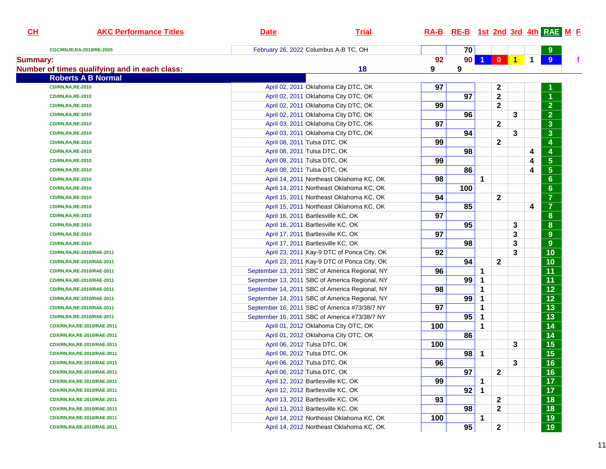| CH              | <b>AKC Performance Titles</b>                 | <b>Date</b>                           | <b>Trial</b>                                   |     |                 |                      |                  |       |   | RA-B RE-B 1st 2nd 3rd 4th RAE M E |  |
|-----------------|-----------------------------------------------|---------------------------------------|------------------------------------------------|-----|-----------------|----------------------|------------------|-------|---|-----------------------------------|--|
|                 | CGC/RN, RI, RA-2019/RE-2020                   | February 26, 2022 Columbus A-B TC, OH |                                                |     | 70              |                      |                  |       |   | 9                                 |  |
| <b>Summary:</b> |                                               |                                       |                                                | 92  | 90 <sup>1</sup> | $\blacktriangleleft$ |                  | 0 1 1 |   | 9                                 |  |
|                 | Number of times qualifying and in each class: |                                       | 18                                             | 9   | 9               |                      |                  |       |   |                                   |  |
|                 | <b>Roberts A B Normal</b>                     |                                       |                                                |     |                 |                      |                  |       |   |                                   |  |
|                 | <b>CD/RN,RA,RE-2010</b>                       |                                       | April 02, 2011 Oklahoma City DTC, OK           | 97  |                 |                      | $\boldsymbol{2}$ |       |   |                                   |  |
|                 | <b>CD/RN,RA,RE-2010</b>                       |                                       | April 02, 2011 Oklahoma City DTC, OK           |     | 97              |                      | $\mathbf{2}$     |       |   | $\overline{1}$                    |  |
|                 | <b>CD/RN,RA,RE-2010</b>                       |                                       | April 02, 2011 Oklahoma City DTC, OK           | 99  |                 |                      | $\mathbf{2}$     |       |   | $\overline{2}$                    |  |
|                 | <b>CD/RN,RA,RE-2010</b>                       |                                       | April 02, 2011 Oklahoma City DTC, OK           |     | 96              |                      |                  | 3     |   | $\overline{2}$                    |  |
|                 | <b>CD/RN,RA,RE-2010</b>                       |                                       | April 03, 2011 Oklahoma City DTC, OK           | 97  |                 |                      | $\mathbf{2}$     |       |   | $\mathbf{3}$                      |  |
|                 | <b>CD/RN,RA,RE-2010</b>                       |                                       | April 03, 2011 Oklahoma City DTC, OK           |     | 94              |                      |                  | 3     |   | $\mathbf{3}$                      |  |
|                 | <b>CD/RN,RA,RE-2010</b>                       | April 08, 2011 Tulsa DTC, OK          |                                                | 99  |                 |                      | $\mathbf{2}$     |       |   | $\overline{\mathbf{4}}$           |  |
|                 | <b>CD/RN,RA,RE-2010</b>                       | April 08, 2011 Tulsa DTC, OK          |                                                |     | 98              |                      |                  |       | 4 | 4                                 |  |
|                 | <b>CD/RN,RA,RE-2010</b>                       | April 08, 2011 Tulsa DTC, OK          |                                                | 99  |                 |                      |                  |       | 4 | $\overline{5}$                    |  |
|                 | <b>CD/RN,RA,RE-2010</b>                       | April 08, 2011 Tulsa DTC, OK          |                                                |     | 86              |                      |                  |       | 4 | $\overline{5}$                    |  |
|                 | <b>CD/RN,RA,RE-2010</b>                       |                                       | April 14, 2011 Northeast Oklahoma KC, OK       | 98  |                 | $\mathbf 1$          |                  |       |   | $6\phantom{1}$                    |  |
|                 | <b>CD/RN,RA,RE-2010</b>                       |                                       | April 14, 2011 Northeast Oklahoma KC, OK       |     | 100             |                      |                  |       |   | $6\phantom{1}$                    |  |
|                 | <b>CD/RN,RA,RE-2010</b>                       |                                       | April 15, 2011 Northeast Oklahoma KC, OK       | 94  |                 |                      | $\mathbf{2}$     |       |   | $\overline{7}$                    |  |
|                 | <b>CD/RN,RA,RE-2010</b>                       |                                       | April 15, 2011 Northeast Oklahoma KC, OK       |     | 85              |                      |                  |       | 4 | $\overline{7}$                    |  |
|                 | <b>CD/RN,RA,RE-2010</b>                       | April 16, 2011 Bartlesville KC, OK    |                                                | 97  |                 |                      |                  |       |   | $\boldsymbol{8}$                  |  |
|                 | <b>CD/RN,RA,RE-2010</b>                       | April 16, 2011 Bartlesville KC, OK    |                                                |     | 95              |                      |                  | 3     |   | ${\bf 8}$                         |  |
|                 | <b>CD/RN,RA,RE-2010</b>                       | April 17, 2011 Bartlesville KC, OK    |                                                | 97  |                 |                      |                  | 3     |   | 9                                 |  |
|                 | <b>CD/RN,RA,RE-2010</b>                       | April 17, 2011 Bartlesville KC, OK    |                                                |     | 98              |                      |                  | 3     |   | 9                                 |  |
|                 | CD/RN, RA, RE-2010/RAE-2011                   |                                       | April 23, 2011 Kay-9 DTC of Ponca City, OK     | 92  |                 |                      |                  | 3     |   | 10                                |  |
|                 | CD/RN,RA,RE-2010/RAE-2011                     |                                       | April 23, 2011 Kay-9 DTC of Ponca City, OK     |     | 94              |                      | $\mathbf{2}$     |       |   | 10                                |  |
|                 | CD/RN,RA,RE-2010/RAE-2011                     |                                       | September 13, 2011 SBC of America Regional, NY | 96  |                 | $\mathbf 1$          |                  |       |   | 11                                |  |
|                 | CD/RN, RA, RE-2010/RAE-2011                   |                                       | September 13, 2011 SBC of America Regional, NY |     | 99              | $\mathbf{1}$         |                  |       |   | 11                                |  |
|                 | CD/RN,RA,RE-2010/RAE-2011                     |                                       | September 14, 2011 SBC of America Regional, NY | 98  |                 | 1                    |                  |       |   | $\overline{12}$                   |  |
|                 | CD/RN,RA,RE-2010/RAE-2011                     |                                       | September 14, 2011 SBC of America Regional, NY |     | 99              | $\mathbf 1$          |                  |       |   | 12                                |  |
|                 | CD/RN,RA,RE-2010/RAE-2011                     |                                       | September 16, 2011 SBC of America #73/38/7 NY  | 97  |                 | 1                    |                  |       |   | 13                                |  |
|                 | CD/RN,RA,RE-2010/RAE-2011                     |                                       | September 16, 2011 SBC of America #73/38/7 NY  |     | 95              | $\mathbf{1}$         |                  |       |   | 13                                |  |
|                 | CDX/RN,RA,RE-2010/RAE-2011                    |                                       | April 01, 2012 Oklahoma City OTC, OK           | 100 |                 | 1                    |                  |       |   | 14                                |  |
|                 | CDX/RN,RA,RE-2010/RAE-2011                    |                                       | April 01, 2012 Oklahoma City OTC, OK           |     | 86              |                      |                  |       |   | 14                                |  |
|                 | CDX/RN,RA,RE-2010/RAE-2011                    | April 06, 2012 Tulsa DTC, OK          |                                                | 100 |                 |                      |                  | 3     |   | 15                                |  |
|                 | CDX/RN, RA, RE-2010/RAE-2011                  | April 06, 2012 Tulsa DTC, OK          |                                                |     | 98              | $\mathbf 1$          |                  |       |   | 15                                |  |
|                 | CDX/RN,RA,RE-2010/RAE-2011                    | April 06, 2012 Tulsa DTC, OK          |                                                | 96  |                 |                      |                  | 3     |   | 16                                |  |
|                 | CDX/RN, RA, RE-2010/RAE-2011                  | April 06, 2012 Tulsa DTC, OK          |                                                |     | 97              |                      | $\mathbf{2}$     |       |   | 16                                |  |
|                 | CDX/RN,RA,RE-2010/RAE-2011                    | April 12, 2012 Bartlesville KC, OK    |                                                | 99  |                 | 1                    |                  |       |   | 17                                |  |
|                 | CDX/RN,RA,RE-2010/RAE-2011                    | April 12, 2012 Bartlesville KC, OK    |                                                |     | 92              | $\mathbf{1}$         |                  |       |   | $\overline{17}$                   |  |
|                 | CDX/RN,RA,RE-2010/RAE-2011                    | April 13, 2012 Bartlesville KC, OK    |                                                | 93  |                 |                      | $\mathbf{2}$     |       |   | 18                                |  |
|                 | CDX/RN,RA,RE-2010/RAE-2011                    | April 13, 2012 Bartlesville KC, OK    |                                                |     | 98              |                      | 2                |       |   | 18                                |  |
|                 | CDX/RN,RA,RE-2010/RAE-2011                    |                                       | April 14, 2012 Northeast Oklahoma KC, OK       | 100 |                 | 1                    |                  |       |   | 19                                |  |
|                 | CDX/RN,RA,RE-2010/RAE-2011                    |                                       | April 14, 2012 Northeast Oklahoma KC, OK       |     | 95              |                      | $\mathbf{2}$     |       |   | 19                                |  |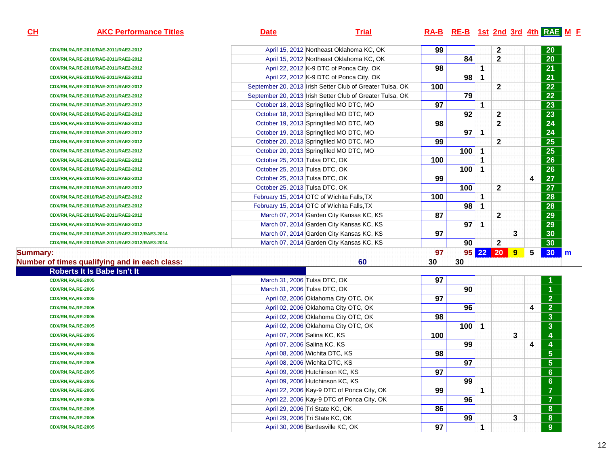| ▄<br>-<br><b>Contract Contract Contract Contract Contract Contract Contract Contract Contract Contract Contract Contract Co</b><br><b>Service Service</b><br>Т<br>л<br>- |
|--------------------------------------------------------------------------------------------------------------------------------------------------------------------------|
|--------------------------------------------------------------------------------------------------------------------------------------------------------------------------|

# **AKC Performance Titles Date Trial RA-B RE-B 1st 2nd 3rd 4th RAE <sup>M</sup> <sup>F</sup>**

| of times qualifying and in each class:         | 60                                                        | 30  | 30   |    |              |   |   |           |
|------------------------------------------------|-----------------------------------------------------------|-----|------|----|--------------|---|---|-----------|
| ry:                                            |                                                           | 97  | 95 I | 22 | <b>20</b>    | 9 | 5 | 30        |
| CDX/RN,RA,RE-2010/RAE-2011/RAE2-2012/RAE3-2014 | March 07, 2014 Garden City Kansas KC, KS                  |     | 90   |    | $\mathbf{2}$ |   |   | 30        |
| CDX/RN,RA,RE-2010/RAE-2011/RAE2-2012/RAE3-2014 | March 07, 2014 Garden City Kansas KC, KS                  | 97  |      |    |              | 3 |   | 30        |
| CDX/RN,RA,RE-2010/RAE-2011/RAE2-2012           | March 07, 2014 Garden City Kansas KC, KS                  |     | 97   |    |              |   |   | 29        |
| CDX/RN,RA,RE-2010/RAE-2011/RAE2-2012           | March 07, 2014 Garden City Kansas KC, KS                  | 87  |      |    | $\mathbf{2}$ |   |   | 29        |
| CDX/RN,RA,RE-2010/RAE-2011/RAE2-2012           | February 15, 2014 OTC of Wichita Falls, TX                |     | 98   |    |              |   |   | 28        |
| CDX/RN,RA,RE-2010/RAE-2011/RAE2-2012           | February 15, 2014 OTC of Wichita Falls, TX                | 100 |      |    |              |   |   | 28        |
| CDX/RN,RA,RE-2010/RAE-2011/RAE2-2012           | October 25, 2013 Tulsa DTC, OK                            |     | 100  |    | $\mathbf{2}$ |   |   | 27        |
| CDX/RN,RA,RE-2010/RAE-2011/RAE2-2012           | October 25, 2013 Tulsa DTC, OK                            | 99  |      |    |              |   | 4 | 27        |
| CDX/RN,RA,RE-2010/RAE-2011/RAE2-2012           | October 25, 2013 Tulsa DTC, OK                            |     | 100  |    |              |   |   | 26        |
| CDX/RN,RA,RE-2010/RAE-2011/RAE2-2012           | October 25, 2013 Tulsa DTC, OK                            | 100 |      |    |              |   |   | 26        |
| CDX/RN,RA,RE-2010/RAE-2011/RAE2-2012           | October 20, 2013 Springfiled MO DTC, MO                   |     | 100  |    |              |   |   | 25        |
| CDX/RN,RA,RE-2010/RAE-2011/RAE2-2012           | October 20, 2013 Springfiled MO DTC, MO                   | 99  |      |    | $\mathbf{2}$ |   |   | 25        |
| CDX/RN,RA,RE-2010/RAE-2011/RAE2-2012           | October 19, 2013 Springfiled MO DTC, MO                   |     | 97   |    |              |   |   | 24        |
| CDX/RN,RA,RE-2010/RAE-2011/RAE2-2012           | October 19, 2013 Springfiled MO DTC, MO                   | 98  |      |    | $\mathbf{2}$ |   |   | 24        |
| CDX/RN,RA,RE-2010/RAE-2011/RAE2-2012           | October 18, 2013 Springfiled MO DTC, MO                   |     | 92   |    | $\mathbf{2}$ |   |   | 23        |
| CDX/RN,RA,RE-2010/RAE-2011/RAE2-2012           | October 18, 2013 Springfiled MO DTC, MO                   | 97  |      |    |              |   |   | 23        |
| CDX/RN, RA, RE-2010/RAE-2011/RAE2-2012         | September 20, 2013 Irish Setter Club of Greater Tulsa, OK |     | 79   |    |              |   |   | 22        |
| CDX/RN,RA,RE-2010/RAE-2011/RAE2-2012           | September 20, 2013 Irish Setter Club of Greater Tulsa, OK | 100 |      |    | $\mathbf{2}$ |   |   | 22        |
| CDX/RN,RA,RE-2010/RAE-2011/RAE2-2012           | April 22, 2012 K-9 DTC of Ponca City, OK                  |     | 98   |    |              |   |   | 21        |
| CDX/RN,RA,RE-2010/RAE-2011/RAE2-2012           | April 22, 2012 K-9 DTC of Ponca City, OK                  | 98  |      |    |              |   |   | 21        |
| CDX/RN,RA,RE-2010/RAE-2011/RAE2-2012           | April 15, 2012 Northeast Oklahoma KC, OK                  |     | 84   |    | $\mathbf{2}$ |   |   | 20        |
| CDX/RN,RA,RE-2010/RAE-2011/RAE2-2012           | April 15, 2012 Northeast Oklahoma KC, OK                  | 99  |      |    | $\mathbf{2}$ |   |   | <b>20</b> |

### **Summary:**

### **Number of times qualifying and in each class:**

**60 30 30** 

| Roberts It Is Babe Isn't It |                                            |     |     |   |   |                         |
|-----------------------------|--------------------------------------------|-----|-----|---|---|-------------------------|
| <b>CDX/RN, RA, RE-2005</b>  | March 31, 2006 Tulsa DTC, OK               | 97  |     |   |   | $\mathbf 1$             |
| <b>CDX/RN,RA,RE-2005</b>    | March 31, 2006 Tulsa DTC, OK               |     | 90  |   |   | $\overline{1}$          |
| <b>CDX/RN, RA, RE-2005</b>  | April 02, 2006 Oklahoma City OTC, OK       | 97  |     |   |   | 2 <sup>7</sup>          |
| <b>CDX/RN, RA, RE-2005</b>  | April 02, 2006 Oklahoma City OTC, OK       |     | 96  |   | 4 | 2 <sup>1</sup>          |
| <b>CDX/RN,RA,RE-2005</b>    | April 02, 2006 Oklahoma City OTC, OK       | 98  |     |   |   | 3 <sup>2</sup>          |
| <b>CDX/RN,RA,RE-2005</b>    | April 02, 2006 Oklahoma City OTC, OK       |     | 100 |   |   | 3 <sup>1</sup>          |
| <b>CDX/RN, RA, RE-2005</b>  | April 07, 2006 Salina KC, KS               | 100 |     | 3 |   | $\overline{\mathbf{4}}$ |
| <b>CDX/RN, RA, RE-2005</b>  | April 07, 2006 Salina KC, KS               |     | 99  |   | 4 | 4                       |
| <b>CDX/RN, RA, RE-2005</b>  | April 08, 2006 Wichita DTC, KS             | 98  |     |   |   | 5 <sup>1</sup>          |
| <b>CDX/RN, RA, RE-2005</b>  | April 08, 2006 Wichita DTC, KS             |     | 97  |   |   | 5 <sup>1</sup>          |
| <b>CDX/RN,RA,RE-2005</b>    | April 09, 2006 Hutchinson KC, KS           | 97  |     |   |   | 6 <sup>1</sup>          |
| <b>CDX/RN, RA, RE-2005</b>  | April 09, 2006 Hutchinson KC, KS           |     | 99  |   |   | 6 <sup>1</sup>          |
| <b>CDX/RN, RA, RE-2005</b>  | April 22, 2006 Kay-9 DTC of Ponca City, OK | 99  |     |   |   | $\mathbf{7}$            |
| <b>CDX/RN,RA,RE-2005</b>    | April 22, 2006 Kay-9 DTC of Ponca City, OK |     | 96  |   |   | $\mathbf{7}$            |
| <b>CDX/RN,RA,RE-2005</b>    | April 29, 2006 Tri State KC, OK            | 86  |     |   |   | 8 <sup>°</sup>          |
| <b>CDX/RN,RA,RE-2005</b>    | April 29, 2006 Tri State KC, OK            |     | 99  | 3 |   | 8 <sup>°</sup>          |
| <b>CDX/RN, RA, RE-2005</b>  | April 30, 2006 Bartlesville KC, OK         | 97  |     |   |   | 9                       |
|                             |                                            |     |     |   |   |                         |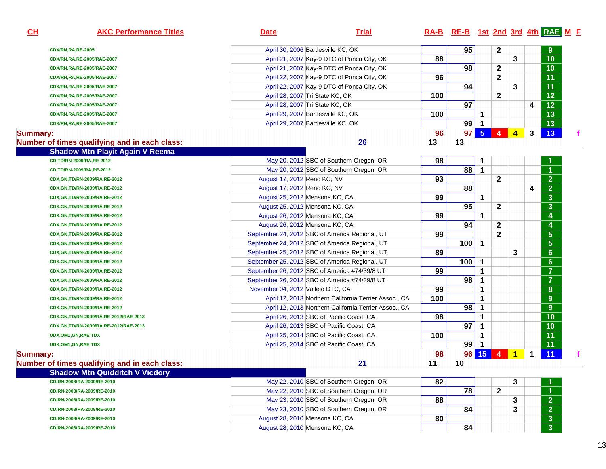| CL              | <b>AKC Performance Titles</b>                 | <b>Date</b>                                    | <b>Trial</b>                                          |          | RA-B RE-B 1st 2nd 3rd 4th RAE M F |                |                |                |             |                                      |    |
|-----------------|-----------------------------------------------|------------------------------------------------|-------------------------------------------------------|----------|-----------------------------------|----------------|----------------|----------------|-------------|--------------------------------------|----|
|                 | <b>CDX/RN,RA,RE-2005</b>                      | April 30, 2006 Bartlesville KC, OK             |                                                       |          | 95                                |                | $\mathbf{2}$   |                |             | 9                                    |    |
|                 | CDX/RN,RA,RE-2005/RAE-2007                    |                                                | April 21, 2007 Kay-9 DTC of Ponca City, OK            | 88       |                                   |                |                | 3              |             | 10                                   |    |
|                 | CDX/RN,RA,RE-2005/RAE-2007                    |                                                | April 21, 2007 Kay-9 DTC of Ponca City, OK            |          | 98                                |                | $\mathbf{2}$   |                |             | 10                                   |    |
|                 | CDX/RN,RA,RE-2005/RAE-2007                    |                                                | April 22, 2007 Kay-9 DTC of Ponca City, OK            | 96       |                                   |                | $\mathbf{2}$   |                |             | $\overline{11}$                      |    |
|                 | CDX/RN,RA,RE-2005/RAE-2007                    |                                                | April 22, 2007 Kay-9 DTC of Ponca City, OK            |          | 94                                |                |                | 3              |             | 11                                   |    |
|                 | CDX/RN,RA,RE-2005/RAE-2007                    | April 28, 2007 Tri State KC, OK                |                                                       | 100      |                                   |                | $\mathbf{2}$   |                |             | $\overline{12}$                      |    |
|                 | CDX/RN,RA,RE-2005/RAE-2007                    | April 28, 2007 Tri State KC, OK                |                                                       |          | 97                                |                |                |                | 4           | $\overline{12}$                      |    |
|                 | CDX/RN,RA,RE-2005/RAE-2007                    | April 29, 2007 Bartlesville KC, OK             |                                                       | 100      |                                   | 1              |                |                |             | $\overline{13}$                      |    |
|                 | CDX/RN,RA,RE-2005/RAE-2007                    | April 29, 2007 Bartlesville KC, OK             |                                                       |          | 99                                | -1             |                |                |             | $\overline{13}$                      |    |
| <b>Summary:</b> |                                               |                                                |                                                       | 96       | 97                                | $-5$           | 4              | $\overline{4}$ | 3           | 13                                   | f. |
|                 | Number of times qualifying and in each class: |                                                | 26                                                    | 13       | 13                                |                |                |                |             |                                      |    |
|                 | <b>Shadow Mtn Playit Again V Reema</b>        |                                                |                                                       |          |                                   |                |                |                |             |                                      |    |
|                 | CD,TD/RN-2009/RA,RE-2012                      |                                                | May 20, 2012 SBC of Southern Oregon, OR               | 98       |                                   | 1              |                |                |             |                                      |    |
|                 | CD,TD/RN-2009/RA,RE-2012                      |                                                | May 20, 2012 SBC of Southern Oregon, OR               |          | 88                                | $\mathbf 1$    |                |                |             | $\overline{1}$                       |    |
|                 | CDX, GN, TD/RN-2009/RA, RE-2012               | August 17, 2012 Reno KC, NV                    |                                                       | 93       |                                   |                | $\mathbf{2}$   |                |             | $\overline{2}$                       |    |
|                 | CDX,GN,TD/RN-2009/RA,RE-2012                  | August 17, 2012 Reno KC, NV                    |                                                       |          | 88                                |                |                |                | 4           | $\overline{\mathbf{2}}$              |    |
|                 | CDX, GN, TD/RN-2009/RA, RE-2012               | August 25, 2012 Mensona KC, CA                 |                                                       | 99       |                                   | $\mathbf 1$    |                |                |             | $\overline{\mathbf{3}}$              |    |
|                 | CDX, GN, TD/RN-2009/RA, RE-2012               | August 25, 2012 Mensona KC, CA                 |                                                       |          | 95                                |                | 2              |                |             | 3                                    |    |
|                 | CDX, GN, TD/RN-2009/RA, RE-2012               | August 26, 2012 Mensona KC, CA                 |                                                       | 99       |                                   | 1              |                |                |             | 4                                    |    |
|                 | CDX,GN,TD/RN-2009/RA,RE-2012                  | August 26, 2012 Mensona KC, CA                 |                                                       |          | 94                                |                | $\mathbf{2}$   |                |             | 4                                    |    |
|                 | CDX,GN,TD/RN-2009/RA,RE-2012                  | September 24, 2012 SBC of America Regional, UT |                                                       | 99       |                                   |                | $\mathbf{2}$   |                |             | $\overline{\overline{\overline{5}}}$ |    |
|                 | CDX,GN,TD/RN-2009/RA,RE-2012                  | September 24, 2012 SBC of America Regional, UT |                                                       |          | 100                               | $\overline{1}$ |                |                |             | $\overline{\mathbf{5}}$              |    |
|                 | CDX,GN,TD/RN-2009/RA,RE-2012                  | September 25, 2012 SBC of America Regional, UT |                                                       | 89       |                                   |                |                | 3              |             | $6\phantom{a}$                       |    |
|                 | CDX,GN,TD/RN-2009/RA,RE-2012                  | September 25, 2012 SBC of America Regional, UT |                                                       |          | 100                               | -1             |                |                |             | $6\phantom{a}$                       |    |
|                 | CDX,GN,TD/RN-2009/RA,RE-2012                  | September 26, 2012 SBC of America #74/39/8 UT  |                                                       | 99       |                                   | 1              |                |                |             | $\overline{7}$                       |    |
|                 | CDX,GN,TD/RN-2009/RA,RE-2012                  | September 26, 2012 SBC of America #74/39/8 UT  |                                                       |          | 98                                | 1              |                |                |             | $\overline{7}$                       |    |
|                 | CDX,GN,TD/RN-2009/RA,RE-2012                  | November 04, 2012 Vallejo DTC, CA              |                                                       | 99       |                                   | 1              |                |                |             | $\bf{8}$                             |    |
|                 | CDX,GN,TD/RN-2009/RA,RE-2012                  |                                                | April 12, 2013 Northern California Terrier Assoc., CA | 100      |                                   | 1              |                |                |             | $\boldsymbol{9}$                     |    |
|                 | CDX,GN,TD/RN-2009/RA,RE-2012                  |                                                | April 12, 2013 Northern California Terrier Assoc., CA |          | 98                                | 1              |                |                |             | $\boldsymbol{9}$                     |    |
|                 | CDX,GN,TD/RN-2009/RA,RE-2012/RAE-2013         | April 26, 2013 SBC of Pacific Coast, CA        |                                                       | 98       |                                   | 1              |                |                |             | 10                                   |    |
|                 | CDX,GN,TD/RN-2009/RA,RE-2012/RAE-2013         | April 26, 2013 SBC of Pacific Coast, CA        |                                                       |          | 97                                | 1              |                |                |             | 10                                   |    |
|                 | UDX,OM1,GN,RAE,TDX                            | April 25, 2014 SBC of Pacific Coast, CA        |                                                       | 100      |                                   | 1              |                |                |             | 11                                   |    |
|                 | UDX, OM1, GN, RAE, TDX                        | April 25, 2014 SBC of Pacific Coast, CA        |                                                       |          | 99                                |                |                |                |             | $\overline{11}$                      |    |
| <b>Summary:</b> | Number of times qualifying and in each class: |                                                | 21                                                    | 98<br>11 | 10                                | 96 15          | $\overline{4}$ | $\mathbf{1}$   | $\mathbf 1$ | 11                                   | f  |
|                 | <b>Shadow Mtn Quidditch V Vicdory</b>         |                                                |                                                       |          |                                   |                |                |                |             |                                      |    |
|                 | CD/RN-2008/RA-2009/RE-2010                    |                                                | May 22, 2010 SBC of Southern Oregon, OR               | 82       |                                   |                |                | 3              |             |                                      |    |
|                 | CD/RN-2008/RA-2009/RE-2010                    |                                                | May 22, 2010 SBC of Southern Oregon, OR               |          | 78                                |                | $\mathbf{2}$   |                |             | $\mathbf 1$                          |    |
|                 | CD/RN-2008/RA-2009/RE-2010                    |                                                | May 23, 2010 SBC of Southern Oregon, OR               | 88       |                                   |                |                | 3              |             | 2 <sub>1</sub>                       |    |
|                 | CD/RN-2008/RA-2009/RE-2010                    |                                                | May 23, 2010 SBC of Southern Oregon, OR               |          | 84                                |                |                | 3              |             | 2 <sub>1</sub>                       |    |
|                 | CD/RN-2008/RA-2009/RE-2010                    | August 28, 2010 Mensona KC, CA                 |                                                       | 80       |                                   |                |                |                |             | $\mathbf{3}$                         |    |
|                 | CD/RN-2008/RA-2009/RE-2010                    | August 28, 2010 Mensona KC, CA                 |                                                       |          | 84                                |                |                |                |             | 3 <sup>5</sup>                       |    |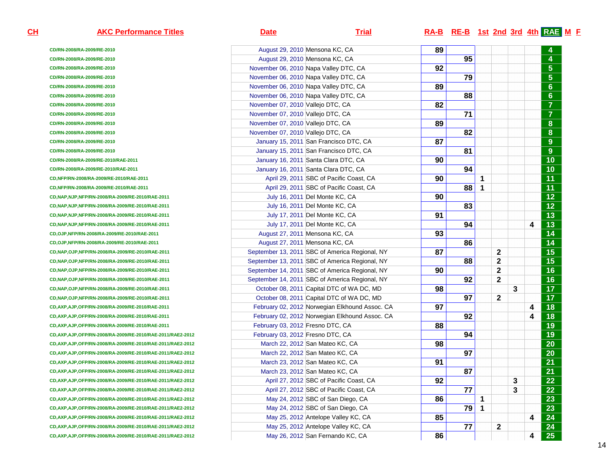**CH**

| <b>AKC Performance Titles</b>                                | <u>Date</u>                       | <u>Trial</u>                                   |    | $RA-B$ RE-B 1st 2nd 3rd 4th RAE M F |   |              |   |   |                         |
|--------------------------------------------------------------|-----------------------------------|------------------------------------------------|----|-------------------------------------|---|--------------|---|---|-------------------------|
| CD/RN-2008/RA-2009/RE-2010                                   |                                   | August 29, 2010 Mensona KC, CA                 | 89 |                                     |   |              |   |   |                         |
| CD/RN-2008/RA-2009/RE-2010                                   |                                   | August 29, 2010 Mensona KC, CA                 |    | 95                                  |   |              |   |   |                         |
| CD/RN-2008/RA-2009/RE-2010                                   |                                   | November 06, 2010 Napa Valley DTC, CA          | 92 |                                     |   |              |   |   | $\sqrt{5}$              |
| CD/RN-2008/RA-2009/RE-2010                                   |                                   | November 06, 2010 Napa Valley DTC, CA          |    | 79                                  |   |              |   |   | $\overline{\mathbf{5}}$ |
| CD/RN-2008/RA-2009/RE-2010                                   |                                   | November 06, 2010 Napa Valley DTC, CA          | 89 |                                     |   |              |   |   | $6\phantom{a}$          |
| CD/RN-2008/RA-2009/RE-2010                                   |                                   | November 06, 2010 Napa Valley DTC, CA          |    | 88                                  |   |              |   |   | $6\phantom{a}$          |
| CD/RN-2008/RA-2009/RE-2010                                   | November 07, 2010 Vallejo DTC, CA |                                                | 82 |                                     |   |              |   |   | $\overline{7}$          |
| CD/RN-2008/RA-2009/RE-2010                                   | November 07, 2010 Vallejo DTC, CA |                                                |    | 71                                  |   |              |   |   | $\overline{7}$          |
| CD/RN-2008/RA-2009/RE-2010                                   | November 07, 2010 Vallejo DTC, CA |                                                | 89 |                                     |   |              |   |   | $\bf{8}$                |
| CD/RN-2008/RA-2009/RE-2010                                   | November 07, 2010 Vallejo DTC, CA |                                                |    | 82                                  |   |              |   |   | ${\bf 8}$               |
| CD/RN-2008/RA-2009/RE-2010                                   |                                   | January 15, 2011 San Francisco DTC, CA         | 87 |                                     |   |              |   |   | $9\,$                   |
| CD/RN-2008/RA-2009/RE-2010                                   |                                   | January 15, 2011 San Francisco DTC, CA         |    | 81                                  |   |              |   |   | $9\,$                   |
| CD/RN-2008/RA-2009/RE-2010/RAE-2011                          |                                   | January 16, 2011 Santa Clara DTC, CA           | 90 |                                     |   |              |   |   | 10                      |
| CD/RN-2008/RA-2009/RE-2010/RAE-2011                          |                                   | January 16, 2011 Santa Clara DTC, CA           |    | 94                                  |   |              |   |   | 10                      |
| CD,NFP/RN-2008/RA-2009/RE-2010/RAE-2011                      |                                   | April 29, 2011 SBC of Pacific Coast, CA        | 90 |                                     | 1 |              |   |   | 11                      |
| CD,NFP/RN-2008/RA-2009/RE-2010/RAE-2011                      |                                   | April 29, 2011 SBC of Pacific Coast, CA        |    | 88                                  | 1 |              |   |   | 11                      |
| CD, NAP, NJP, NFP/RN-2008/RA-2009/RE-2010/RAE-2011           |                                   | July 16, 2011 Del Monte KC, CA                 | 90 |                                     |   |              |   |   | $12$                    |
| CD, NAP, NJP, NFP/RN-2008/RA-2009/RE-2010/RAE-2011           |                                   | July 16, 2011 Del Monte KC, CA                 |    | 83                                  |   |              |   |   | $12$                    |
| CD, NAP, NJP, NFP/RN-2008/RA-2009/RE-2010/RAE-2011           |                                   | July 17, 2011 Del Monte KC, CA                 | 91 |                                     |   |              |   |   | 13                      |
| CD, NAP, NJP, NFP/RN-2008/RA-2009/RE-2010/RAE-2011           |                                   | July 17, 2011 Del Monte KC, CA                 |    | 94                                  |   |              |   | 4 | 13                      |
| CD,OJP,NFP/RN-2008/RA-2009/RE-2010/RAE-2011                  |                                   | August 27, 2011 Mensona KC, CA                 | 93 |                                     |   |              |   |   | 14                      |
| CD,OJP,NFP/RN-2008/RA-2009/RE-2010/RAE-2011                  |                                   | August 27, 2011 Mensona KC, CA                 |    | 86                                  |   |              |   |   | 14                      |
| CD, NAP, OJP, NFP/RN-2008/RA-2009/RE-2010/RAE-2011           |                                   | September 13, 2011 SBC of America Regional, NY | 87 |                                     |   | 2            |   |   | 15                      |
| CD, NAP, OJP, NFP/RN-2008/RA-2009/RE-2010/RAE-2011           |                                   | September 13, 2011 SBC of America Regional, NY |    | 88                                  |   | 2            |   |   | 15                      |
| CD, NAP, OJP, NFP/RN-2008/RA-2009/RE-2010/RAE-2011           |                                   | September 14, 2011 SBC of America Regional, NY | 90 |                                     |   | $\mathbf 2$  |   |   | 16                      |
| CD, NAP, OJP, NFP/RN-2008/RA-2009/RE-2010/RAE-2011           |                                   | September 14, 2011 SBC of America Regional, NY |    | 92                                  |   | $\mathbf{2}$ |   |   | 16                      |
| CD, NAP, OJP, NFP/RN-2008/RA-2009/RE-2010/RAE-2011           |                                   | October 08, 2011 Capital DTC of WA DC, MD      | 98 |                                     |   |              | 3 |   | 17                      |
| CD, NAP, OJP, NFP/RN-2008/RA-2009/RE-2010/RAE-2011           |                                   | October 08, 2011 Capital DTC of WA DC, MD      |    | 97                                  |   | 2            |   |   | 17                      |
| CD, AXP, AJP, OFP/RN-2008/RA-2009/RE-2010/RAE-2011           |                                   | February 02, 2012 Norwegian Elkhound Assoc. CA | 97 |                                     |   |              |   | 4 | 18                      |
| CD, AXP, AJP, OFP/RN-2008/RA-2009/RE-2010/RAE-2011           |                                   | February 02, 2012 Norwegian Elkhound Assoc. CA |    | 92                                  |   |              |   | 4 | 18                      |
| CD, AXP, AJP, OFP/RN-2008/RA-2009/RE-2010/RAE-2011           | February 03, 2012 Fresno DTC, CA  |                                                | 88 |                                     |   |              |   |   | 19                      |
| CD, AXP, AJP, OFP/RN-2008/RA-2009/RE-2010/RAE-2011/RAE2-2012 | February 03, 2012 Fresno DTC, CA  |                                                |    | 94                                  |   |              |   |   | 19                      |
| CD, AXP, AJP, OFP/RN-2008/RA-2009/RE-2010/RAE-2011/RAE2-2012 |                                   | March 22, 2012 San Mateo KC, CA                | 98 |                                     |   |              |   |   | 20                      |
| CD, AXP, AJP, OFP/RN-2008/RA-2009/RE-2010/RAE-2011/RAE2-2012 |                                   | March 22, 2012 San Mateo KC, CA                |    | 97                                  |   |              |   |   | 20                      |
| CD, AXP, AJP, OFP/RN-2008/RA-2009/RE-2010/RAE-2011/RAE2-2012 |                                   | March 23, 2012 San Mateo KC, CA                | 91 |                                     |   |              |   |   | 21                      |
| CD, AXP, AJP, OFP/RN-2008/RA-2009/RE-2010/RAE-2011/RAE2-2012 |                                   | March 23, 2012 San Mateo KC, CA                |    | 87                                  |   |              |   |   | $\overline{21}$         |
| CD, AXP, AJP, OFP/RN-2008/RA-2009/RE-2010/RAE-2011/RAE2-2012 |                                   | April 27, 2012 SBC of Pacific Coast, CA        | 92 |                                     |   |              | 3 |   | 22                      |
| CD, AXP, AJP, OFP/RN-2008/RA-2009/RE-2010/RAE-2011/RAE2-2012 |                                   | April 27, 2012 SBC of Pacific Coast, CA        |    | 77                                  |   |              | 3 |   | 22                      |
| CD, AXP, AJP, OFP/RN-2008/RA-2009/RE-2010/RAE-2011/RAE2-2012 |                                   | May 24, 2012 SBC of San Diego, CA              | 86 |                                     | 1 |              |   |   | 23                      |
| CD, AXP, AJP, OFP/RN-2008/RA-2009/RE-2010/RAE-2011/RAE2-2012 |                                   | May 24, 2012 SBC of San Diego, CA              |    | 79                                  | 1 |              |   |   | 23                      |
| CD, AXP, AJP, OFP/RN-2008/RA-2009/RE-2010/RAE-2011/RAE2-2012 |                                   | May 25, 2012 Antelope Valley KC, CA            | 85 |                                     |   |              |   | 4 | 24                      |
| CD, AXP, AJP, OFP/RN-2008/RA-2009/RE-2010/RAE-2011/RAE2-2012 |                                   | May 25, 2012 Antelope Valley KC, CA            |    | 77                                  |   | 2            |   |   | 24                      |
| CD, AXP, AJP, OFP/RN-2008/RA-2009/RE-2010/RAE-2011/RAE2-2012 |                                   | May 26, 2012 San Fernando KC, CA               | 86 |                                     |   |              |   | 4 | <b>25</b>               |
|                                                              |                                   |                                                |    |                                     |   |              |   |   |                         |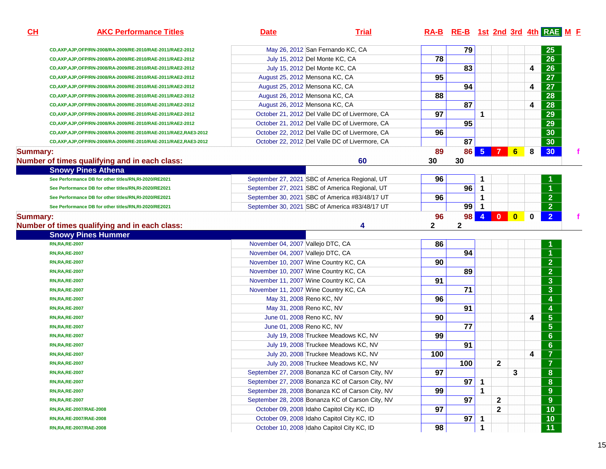| CL       | <b>AKC Performance Titles</b>                                              | <b>Date</b>                                | <b>Trial</b>                                     |                 | RA-B RE-B 1st 2nd 3rd 4th RAE M F |                |                |              |   |                         |  |
|----------|----------------------------------------------------------------------------|--------------------------------------------|--------------------------------------------------|-----------------|-----------------------------------|----------------|----------------|--------------|---|-------------------------|--|
|          | CD, AXP, AJP, OFP/RN-2008/RA-2009/RE-2010/RAE-2011/RAE2-2012               | May 26, 2012 San Fernando KC, CA           |                                                  |                 | 79                                |                |                |              |   | <b>25</b>               |  |
|          | CD, AXP, AJP, OFP/RN-2008/RA-2009/RE-2010/RAE-2011/RAE2-2012               | July 15, 2012 Del Monte KC, CA             |                                                  | $\overline{78}$ |                                   |                |                |              |   | $\overline{26}$         |  |
|          | CD,AXP,AJP,OFP/RN-2008/RA-2009/RE-2010/RAE-2011/RAE2-2012                  | July 15, 2012 Del Monte KC, CA             |                                                  |                 | 83                                |                |                |              | 4 | 26                      |  |
|          | CD, AXP, AJP, OFP/RN-2008/RA-2009/RE-2010/RAE-2011/RAE2-2012               | August 25, 2012 Mensona KC, CA             |                                                  | 95              |                                   |                |                |              |   | $\overline{27}$         |  |
|          | CD, AXP, AJP, OFP/RN-2008/RA-2009/RE-2010/RAE-2011/RAE2-2012               | August 25, 2012 Mensona KC, CA             |                                                  |                 | 94                                |                |                |              | 4 | 27                      |  |
|          | CD, AXP, AJP, OFP/RN-2008/RA-2009/RE-2010/RAE-2011/RAE2-2012               | August 26, 2012 Mensona KC, CA             |                                                  | 88              |                                   |                |                |              |   | $\overline{28}$         |  |
|          | CD, AXP, AJP, OFP/RN-2008/RA-2009/RE-2010/RAE-2011/RAE2-2012               | August 26, 2012 Mensona KC, CA             |                                                  |                 | 87                                |                |                |              | 4 | 28                      |  |
|          | CD, AXP, AJP, OFP/RN-2008/RA-2009/RE-2010/RAE-2011/RAE2-2012               |                                            | October 21, 2012 Del Valle DC of Livermore, CA   | 97              |                                   | 1              |                |              |   | 29                      |  |
|          | CD, AXP, AJP, OFP/RN-2008/RA-2009/RE-2010/RAE-2011/RAE2-2012               |                                            | October 21, 2012 Del Valle DC of Livermore, CA   |                 | 95                                |                |                |              |   | 29                      |  |
|          | CD,AXP,AJP,OFP/RN-2008/RA-2009/RE-2010/RAE-2011/RAE2,RAE3-2012             |                                            | October 22, 2012 Del Valle DC of Livermore, CA   | 96              |                                   |                |                |              |   | 30                      |  |
|          | CD, AXP, AJP, OFP/RN-2008/RA-2009/RE-2010/RAE-2011/RAE2, RAE3-2012         |                                            | October 22, 2012 Del Valle DC of Livermore, CA   |                 | 87                                |                |                |              |   | 30                      |  |
| Summary: | Number of times qualifying and in each class:<br><b>Snowy Pines Athena</b> |                                            | 60                                               | 89<br>30        | 86<br>30                          | 5 <sub>5</sub> | $\overline{7}$ | 6            | 8 | 30                      |  |
|          | See Performance DB for other titles/RN,RI-2020/RE2021                      |                                            | September 27, 2021 SBC of America Regional, UT   | 96              |                                   | 1              |                |              |   |                         |  |
|          | See Performance DB for other titles/RN,RI-2020/RE2021                      |                                            | September 27, 2021 SBC of America Regional, UT   |                 | 96                                | 1              |                |              |   | 1                       |  |
|          | See Performance DB for other titles/RN,RI-2020/RE2021                      |                                            | September 30, 2021 SBC of America #83/48/17 UT   | 96              |                                   | 1              |                |              |   | 2 <sup>1</sup>          |  |
|          | See Performance DB for other titles/RN,RI-2020/RE2021                      |                                            | September 30, 2021 SBC of America #83/48/17 UT   |                 | 99                                | 1              |                |              |   | 2 <sup>1</sup>          |  |
| Summary: |                                                                            |                                            |                                                  | 96              | 98                                | $\overline{4}$ | $\mathbf{0}$   | $\mathbf{0}$ | 0 | $\overline{2}$          |  |
|          | Number of times qualifying and in each class:<br><b>Snowy Pines Hummer</b> |                                            | 4                                                | 2               | $\mathbf{2}$                      |                |                |              |   |                         |  |
|          | <b>RN, RA, RE-2007</b>                                                     | November 04, 2007 Vallejo DTC, CA          |                                                  | 86              |                                   |                |                |              |   |                         |  |
|          | <b>RN,RA,RE-2007</b>                                                       | November 04, 2007 Vallejo DTC, CA          |                                                  |                 | 94                                |                |                |              |   | 1                       |  |
|          | <b>RN,RA,RE-2007</b>                                                       | November 10, 2007 Wine Country KC, CA      |                                                  | 90              |                                   |                |                |              |   | $\overline{2}$          |  |
|          | <b>RN,RA,RE-2007</b>                                                       | November 10, 2007 Wine Country KC, CA      |                                                  |                 | 89                                |                |                |              |   | $\overline{2}$          |  |
|          | <b>RN,RA,RE-2007</b>                                                       | November 11, 2007 Wine Country KC, CA      |                                                  | 91              |                                   |                |                |              |   | $\overline{3}$          |  |
|          | <b>RN,RA,RE-2007</b>                                                       | November 11, 2007 Wine Country KC, CA      |                                                  |                 | $\overline{71}$                   |                |                |              |   | $\overline{3}$          |  |
|          | <b>RN,RA,RE-2007</b>                                                       | May 31, 2008 Reno KC, NV                   |                                                  | 96              |                                   |                |                |              |   | $\overline{\mathbf{4}}$ |  |
|          | <b>RN,RA,RE-2007</b>                                                       | May 31, 2008 Reno KC, NV                   |                                                  |                 | 91                                |                |                |              |   | $\overline{\mathbf{4}}$ |  |
|          | <b>RN,RA,RE-2007</b>                                                       | June 01, 2008 Reno KC, NV                  |                                                  | 90              |                                   |                |                |              | 4 | $5\phantom{1}$          |  |
|          | <b>RN,RA,RE-2007</b>                                                       | June 01, 2008 Reno KC, NV                  |                                                  |                 | $\overline{77}$                   |                |                |              |   | $\overline{5}$          |  |
|          | <b>RN,RA,RE-2007</b>                                                       |                                            | July 19, 2008 Truckee Meadows KC, NV             | 99              |                                   |                |                |              |   | $6\phantom{1}$          |  |
|          | <b>RN,RA,RE-2007</b>                                                       |                                            | July 19, 2008 Truckee Meadows KC, NV             |                 | $\overline{91}$                   |                |                |              |   | $6\phantom{a}$          |  |
|          | <b>RN,RA,RE-2007</b>                                                       |                                            | July 20, 2008 Truckee Meadows KC, NV             | 100             |                                   |                |                |              | 4 | $\overline{7}$          |  |
|          | <b>RN,RA,RE-2007</b>                                                       |                                            | July 20, 2008 Truckee Meadows KC, NV             |                 | 100                               |                | $\mathbf 2$    |              |   | $\overline{7}$          |  |
|          | <b>RN,RA,RE-2007</b>                                                       |                                            | September 27, 2008 Bonanza KC of Carson City, NV | 97              |                                   |                |                | $\mathbf{3}$ |   | $\bf{8}$                |  |
|          | <b>RN,RA,RE-2007</b>                                                       |                                            | September 27, 2008 Bonanza KC of Carson City, NV |                 | 97                                | 1              |                |              |   | 8                       |  |
|          | <b>RN,RA,RE-2007</b>                                                       |                                            | September 28, 2008 Bonanza KC of Carson City, NV | 99              |                                   | 1              |                |              |   | 9                       |  |
|          | <b>RN,RA,RE-2007</b>                                                       |                                            | September 28, 2008 Bonanza KC of Carson City, NV |                 | 97                                |                | $\mathbf{2}$   |              |   | 9                       |  |
|          | RN, RA, RE-2007/RAE-2008                                                   | October 09, 2008 Idaho Capitol City KC, ID |                                                  | 97              |                                   |                | $\mathbf{2}$   |              |   | $\overline{10}$         |  |
|          | RN, RA, RE-2007/RAE-2008                                                   | October 09, 2008 Idaho Capitol City KC, ID |                                                  |                 | 97                                | 1              |                |              |   | 10                      |  |
|          | RN, RA, RE-2007/RAE-2008                                                   | October 10, 2008 Idaho Capitol City KC, ID |                                                  | 98              |                                   | 1              |                |              |   | $\overline{11}$         |  |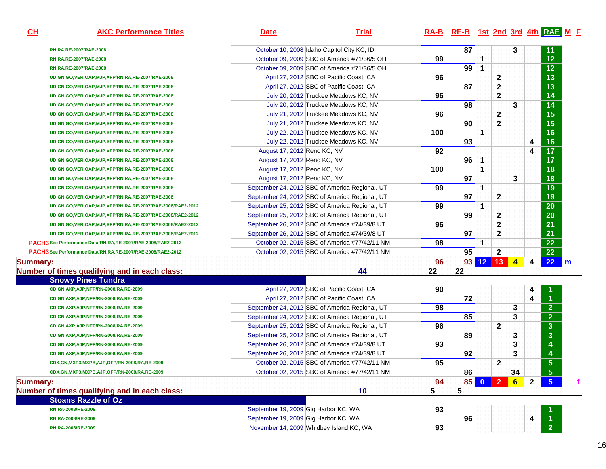| October 10, 2008 Idaho Capitol City KC, ID<br>RN, RA, RE-2007/RAE-2008<br>99<br>October 09, 2009 SBC of America #71/36/5 OH<br>RN, RA, RE-2007/RAE-2008<br>October 09, 2009 SBC of America #71/36/5 OH<br>RN, RA, RE-2007/RAE-2008<br>96<br>April 27, 2012 SBC of Pacific Coast, CA<br>UD, GN, GO, VER, OAP, MJP, XFP/RN, RA, RE-2007/RAE-2008<br>April 27, 2012 SBC of Pacific Coast, CA<br>UD, GN, GO, VER, OAP, MJP, XFP/RN, RA, RE-2007/RAE-2008<br>96<br>July 20, 2012 Truckee Meadows KC, NV<br>UD, GN, GO, VER, OAP, MJP, XFP/RN, RA, RE-2007/RAE-2008<br>July 20, 2012 Truckee Meadows KC, NV<br>UD, GN, GO, VER, OAP, MJP, XFP/RN, RA, RE-2007/RAE-2008<br>96<br>July 21, 2012 Truckee Meadows KC, NV<br>UD, GN, GO, VER, OAP, MJP, XFP/RN, RA, RE-2007/RAE-2008<br>July 21, 2012 Truckee Meadows KC, NV<br>UD, GN, GO, VER, OAP, MJP, XFP/RN, RA, RE-2007/RAE-2008 |    |              |                |   |                         | RA-B RE-B 1st 2nd 3rd 4th RAE M E |
|------------------------------------------------------------------------------------------------------------------------------------------------------------------------------------------------------------------------------------------------------------------------------------------------------------------------------------------------------------------------------------------------------------------------------------------------------------------------------------------------------------------------------------------------------------------------------------------------------------------------------------------------------------------------------------------------------------------------------------------------------------------------------------------------------------------------------------------------------------------------------|----|--------------|----------------|---|-------------------------|-----------------------------------|
|                                                                                                                                                                                                                                                                                                                                                                                                                                                                                                                                                                                                                                                                                                                                                                                                                                                                              | 87 |              |                | 3 |                         | 11                                |
|                                                                                                                                                                                                                                                                                                                                                                                                                                                                                                                                                                                                                                                                                                                                                                                                                                                                              |    | 1            |                |   |                         | $\overline{12}$                   |
|                                                                                                                                                                                                                                                                                                                                                                                                                                                                                                                                                                                                                                                                                                                                                                                                                                                                              | 99 | $\mathbf{1}$ |                |   |                         | $\overline{12}$                   |
|                                                                                                                                                                                                                                                                                                                                                                                                                                                                                                                                                                                                                                                                                                                                                                                                                                                                              |    |              | $\mathbf{2}$   |   |                         | $\overline{13}$                   |
|                                                                                                                                                                                                                                                                                                                                                                                                                                                                                                                                                                                                                                                                                                                                                                                                                                                                              | 87 |              | 2              |   |                         | $\overline{13}$                   |
|                                                                                                                                                                                                                                                                                                                                                                                                                                                                                                                                                                                                                                                                                                                                                                                                                                                                              |    |              | $\overline{2}$ |   |                         | $\overline{14}$                   |
|                                                                                                                                                                                                                                                                                                                                                                                                                                                                                                                                                                                                                                                                                                                                                                                                                                                                              | 98 |              |                | 3 |                         | 14                                |
|                                                                                                                                                                                                                                                                                                                                                                                                                                                                                                                                                                                                                                                                                                                                                                                                                                                                              |    |              | $\mathbf{2}$   |   |                         | $\overline{15}$                   |
|                                                                                                                                                                                                                                                                                                                                                                                                                                                                                                                                                                                                                                                                                                                                                                                                                                                                              | 90 |              | $\mathbf{2}$   |   |                         | $\overline{15}$                   |
| 100<br>July 22, 2012 Truckee Meadows KC, NV<br>UD, GN, GO, VER, OAP, MJP, XFP/RN, RA, RE-2007/RAE-2008                                                                                                                                                                                                                                                                                                                                                                                                                                                                                                                                                                                                                                                                                                                                                                       |    | 1            |                |   |                         | $\overline{16}$                   |
| July 22, 2012 Truckee Meadows KC, NV<br>UD, GN, GO, VER, OAP, MJP, XFP/RN, RA, RE-2007/RAE-2008                                                                                                                                                                                                                                                                                                                                                                                                                                                                                                                                                                                                                                                                                                                                                                              | 93 |              |                |   | 4                       | 16                                |
| 92<br>August 17, 2012 Reno KC, NV<br>UD, GN, GO, VER, OAP, MJP, XFP/RN, RA, RE-2007/RAE-2008                                                                                                                                                                                                                                                                                                                                                                                                                                                                                                                                                                                                                                                                                                                                                                                 |    |              |                |   | 4                       | 17                                |
| August 17, 2012 Reno KC, NV<br>UD, GN, GO, VER, OAP, MJP, XFP/RN, RA, RE-2007/RAE-2008                                                                                                                                                                                                                                                                                                                                                                                                                                                                                                                                                                                                                                                                                                                                                                                       | 96 | 1            |                |   |                         | $\overline{17}$                   |
| 100<br>August 17, 2012 Reno KC, NV<br>UD, GN, GO, VER, OAP, MJP, XFP/RN, RA, RE-2007/RAE-2008                                                                                                                                                                                                                                                                                                                                                                                                                                                                                                                                                                                                                                                                                                                                                                                |    | 1            |                |   |                         | $\overline{18}$                   |
| August 17, 2012 Reno KC, NV<br>UD, GN, GO, VER, OAP, MJP, XFP/RN, RA, RE-2007/RAE-2008                                                                                                                                                                                                                                                                                                                                                                                                                                                                                                                                                                                                                                                                                                                                                                                       | 97 |              |                | 3 |                         | 18                                |
| 99<br>September 24, 2012 SBC of America Regional, UT<br>UD, GN, GO, VER, OAP, MJP, XFP/RN, RA, RE-2007/RAE-2008                                                                                                                                                                                                                                                                                                                                                                                                                                                                                                                                                                                                                                                                                                                                                              |    | $\mathbf{1}$ |                |   |                         | 19                                |
| September 24, 2012 SBC of America Regional, UT<br>UD, GN, GO, VER, OAP, MJP, XFP/RN, RA, RE-2007/RAE-2008                                                                                                                                                                                                                                                                                                                                                                                                                                                                                                                                                                                                                                                                                                                                                                    | 97 |              | $\mathbf{2}$   |   |                         | 19                                |
| 99<br>September 25, 2012 SBC of America Regional, UT<br>UD, GN, GO, VER, OAP, MJP, XFP/RN, RA, RE-2007/RAE-2008/RAE2-2012                                                                                                                                                                                                                                                                                                                                                                                                                                                                                                                                                                                                                                                                                                                                                    |    | 1            |                |   |                         | $\overline{20}$                   |
| September 25, 2012 SBC of America Regional, UT<br>UD, GN, GO, VER, OAP, MJP, XFP/RN, RA, RE-2007/RAE-2008/RAE2-2012                                                                                                                                                                                                                                                                                                                                                                                                                                                                                                                                                                                                                                                                                                                                                          | 99 |              | $\mathbf{2}$   |   |                         | 20                                |
| 96<br>September 26, 2012 SBC of America #74/39/8 UT<br>UD, GN, GO, VER, OAP, MJP, XFP/RN, RA, RE-2007/RAE-2008/RAE2-2012                                                                                                                                                                                                                                                                                                                                                                                                                                                                                                                                                                                                                                                                                                                                                     |    |              | $\mathbf{2}$   |   |                         | $\overline{21}$                   |
| September 26, 2012 SBC of America #74/39/8 UT<br>UD, GN, GO, VER, OAP, MJP, XFP/RN, RA, RE-2007/RAE-2008/RAE2-2012                                                                                                                                                                                                                                                                                                                                                                                                                                                                                                                                                                                                                                                                                                                                                           | 97 |              | $\mathbf{2}$   |   |                         | 21                                |
| 98<br>October 02, 2015 SBC of America #77/42/11 NM<br>PACH3 See Performance Data/RN, RA, RE-2007/RAE-2008/RAE2-2012                                                                                                                                                                                                                                                                                                                                                                                                                                                                                                                                                                                                                                                                                                                                                          |    | 1            |                |   |                         | $\overline{22}$                   |
| October 02, 2015 SBC of America #77/42/11 NM<br>PACH3 See Performance Data/RN, RA, RE-2007/RAE-2008/RAE2-2012                                                                                                                                                                                                                                                                                                                                                                                                                                                                                                                                                                                                                                                                                                                                                                | 95 |              | $\mathbf{2}$   |   |                         | $\overline{22}$                   |
| 96<br><b>Summary:</b>                                                                                                                                                                                                                                                                                                                                                                                                                                                                                                                                                                                                                                                                                                                                                                                                                                                        |    |              | 93 12 13 4     |   | $\overline{\mathbf{4}}$ | 22<br>$\mathsf{I}$ m              |
| 44<br>Number of times qualifying and in each class:<br>22                                                                                                                                                                                                                                                                                                                                                                                                                                                                                                                                                                                                                                                                                                                                                                                                                    | 22 |              |                |   |                         |                                   |
| <b>Snowy Pines Tundra</b>                                                                                                                                                                                                                                                                                                                                                                                                                                                                                                                                                                                                                                                                                                                                                                                                                                                    |    |              |                |   |                         |                                   |
| April 27, 2012 SBC of Pacific Coast, CA<br>90<br>CD, GN, AXP, AJP, NFP/RN-2008/RA, RE-2009                                                                                                                                                                                                                                                                                                                                                                                                                                                                                                                                                                                                                                                                                                                                                                                   |    |              |                |   | 4                       |                                   |
| April 27, 2012 SBC of Pacific Coast, CA<br>CD,GN,AXP,AJP,NFP/RN-2008/RA,RE-2009                                                                                                                                                                                                                                                                                                                                                                                                                                                                                                                                                                                                                                                                                                                                                                                              | 72 |              |                |   | 4                       |                                   |
| 98<br>September 24, 2012 SBC of America Regional, UT<br>CD, GN, AXP, AJP, NFP/RN-2008/RA, RE-2009                                                                                                                                                                                                                                                                                                                                                                                                                                                                                                                                                                                                                                                                                                                                                                            |    |              |                | 3 |                         | $\overline{2}$                    |
| September 24, 2012 SBC of America Regional, UT<br>CD, GN, AXP, AJP, NFP/RN-2008/RA, RE-2009                                                                                                                                                                                                                                                                                                                                                                                                                                                                                                                                                                                                                                                                                                                                                                                  | 85 |              |                | 3 |                         | $\overline{2}$                    |
| 96<br>September 25, 2012 SBC of America Regional, UT<br>CD, GN, AXP, AJP, NFP/RN-2008/RA, RE-2009                                                                                                                                                                                                                                                                                                                                                                                                                                                                                                                                                                                                                                                                                                                                                                            |    |              | $\mathbf{2}$   |   |                         | $\overline{\overline{3}}$         |

September 25, 2012 SBC of America Regional, UT

September 26, 2012 SBC of America #74/39/8 UT

September 26, 2012 SBC of America #74/39/8 UT

**89 3 3** 

<u>r 93 93 3 3 4</u>

<u>**1 92** 4 **4 92 4 4**</u>

| October 02, 2015 SBC of America #77/42/11 NM | 95                                                                                                                                                                      |    | 2               |    |   |  |
|----------------------------------------------|-------------------------------------------------------------------------------------------------------------------------------------------------------------------------|----|-----------------|----|---|--|
|                                              |                                                                                                                                                                         |    |                 |    |   |  |
|                                              |                                                                                                                                                                         | 86 |                 | 34 |   |  |
|                                              | 94                                                                                                                                                                      |    |                 | 6  |   |  |
| 10                                           |                                                                                                                                                                         |    |                 |    |   |  |
|                                              |                                                                                                                                                                         |    |                 |    |   |  |
|                                              | 93                                                                                                                                                                      |    |                 |    |   |  |
|                                              |                                                                                                                                                                         | 96 |                 |    | 4 |  |
|                                              | 93                                                                                                                                                                      |    |                 |    |   |  |
|                                              | October 02, 2015 SBC of America #77/42/11 NM<br>September 19, 2009 Gig Harbor KC, WA<br>September 19, 2009 Gig Harbor KC, WA<br>November 14, 2009 Whidbey Island KC, WA |    | 85 <sub>h</sub> |    |   |  |

**CD,GN,AXP,AJP,NFP/RN-2008/RA,RE-2009**

**CD,GN,AXP,AJP,NFP/RN-2008/RA,RE-2009**

**CD,GN,AXP,AJP,NFP/RN-2008/RA,RE-2009**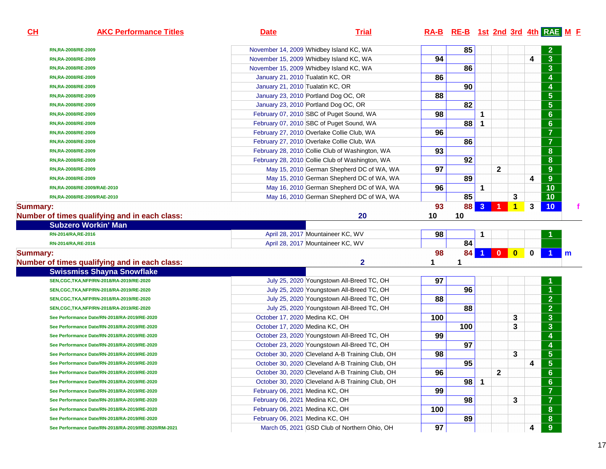| CL              | <b>AKC Performance Titles</b>                        | <b>Date</b>                                | <b>Trial</b>                                     |     | RA-B RE-B 1st 2nd 3rd 4th RAE M F |                |              |                         |          |                         |   |
|-----------------|------------------------------------------------------|--------------------------------------------|--------------------------------------------------|-----|-----------------------------------|----------------|--------------|-------------------------|----------|-------------------------|---|
|                 | RN,RA-2008/RE-2009                                   | November 14, 2009 Whidbey Island KC, WA    |                                                  |     | 85                                |                |              |                         |          | $\mathbf{2}$            |   |
|                 | RN,RA-2008/RE-2009                                   | November 15, 2009 Whidbey Island KC, WA    |                                                  | 94  |                                   |                |              |                         | 4        | $\mathbf{3}$            |   |
|                 | RN,RA-2008/RE-2009                                   | November 15, 2009 Whidbey Island KC, WA    |                                                  |     | 86                                |                |              |                         |          | $\overline{\mathbf{3}}$ |   |
|                 | RN,RA-2008/RE-2009                                   | January 21, 2010 Tualatin KC, OR           |                                                  | 86  |                                   |                |              |                         |          | 4                       |   |
|                 | RN,RA-2008/RE-2009                                   | January 21, 2010 Tualatin KC, OR           |                                                  |     | 90                                |                |              |                         |          | 4                       |   |
|                 | RN,RA-2008/RE-2009                                   | January 23, 2010 Portland Dog OC, OR       |                                                  | 88  |                                   |                |              |                         |          | $\overline{\mathbf{5}}$ |   |
|                 | RN,RA-2008/RE-2009                                   | January 23, 2010 Portland Dog OC, OR       |                                                  |     | 82                                |                |              |                         |          | $5\phantom{.0}$         |   |
|                 | RN,RA-2008/RE-2009                                   | February 07, 2010 SBC of Puget Sound, WA   |                                                  | 98  |                                   | 1              |              |                         |          | $6\phantom{a}$          |   |
|                 | RN,RA-2008/RE-2009                                   | February 07, 2010 SBC of Puget Sound, WA   |                                                  |     | 88                                | 1              |              |                         |          | $6\phantom{a}$          |   |
|                 | RN,RA-2008/RE-2009                                   | February 27, 2010 Overlake Collie Club, WA |                                                  | 96  |                                   |                |              |                         |          | $\overline{7}$          |   |
|                 | RN,RA-2008/RE-2009                                   | February 27, 2010 Overlake Collie Club, WA |                                                  |     | 86                                |                |              |                         |          | $\overline{7}$          |   |
|                 | RN,RA-2008/RE-2009                                   |                                            | February 28, 2010 Collie Club of Washington, WA  | 93  |                                   |                |              |                         |          | 8                       |   |
|                 | RN,RA-2008/RE-2009                                   |                                            | February 28, 2010 Collie Club of Washington, WA  |     | 92                                |                |              |                         |          | 8                       |   |
|                 | RN,RA-2008/RE-2009                                   |                                            | May 15, 2010 German Shepherd DC of WA, WA        | 97  |                                   |                | $\mathbf{2}$ |                         |          | 9                       |   |
|                 | RN,RA-2008/RE-2009                                   |                                            | May 15, 2010 German Shepherd DC of WA, WA        |     | 89                                |                |              |                         | 4        | $\overline{9}$          |   |
|                 | RN,RA-2008/RE-2009/RAE-2010                          |                                            | May 16, 2010 German Shepherd DC of WA, WA        | 96  |                                   | 1              |              |                         |          | 10                      |   |
|                 | RN,RA-2008/RE-2009/RAE-2010                          |                                            | May 16, 2010 German Shepherd DC of WA, WA        |     | 85                                |                |              | 3                       |          | 10                      |   |
| <b>Summary:</b> |                                                      |                                            |                                                  | 93  | <b>88</b>                         | 3 <sup>°</sup> | l 1 l        | $\mathbf{1}$            | 3        | 10 <sub>1</sub>         |   |
|                 | Number of times qualifying and in each class:        |                                            | 20                                               | 10  | 10                                |                |              |                         |          |                         |   |
|                 | <b>Subzero Workin' Man</b>                           |                                            |                                                  |     |                                   |                |              |                         |          |                         |   |
|                 | RN-2014/RA, RE-2016                                  | April 28, 2017 Mountaineer KC, WV          |                                                  | 98  |                                   | 1              |              |                         |          |                         |   |
|                 | RN-2014/RA, RE-2016                                  | April 28, 2017 Mountaineer KC, WV          |                                                  |     | 84                                |                |              |                         |          |                         |   |
| <b>Summary:</b> |                                                      |                                            |                                                  | 98  | 84                                |                | $\mathbf{0}$ | $\overline{\mathbf{0}}$ | $\bf{0}$ |                         | m |
|                 | Number of times qualifying and in each class:        |                                            | 2                                                | 1   | 1                                 |                |              |                         |          |                         |   |
|                 | <b>Swissmiss Shayna Snowflake</b>                    |                                            |                                                  |     |                                   |                |              |                         |          |                         |   |
|                 | SEN, CGC, TKA, NFP/RN-2018/RA-2019/RE-2020           |                                            | July 25, 2020 Youngstown All-Breed TC, OH        | 97  |                                   |                |              |                         |          | 1                       |   |
|                 | SEN, CGC, TKA, NFP/RN-2018/RA-2019/RE-2020           |                                            | July 25, 2020 Youngstown All-Breed TC, OH        |     | 96                                |                |              |                         |          | $\blacktriangleleft$    |   |
|                 | SEN, CGC, TKA, NFP/RN-2018/RA-2019/RE-2020           |                                            | July 25, 2020 Youngstown All-Breed TC, OH        | 88  |                                   |                |              |                         |          | $\overline{2}$          |   |
|                 | SEN, CGC, TKA, NFP/RN-2018/RA-2019/RE-2020           |                                            | July 25, 2020 Youngstown All-Breed TC, OH        |     | 88                                |                |              |                         |          | $\overline{2}$          |   |
|                 | See Performance Date/RN-2018/RA-2019/RE-2020         | October 17, 2020 Medina KC, OH             |                                                  | 100 |                                   |                |              | 3                       |          | $\mathbf{3}$            |   |
|                 | See Performance Date/RN-2018/RA-2019/RE-2020         | October 17, 2020 Medina KC, OH             |                                                  |     | 100                               |                |              | 3                       |          | $\overline{3}$          |   |
|                 | See Performance Date/RN-2018/RA-2019/RE-2020         |                                            | October 23, 2020 Youngstown All-Breed TC, OH     | 99  |                                   |                |              |                         |          | 4                       |   |
|                 | See Performance Date/RN-2018/RA-2019/RE-2020         |                                            | October 23, 2020 Youngstown All-Breed TC, OH     |     | 97                                |                |              |                         |          | 4                       |   |
|                 | See Performance Date/RN-2018/RA-2019/RE-2020         |                                            | October 30, 2020 Cleveland A-B Training Club, OH | 98  |                                   |                |              | 3                       |          | $5\phantom{.0}$         |   |
|                 | See Performance Date/RN-2018/RA-2019/RE-2020         |                                            | October 30, 2020 Cleveland A-B Training Club, OH |     | 95                                |                |              |                         | 4        | $5\phantom{a}$          |   |
|                 | See Performance Date/RN-2018/RA-2019/RE-2020         |                                            | October 30, 2020 Cleveland A-B Training Club, OH | 96  |                                   |                | 2            |                         |          | 6                       |   |
|                 | See Performance Date/RN-2018/RA-2019/RE-2020         |                                            | October 30, 2020 Cleveland A-B Training Club, OH |     | 98                                | $\mathbf{1}$   |              |                         |          | $6 \,$                  |   |
|                 | See Performance Date/RN-2018/RA-2019/RE-2020         | February 06, 2021 Medina KC, OH            |                                                  | 99  |                                   |                |              |                         |          | $\overline{7}$          |   |
|                 | See Performance Date/RN-2018/RA-2019/RE-2020         | February 06, 2021 Medina KC, OH            |                                                  |     | 98                                |                |              | 3                       |          | $\overline{7}$          |   |
|                 | See Performance Date/RN-2018/RA-2019/RE-2020         | February 06, 2021 Medina KC, OH            |                                                  | 100 |                                   |                |              |                         |          | 8                       |   |
|                 | See Performance Date/RN-2018/RA-2019/RE-2020         | February 06, 2021 Medina KC, OH            |                                                  |     | 89                                |                |              |                         |          | 8                       |   |
|                 | See Performance Date/RN-2018/RA-2019/RE-2020/RM-2021 |                                            | March 05, 2021 GSD Club of Northern Ohio, OH     | 97  |                                   |                |              |                         | 4        | 9                       |   |
|                 |                                                      |                                            |                                                  |     |                                   |                |              |                         |          |                         |   |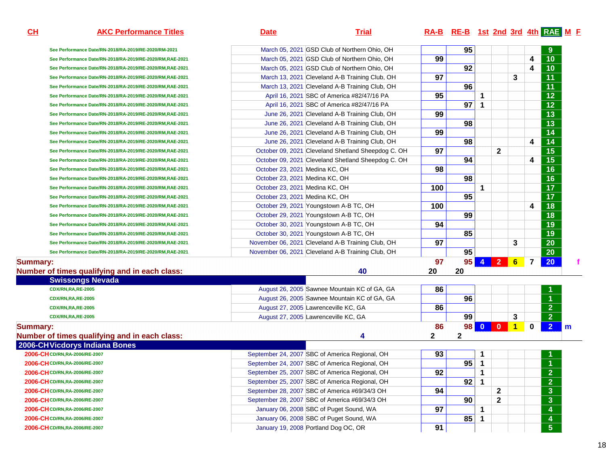# **AKC Performance Titles Date Trial RA-B RE-B 1st 2nd 3rd 4th RAE <sup>M</sup> <sup>F</sup>**

| Swissongs Nevada                                         |                                |                                                    |     |                 |                         |                |   |   |                 |
|----------------------------------------------------------|--------------------------------|----------------------------------------------------|-----|-----------------|-------------------------|----------------|---|---|-----------------|
| f times qualifying and in each class:                    |                                | 40                                                 | 20  | 20              |                         |                |   |   |                 |
|                                                          |                                |                                                    | 97  | 95              | $\overline{\mathbf{4}}$ | 2 <sup>7</sup> | 6 | 7 | <b>20</b>       |
| Gee Performance Date/RN-2018/RA-2019/RE-2020/RM,RAE-2021 |                                | November 06, 2021 Cleveland A-B Training Club, OH  |     | 95              |                         |                |   |   | 20              |
| Gee Performance Date/RN-2018/RA-2019/RE-2020/RM,RAE-2021 |                                | November 06, 2021 Cleveland A-B Training Club, OH  | 97  |                 |                         |                | 3 |   | 20              |
| Gee Performance Date/RN-2018/RA-2019/RE-2020/RM,RAE-2021 |                                | October 30, 2021 Youngstown A-B TC, OH             |     | 85              |                         |                |   |   | 19              |
| Gee Performance Date/RN-2018/RA-2019/RE-2020/RM,RAE-2021 |                                | October 30, 2021 Youngstown A-B TC, OH             | 94  |                 |                         |                |   |   | 19              |
| Gee Performance Date/RN-2018/RA-2019/RE-2020/RM,RAE-2021 |                                | October 29, 2021 Youngstown A-B TC, OH             |     | 99              |                         |                |   |   | 18              |
| Gee Performance Date/RN-2018/RA-2019/RE-2020/RM,RAE-2021 |                                | October 29, 2021 Youngstown A-B TC, OH             | 100 |                 |                         |                |   | 4 | 18              |
| Gee Performance Date/RN-2018/RA-2019/RE-2020/RM,RAE-2021 | October 23, 2021 Medina KC, OH |                                                    |     | 95              |                         |                |   |   | $\overline{17}$ |
| Gee Performance Date/RN-2018/RA-2019/RE-2020/RM,RAE-2021 | October 23, 2021 Medina KC, OH |                                                    | 100 |                 |                         |                |   |   | 17 <sub>2</sub> |
| Gee Performance Date/RN-2018/RA-2019/RE-2020/RM,RAE-2021 | October 23, 2021 Medina KC, OH |                                                    |     | 98              |                         |                |   |   | 16              |
| Gee Performance Date/RN-2018/RA-2019/RE-2020/RM,RAE-2021 | October 23, 2021 Medina KC, OH |                                                    | 98  |                 |                         |                |   |   | 16              |
| Gee Performance Date/RN-2018/RA-2019/RE-2020/RM,RAE-2021 |                                | October 09, 2021 Cleveland Shetland Sheepdog C. OH |     | 94              |                         |                |   | 4 | 15              |
| Gee Performance Date/RN-2018/RA-2019/RE-2020/RM,RAE-2021 |                                | October 09, 2021 Cleveland Shetland Sheepdog C. OH | 97  |                 |                         | $\mathbf{2}$   |   |   | 15              |
| Gee Performance Date/RN-2018/RA-2019/RE-2020/RM,RAE-2021 |                                | June 26, 2021 Cleveland A-B Training Club, OH      |     | 98              |                         |                |   | 4 | 14              |
| Gee Performance Date/RN-2018/RA-2019/RE-2020/RM,RAE-2021 |                                | June 26, 2021 Cleveland A-B Training Club, OH      | 99  |                 |                         |                |   |   | 14              |
| Gee Performance Date/RN-2018/RA-2019/RE-2020/RM,RAE-2021 |                                | June 26, 2021 Cleveland A-B Training Club, OH      |     | 98              |                         |                |   |   | 13              |
| Gee Performance Date/RN-2018/RA-2019/RE-2020/RM,RAE-2021 |                                | June 26, 2021 Cleveland A-B Training Club, OH      | 99  |                 |                         |                |   |   | 13              |
| Gee Performance Date/RN-2018/RA-2019/RE-2020/RM,RAE-2021 |                                | April 16, 2021 SBC of America #82/47/16 PA         |     | $\overline{97}$ |                         |                |   |   | 12 <sub>2</sub> |
| Gee Performance Date/RN-2018/RA-2019/RE-2020/RM,RAE-2021 |                                | April 16, 2021 SBC of America #82/47/16 PA         | 95  |                 |                         |                |   |   | 12 <sub>2</sub> |
| Gee Performance Date/RN-2018/RA-2019/RE-2020/RM,RAE-2021 |                                | March 13, 2021 Cleveland A-B Training Club, OH     |     | 96              |                         |                |   |   | 11              |
| Gee Performance Date/RN-2018/RA-2019/RE-2020/RM,RAE-2021 |                                | March 13, 2021 Cleveland A-B Training Club, OH     | 97  |                 |                         |                | 3 |   | 11              |
| Gee Performance Date/RN-2018/RA-2019/RE-2020/RM,RAE-2021 |                                | March 05, 2021 GSD Club of Northern Ohio, OH       |     | 92              |                         |                |   | 4 | 10              |
| Gee Performance Date/RN-2018/RA-2019/RE-2020/RM,RAE-2021 |                                | March 05, 2021 GSD Club of Northern Ohio, OH       | 99  |                 |                         |                |   | 4 | $\overline{10}$ |
| See Performance Date/RN-2018/RA-2019/RE-2020/RM-2021     |                                | March 05, 2021 GSD Club of Northern Ohio, OH       |     | 95              |                         |                |   |   | $9^{\circ}$     |

### **Summary:**

**Number of times qualifying and in each** 

| <b>Swissongs Nevada</b>                       |                                                |    |                 |          |                |                      |          |                |
|-----------------------------------------------|------------------------------------------------|----|-----------------|----------|----------------|----------------------|----------|----------------|
| <b>CDX/RN,RA,RE-2005</b>                      | August 26, 2005 Sawnee Mountain KC of GA, GA   | 86 |                 |          |                |                      |          |                |
| <b>CDX/RN,RA,RE-2005</b>                      | August 26, 2005 Sawnee Mountain KC of GA, GA   |    | 96              |          |                |                      |          |                |
| <b>CDX/RN,RA,RE-2005</b>                      | August 27, 2005 Lawrenceville KC, GA           | 86 |                 |          |                |                      |          | 2 <sup>7</sup> |
| <b>CDX/RN,RA,RE-2005</b>                      | August 27, 2005 Lawrenceville KC, GA           |    | 99              |          |                | 3                    |          | $2^{\circ}$    |
| <b>Summary:</b>                               |                                                | 86 | 98 <sub>1</sub> | $\bf{0}$ | $\overline{0}$ | $\blacktriangleleft$ | $\bf{0}$ | 2 <sup>1</sup> |
| Number of times qualifying and in each class: | 4                                              |    |                 |          |                |                      |          |                |
| 2006-CHVicdorys Indiana Bones                 |                                                |    |                 |          |                |                      |          |                |
| 2006-CHCD/RN,RA-2006/RE-2007                  | September 24, 2007 SBC of America Regional, OH | 93 |                 |          |                |                      |          |                |
| 2006-CH CD/RN, RA-2006/RE-2007                | September 24, 2007 SBC of America Regional, OH |    | 95              |          |                |                      |          |                |
| 2006-CH CD/RN, RA-2006/RE-2007                | September 25, 2007 SBC of America Regional, OH | 92 |                 |          |                |                      |          | $\overline{2}$ |
| 2006-CH CD/RN, RA-2006/RE-2007                | September 25, 2007 SBC of America Regional, OH |    | 92              |          |                |                      |          | $\sqrt{2}$     |
| 2006-CH CD/RN, RA-2006/RE-2007                | September 28, 2007 SBC of America #69/34/3 OH  | 94 |                 |          | $\mathbf{2}$   |                      |          | 3 <sup>1</sup> |
| 2006-CH CD/RN, RA-2006/RE-2007                | September 28, 2007 SBC of America #69/34/3 OH  |    | 90              |          | $\mathbf{2}$   |                      |          | 3 <sup>1</sup> |
| 2006-CHCD/RN,RA-2006/RE-2007                  | January 06, 2008 SBC of Puget Sound, WA        | 97 |                 |          |                |                      |          | 4              |
| 2006-CHCD/RN,RA-2006/RE-2007                  | January 06, 2008 SBC of Puget Sound, WA        |    | 85              |          |                |                      |          | $\overline{4}$ |
| 2006-CH CD/RN, RA-2006/RE-2007                | January 19, 2008 Portland Dog OC, OR           | 91 |                 |          |                |                      |          | 5 <sup>1</sup> |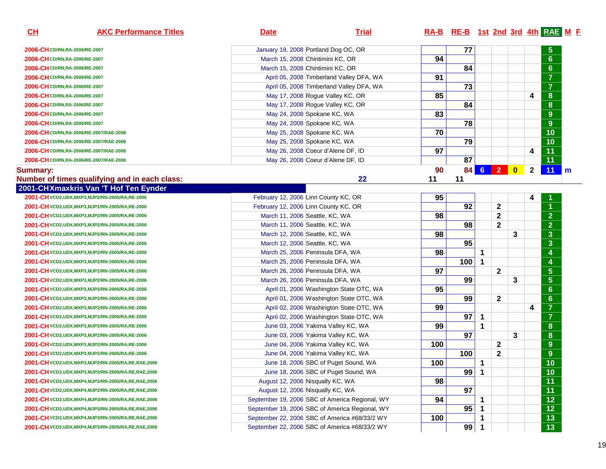| CL                             | <b>AKC Performance Titles</b>                           | <b>Date</b>                          | <b>Trial</b>                                   |     | RA-B RE-B 1st 2nd 3rd 4th RAE M F |             |              |           |              |                         |   |
|--------------------------------|---------------------------------------------------------|--------------------------------------|------------------------------------------------|-----|-----------------------------------|-------------|--------------|-----------|--------------|-------------------------|---|
| 2006-CH CD/RN, RA-2006/RE-2007 |                                                         | January 19, 2008 Portland Dog OC, OR |                                                |     | 77                                |             |              |           |              | $\overline{5}$          |   |
| 2006-CH CD/RN, RA-2006/RE-2007 |                                                         |                                      | March 15, 2008 Chintimini KC, OR               |     |                                   |             |              |           |              | $6\phantom{a}$          |   |
| 2006-CH CD/RN, RA-2006/RE-2007 |                                                         | March 15, 2008 Chintimini KC, OR     |                                                | 94  | 84                                |             |              |           |              | $6\phantom{a}$          |   |
| 2006-CH CD/RN, RA-2006/RE-2007 |                                                         |                                      | April 05, 2008 Timberland Valley DFA, WA       | 91  |                                   |             |              |           |              | $\overline{7}$          |   |
| 2006-CH CD/RN, RA-2006/RE-2007 |                                                         |                                      | April 05, 2008 Timberland Valley DFA, WA       |     | $\overline{73}$                   |             |              |           |              | $\overline{7}$          |   |
| 2006-CH CD/RN, RA-2006/RE-2007 |                                                         |                                      | May 17, 2008 Rogue Valley KC, OR               | 85  |                                   |             |              |           | 4            | $\boldsymbol{8}$        |   |
| 2006-CH CD/RN, RA-2006/RE-2007 |                                                         |                                      | May 17, 2008 Rogue Valley KC, OR               |     | 84                                |             |              |           |              | $\boldsymbol{8}$        |   |
| 2006-CH CD/RN, RA-2006/RE-2007 |                                                         | May 24, 2008 Spokane KC, WA          |                                                | 83  |                                   |             |              |           |              | $9$                     |   |
| 2006-CH CD/RN, RA-2006/RE-2007 |                                                         | May 24, 2008 Spokane KC, WA          |                                                |     | 78                                |             |              |           |              | $\overline{9}$          |   |
|                                | 2006-CHCD/RN,RA-2006/RE-2007/RAE-2008                   | May 25, 2008 Spokane KC, WA          |                                                | 70  |                                   |             |              |           |              | 10                      |   |
|                                | 2006-CHCD/RN,RA-2006/RE-2007/RAE-2008                   | May 25, 2008 Spokane KC, WA          |                                                |     | 79                                |             |              |           |              | 10                      |   |
|                                | 2006-CH CD/RN, RA-2006/RE-2007/RAE-2008                 |                                      | May 26, 2008 Coeur d'Alene DF, ID              | 97  |                                   |             |              |           | 4            | 11                      |   |
|                                | 2006-CH CD/RN, RA-2006/RE-2007/RAE-2008                 |                                      | May 26, 2008 Coeur d'Alene DF, ID              |     | 87                                |             |              |           |              | 11                      |   |
| Summary:                       |                                                         |                                      |                                                | 90  | 84                                |             | 6 2          | $\bullet$ | $\mathbf{2}$ | 11                      | m |
|                                | Number of times qualifying and in each class:           |                                      | 22                                             | 11  | 11                                |             |              |           |              |                         |   |
|                                | 2001-CHXmaxkris Van 'T Hof Ten Eynder                   |                                      |                                                |     |                                   |             |              |           |              |                         |   |
|                                | 2001-CH VCD2, UDX, MXP3, MJP2/RN-2005/RA, RE-2006       | February 12, 2006 Linn County KC, OR |                                                | 95  |                                   |             |              |           | 4            |                         |   |
|                                | 2001-CH VCD2, UDX, MXP3, MJP2/RN-2005/RA, RE-2006       | February 12, 2006 Linn County KC, OR |                                                |     | 92                                |             | $\mathbf{2}$ |           |              | $\blacktriangleleft$    |   |
|                                | 2001-CH VCD2, UDX, MXP3, MJP2/RN-2005/RA, RE-2006       | March 11, 2006 Seattle, KC, WA       |                                                | 98  |                                   |             | $\mathbf{2}$ |           |              | $\overline{2}$          |   |
|                                | 2001-CH VCD2, UDX, MXP3, MJP2/RN-2005/RA, RE-2006       | March 11, 2006 Seattle, KC, WA       |                                                |     | 98                                |             | $\mathbf{2}$ |           |              | $\overline{2}$          |   |
|                                | 2001-CH VCD2, UDX, MXP3, MJP2/RN-2005/RA, RE-2006       | March 12, 2006 Seattle, KC, WA       |                                                | 98  |                                   |             |              | 3         |              | $\overline{\mathbf{3}}$ |   |
|                                | 2001-CH VCD2, UDX, MXP3, MJP2/RN-2005/RA, RE-2006       | March 12, 2006 Seattle, KC, WA       |                                                |     | 95                                |             |              |           |              | $\overline{\mathbf{3}}$ |   |
|                                | 2001-CH VCD2, UDX, MXP3, MJP2/RN-2005/RA, RE-2006       | March 25, 2006 Peninsula DFA, WA     |                                                | 98  |                                   | $\mathbf 1$ |              |           |              | $\overline{\mathbf{4}}$ |   |
|                                | 2001-CH VCD2, UDX, MXP3, MJP2/RN-2005/RA, RE-2006       | March 25, 2006 Peninsula DFA, WA     |                                                |     | 100                               | $\mathbf 1$ |              |           |              | $\overline{\mathbf{4}}$ |   |
|                                | 2001-CH VCD2, UDX, MXP3, MJP2/RN-2005/RA, RE-2006       | March 26, 2006 Peninsula DFA, WA     |                                                | 97  |                                   |             | $\mathbf{2}$ |           |              | $\overline{\mathbf{5}}$ |   |
|                                | 2001-CH VCD2, UDX, MXP3, MJP2/RN-2005/RA, RE-2006       | March 26, 2006 Peninsula DFA, WA     |                                                |     | 99                                |             |              | 3         |              | $\overline{\mathbf{5}}$ |   |
|                                | 2001-CH VCD2, UDX, MXP3, MJP2/RN-2005/RA, RE-2006       |                                      | April 01, 2006 Washington State OTC, WA        | 95  |                                   |             |              |           |              | $6\phantom{a}$          |   |
|                                | 2001-CH VCD2, UDX, MXP3, MJP2/RN-2005/RA, RE-2006       |                                      | April 01, 2006 Washington State OTC, WA        |     | 99                                |             | $\mathbf{2}$ |           |              | $6\phantom{a}$          |   |
|                                | 2001-CH VCD2, UDX, MXP3, MJP2/RN-2005/RA, RE-2006       |                                      | April 02, 2006 Washington State OTC, WA        | 99  |                                   |             |              |           | 4            | $\overline{7}$          |   |
|                                | 2001-CH VCD2, UDX, MXP3, MJP2/RN-2005/RA, RE-2006       |                                      | April 02, 2006 Washington State OTC, WA        |     | $\overline{97}$                   | 1           |              |           |              | $\overline{7}$          |   |
|                                | 2001-CH VCD2, UDX, MXP3, MJP2/RN-2005/RA, RE-2006       |                                      | June 03, 2006 Yakima Valley KC, WA             | 99  |                                   | 1           |              |           |              | $\boldsymbol{8}$        |   |
|                                | 2001-CH VCD2, UDX, MXP3, MJP2/RN-2005/RA, RE-2006       |                                      | June 03, 2006 Yakima Valley KC, WA             |     | $\overline{97}$                   |             |              | 3         |              | $\bf{8}$                |   |
|                                | 2001-CH VCD2, UDX, MXP3, MJP2/RN-2005/RA, RE-2006       |                                      | June 04, 2006 Yakima Valley KC, WA             | 100 |                                   |             | $\mathbf{2}$ |           |              | 9                       |   |
|                                | 2001-CH VCD2, UDX, MXP3, MJP2/RN-2005/RA, RE-2006       |                                      | June 04, 2006 Yakima Valley KC, WA             |     | 100                               |             | $\mathbf{2}$ |           |              | 9                       |   |
|                                | 2001-CH VCD2, UDX, MXP3, MJP2/RN-2005/RA, RE, RAE, 2006 |                                      | June 18, 2006 SBC of Puget Sound, WA           | 100 |                                   | $\mathbf 1$ |              |           |              | $\overline{10}$         |   |
|                                | 2001-CHVCD2,UDX,MXP3,MJP2/RN-2005/RA,RE,RAE,2006        |                                      | June 18, 2006 SBC of Puget Sound, WA           |     | 99                                | $\mathbf 1$ |              |           |              | $\overline{10}$         |   |
|                                | 2001-CH VCD2, UDX, MXP4, MJP2/RN-2005/RA, RE, RAE, 2006 | August 12, 2006 Nisqually KC, WA     |                                                | 98  |                                   |             |              |           |              | 11                      |   |
|                                | 2001-CH VCD2, UDX, MXP4, MJP2/RN-2005/RA, RE, RAE, 2006 | August 12, 2006 Nisqually KC, WA     |                                                |     | 97                                |             |              |           |              | 11                      |   |
|                                | 2001-CH VCD2, UDX, MXP4, MJP3/RN-2005/RA, RE, RAE, 2006 |                                      | September 19, 2006 SBC of America Regional, WY | 94  |                                   | 1           |              |           |              | 12                      |   |
|                                | 2001-CH VCD2, UDX, MXP4, MJP3/RN-2005/RA, RE, RAE, 2006 |                                      | September 19, 2006 SBC of America Regional, WY |     | 95                                |             |              |           |              | 12                      |   |
|                                | 2001-CH VCD2, UDX, MXP4, MJP3/RN-2005/RA, RE, RAE, 2006 |                                      | September 22, 2006 SBC of America #68/33/2 WY  | 100 |                                   | 1           |              |           |              | 13                      |   |
|                                | 2001-CH VCD2, UDX, MXP4, MJP3/RN-2005/RA, RE, RAE, 2006 |                                      | September 22, 2006 SBC of America #68/33/2 WY  |     | 99                                | -1          |              |           |              | 13                      |   |